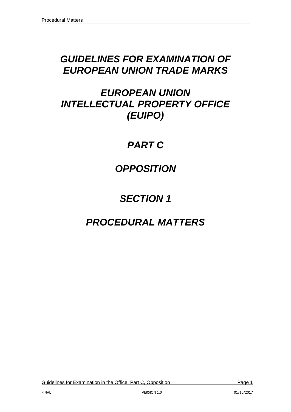# *GUIDELINES FOR EXAMINATION OF EUROPEAN UNION TRADE MARKS*

# *EUROPEAN UNION INTELLECTUAL PROPERTY OFFICE (EUIPO)*

# *PART C*

# *OPPOSITION*

# *SECTION 1*

# *PROCEDURAL MATTERS*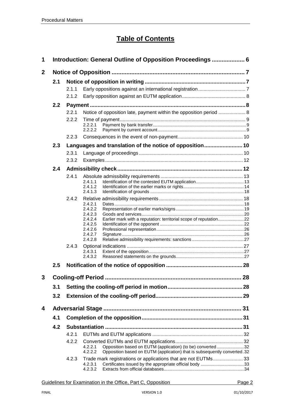## **Table of Contents**

| 1              |     |       | Introduction: General Outline of Opposition Proceedings  6                              |  |  |  |  |  |  |
|----------------|-----|-------|-----------------------------------------------------------------------------------------|--|--|--|--|--|--|
| $\mathbf{2}$   |     |       |                                                                                         |  |  |  |  |  |  |
|                | 2.1 |       |                                                                                         |  |  |  |  |  |  |
|                |     | 211   |                                                                                         |  |  |  |  |  |  |
|                |     | 2.1.2 |                                                                                         |  |  |  |  |  |  |
|                | 2.2 |       |                                                                                         |  |  |  |  |  |  |
|                |     | 2.2.1 | Notice of opposition late, payment within the opposition period  8                      |  |  |  |  |  |  |
|                |     | 2.2.2 |                                                                                         |  |  |  |  |  |  |
|                |     |       | 2.2.2.1<br>2.2.2.2                                                                      |  |  |  |  |  |  |
|                |     | 2.2.3 |                                                                                         |  |  |  |  |  |  |
|                |     |       |                                                                                         |  |  |  |  |  |  |
|                | 2.3 |       | Languages and translation of the notice of opposition 10                                |  |  |  |  |  |  |
|                |     | 2.3.1 |                                                                                         |  |  |  |  |  |  |
|                |     | 2.3.2 |                                                                                         |  |  |  |  |  |  |
|                | 2.4 |       |                                                                                         |  |  |  |  |  |  |
|                |     | 2.4.1 | 2.4.1.1                                                                                 |  |  |  |  |  |  |
|                |     |       | 2.4.1.2                                                                                 |  |  |  |  |  |  |
|                |     |       | 2.4.1.3                                                                                 |  |  |  |  |  |  |
|                |     | 2.4.2 | 2.4.2.1                                                                                 |  |  |  |  |  |  |
|                |     |       | 2.4.2.2                                                                                 |  |  |  |  |  |  |
|                |     |       | 2.4.2.3                                                                                 |  |  |  |  |  |  |
|                |     |       | Earlier mark with a reputation: territorial scope of reputation22<br>2.4.2.4<br>2.4.2.5 |  |  |  |  |  |  |
|                |     |       | 2.4.2.6                                                                                 |  |  |  |  |  |  |
|                |     |       | 2.4.2.7<br>2.4.2.8                                                                      |  |  |  |  |  |  |
|                |     | 2.4.3 |                                                                                         |  |  |  |  |  |  |
|                |     |       | 2.4.3.1                                                                                 |  |  |  |  |  |  |
|                |     |       | 2.4.3.2                                                                                 |  |  |  |  |  |  |
|                | 2.5 |       |                                                                                         |  |  |  |  |  |  |
| $\overline{3}$ |     |       |                                                                                         |  |  |  |  |  |  |
|                | 3.1 |       |                                                                                         |  |  |  |  |  |  |
|                | 3.2 |       |                                                                                         |  |  |  |  |  |  |
| 4              |     |       |                                                                                         |  |  |  |  |  |  |
|                | 4.1 |       |                                                                                         |  |  |  |  |  |  |
|                | 4.2 |       |                                                                                         |  |  |  |  |  |  |
|                |     | 4.2.1 |                                                                                         |  |  |  |  |  |  |
|                |     | 4.2.2 |                                                                                         |  |  |  |  |  |  |
|                |     |       | Opposition based on EUTM (application) (to be) converted32<br>4.2.2.1                   |  |  |  |  |  |  |
|                |     |       | Opposition based on EUTM (application) that is subsequently converted.32<br>4.2.2.2     |  |  |  |  |  |  |
|                |     | 4.2.3 | Trade mark registrations or applications that are not EUTMs33<br>4.2.3.1                |  |  |  |  |  |  |
|                |     |       | 4.2.3.2                                                                                 |  |  |  |  |  |  |
|                |     |       |                                                                                         |  |  |  |  |  |  |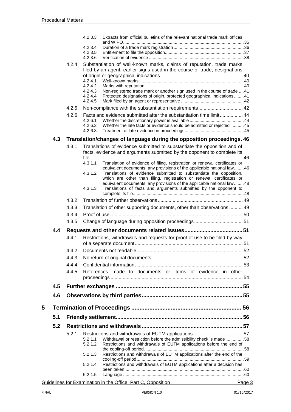|   |     |       | Extracts from official bulletins of the relevant national trade mark offices<br>4.2.3.3                                                                |        |
|---|-----|-------|--------------------------------------------------------------------------------------------------------------------------------------------------------|--------|
|   |     |       | 4.2.3.4                                                                                                                                                |        |
|   |     |       | 4.2.3.5                                                                                                                                                |        |
|   |     |       | 4.2.3.6                                                                                                                                                |        |
|   |     | 4.2.4 | Substantiation of well-known marks, claims of reputation, trade marks<br>filed by an agent, earlier signs used in the course of trade, designations    |        |
|   |     |       |                                                                                                                                                        |        |
|   |     |       | 4.2.4.1                                                                                                                                                |        |
|   |     |       | 4.2.4.2<br>Non-registered trade mark or another sign used in the course of trade  41<br>4.2.4.3                                                        |        |
|   |     |       | Protected designations of origin, protected geographical indications  41<br>4.2.4.4                                                                    |        |
|   |     |       | 4.2.4.5                                                                                                                                                |        |
|   |     | 4.2.5 | Non-compliance with the substantiation requirements 42                                                                                                 |        |
|   |     | 4.2.6 | Facts and evidence submitted after the substantiation time limit 44<br>4.2.6.1                                                                         |        |
|   |     |       | 4.2.6.2<br>Whether the late facts or evidence should be admitted or rejected 45                                                                        |        |
|   |     |       | 4.2.6.3                                                                                                                                                |        |
|   | 4.3 |       | Translation/changes of language during the opposition proceedings. 46                                                                                  |        |
|   |     | 4.3.1 | Translations of evidence submitted to substantiate the opposition and of                                                                               |        |
|   |     |       | facts, evidence and arguments submitted by the opponent to complete its                                                                                |        |
|   |     |       | Translation of evidence of filing, registration or renewal certificates or<br>4.3.1.1                                                                  |        |
|   |     |       | equivalent documents, any provisions of the applicable national law46<br>4.3.1.2<br>Translations of evidence submitted to substantiate the opposition, |        |
|   |     |       | which are other than filing, registration or renewal certificates or                                                                                   |        |
|   |     |       | equivalent documents, any provisions of the applicable national law48                                                                                  |        |
|   |     |       | Translations of facts and arguments submitted by the opponent to<br>4.3.1.3                                                                            |        |
|   |     | 4.3.2 |                                                                                                                                                        |        |
|   |     | 4.3.3 | Translation of other supporting documents, other than observations  49                                                                                 |        |
|   |     | 4.3.4 |                                                                                                                                                        |        |
|   |     | 4.3.5 |                                                                                                                                                        |        |
|   | 4.4 |       |                                                                                                                                                        |        |
|   |     | 4.4.1 | Restrictions, withdrawals and requests for proof of use to be filed by way                                                                             |        |
|   |     | 4.4.2 |                                                                                                                                                        |        |
|   |     | 4.4.3 |                                                                                                                                                        |        |
|   |     | 4.4.4 |                                                                                                                                                        |        |
|   |     | 4.4.5 | References made to documents or items of evidence in other                                                                                             |        |
|   |     |       |                                                                                                                                                        |        |
|   | 4.5 |       |                                                                                                                                                        |        |
|   | 4.6 |       |                                                                                                                                                        |        |
| 5 |     |       |                                                                                                                                                        |        |
|   | 5.1 |       |                                                                                                                                                        |        |
|   | 5.2 |       |                                                                                                                                                        |        |
|   |     | 5.2.1 |                                                                                                                                                        |        |
|   |     |       | 5.2.1.1<br>Withdrawal or restriction before the admissibility check is made58                                                                          |        |
|   |     |       | 5.2.1.2<br>Restrictions and withdrawals of EUTM applications before the end of                                                                         |        |
|   |     |       | Restrictions and withdrawals of EUTM applications after the end of the<br>5.2.1.3                                                                      |        |
|   |     |       | Restrictions and withdrawals of EUTM applications after a decision has<br>5.2.1.4                                                                      |        |
|   |     |       |                                                                                                                                                        |        |
|   |     |       | 5.2.1.5                                                                                                                                                |        |
|   |     |       | Guidelines for Examination in the Office, Part C, Opposition                                                                                           | Page 3 |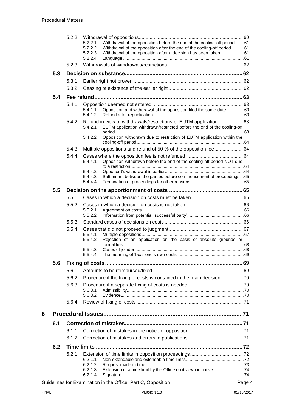|   |     | 5.2.2 | 5.2.2.1<br>5.2.2.2<br>5.2.2.3 | Withdrawal of the opposition before the end of the cooling-off period61<br>Withdrawal of the opposition after the end of the cooling-off period 61<br>Withdrawal of the opposition after a decision has been taken61 |  |
|---|-----|-------|-------------------------------|----------------------------------------------------------------------------------------------------------------------------------------------------------------------------------------------------------------------|--|
|   |     | 5.2.3 | 5.2.2.4                       |                                                                                                                                                                                                                      |  |
|   | 5.3 |       |                               |                                                                                                                                                                                                                      |  |
|   |     | 5.3.1 |                               |                                                                                                                                                                                                                      |  |
|   |     | 5.3.2 |                               |                                                                                                                                                                                                                      |  |
|   | 5.4 |       |                               |                                                                                                                                                                                                                      |  |
|   |     | 5.4.1 |                               |                                                                                                                                                                                                                      |  |
|   |     |       | 5.4.1.1<br>5.4.1.2            | Opposition and withdrawal of the opposition filed the same date 63                                                                                                                                                   |  |
|   |     | 5.4.2 | 5.4.2.1                       | Refund in view of withdrawals/restrictions of EUTM application  63<br>EUTM application withdrawn/restricted before the end of the cooling-off                                                                        |  |
|   |     |       | 5.4.2.2                       | Opposition withdrawn due to restriction of EUTM application within the                                                                                                                                               |  |
|   |     | 5.4.3 |                               | Multiple oppositions and refund of 50 % of the opposition fee 64                                                                                                                                                     |  |
|   |     | 5.4.4 | 5.4.4.1                       | Opposition withdrawn before the end of the cooling-off period NOT due                                                                                                                                                |  |
|   |     |       | 5.4.4.2                       |                                                                                                                                                                                                                      |  |
|   |     |       | 5.4.4.3<br>5.4.4.4            | Settlement between the parties before commencement of proceedings  65                                                                                                                                                |  |
|   | 5.5 |       |                               |                                                                                                                                                                                                                      |  |
|   |     | 5.5.1 |                               |                                                                                                                                                                                                                      |  |
|   |     | 5.5.2 |                               |                                                                                                                                                                                                                      |  |
|   |     |       | 5.5.2.1<br>5.5.2.2            |                                                                                                                                                                                                                      |  |
|   |     | 5.5.3 |                               |                                                                                                                                                                                                                      |  |
|   |     | 5.5.4 |                               |                                                                                                                                                                                                                      |  |
|   |     |       | 5.5.4.1<br>5.5.4.2            | Rejection of an application on the basis of absolute grounds or                                                                                                                                                      |  |
|   |     |       | 5.5.4.3                       |                                                                                                                                                                                                                      |  |
|   |     |       | 5.5.4.4                       |                                                                                                                                                                                                                      |  |
|   | 5.6 |       |                               |                                                                                                                                                                                                                      |  |
|   |     | 5.6.1 |                               |                                                                                                                                                                                                                      |  |
|   |     | 5.6.2 |                               | Procedure if the fixing of costs is contained in the main decision  70                                                                                                                                               |  |
|   |     | 5.6.3 | 5.6.3.1                       |                                                                                                                                                                                                                      |  |
|   |     |       | 5.6.3.2                       |                                                                                                                                                                                                                      |  |
|   |     | 5.6.4 |                               |                                                                                                                                                                                                                      |  |
| 6 |     |       |                               |                                                                                                                                                                                                                      |  |
|   | 6.1 |       |                               |                                                                                                                                                                                                                      |  |
|   |     | 6.1.1 |                               |                                                                                                                                                                                                                      |  |
|   |     | 6.1.2 |                               |                                                                                                                                                                                                                      |  |
|   | 6.2 |       |                               |                                                                                                                                                                                                                      |  |
|   |     | 6.2.1 |                               |                                                                                                                                                                                                                      |  |
|   |     |       | 6.2.1.1<br>6.2.1.2            |                                                                                                                                                                                                                      |  |
|   |     |       | 6.2.1.3<br>6.2.1.4            |                                                                                                                                                                                                                      |  |
|   |     |       |                               | $\mathcal{L}$ the $\mathcal{L}(\mathbf{f}^{\prime\prime})$ . $\mathbf{D}^{\prime\prime}$ of $\mathcal{L}^{\prime}$ $\mathcal{L}^{\prime}$ of $\mathcal{L}^{\prime}$                                                  |  |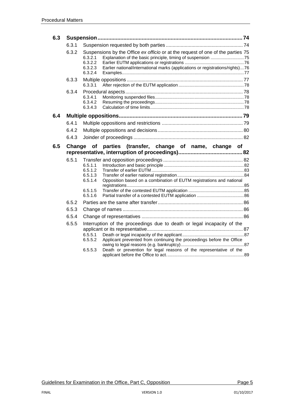| 6.3 |        |                                                                                                                                                                                                                                                         |  |
|-----|--------|---------------------------------------------------------------------------------------------------------------------------------------------------------------------------------------------------------------------------------------------------------|--|
|     | 6.3.1  |                                                                                                                                                                                                                                                         |  |
|     | 6.3.2  | Suspensions by the Office ex officio or at the request of one of the parties 75<br>6.3.2.1<br>6.3.2.2<br>Earlier national/international marks (applications or registrations/rights)76<br>6.3.2.3<br>6.3.2.4                                            |  |
|     | 6.3.3  | 6.3.3.1                                                                                                                                                                                                                                                 |  |
|     | 6.3.4  | 6.3.4.1<br>6.3.4.2<br>6.3.4.3                                                                                                                                                                                                                           |  |
| 6.4 |        |                                                                                                                                                                                                                                                         |  |
|     | 6.4.1  |                                                                                                                                                                                                                                                         |  |
|     | 6.4.2  |                                                                                                                                                                                                                                                         |  |
|     | 6.4.3  |                                                                                                                                                                                                                                                         |  |
| 6.5 | Change | parties (transfer, change of name, change of<br>of                                                                                                                                                                                                      |  |
|     |        |                                                                                                                                                                                                                                                         |  |
|     | 6.5.1  | 6.5.1.1<br>6.5.1.2<br>6.5.1.3<br>Opposition based on a combination of EUTM registrations and national<br>6.5.1.4                                                                                                                                        |  |
|     |        | 6.5.1.5<br>6.5.1.6                                                                                                                                                                                                                                      |  |
|     | 6.5.2  |                                                                                                                                                                                                                                                         |  |
|     | 6.5.3  |                                                                                                                                                                                                                                                         |  |
|     | 6.5.4  |                                                                                                                                                                                                                                                         |  |
|     | 6.5.5  | Interruption of the proceedings due to death or legal incapacity of the<br>6.5.5.1<br>6.5.5.2<br>Applicant prevented from continuing the proceedings before the Office<br>Death or prevention for legal reasons of the representative of the<br>6.5.5.3 |  |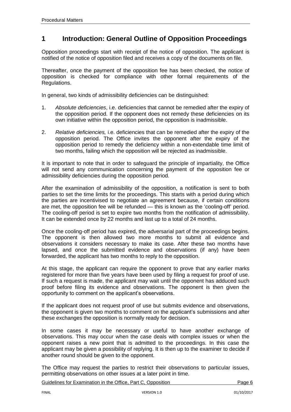## <span id="page-5-0"></span>**1 Introduction: General Outline of Opposition Proceedings**

Opposition proceedings start with receipt of the notice of opposition. The applicant is notified of the notice of opposition filed and receives a copy of the documents on file.

Thereafter, once the payment of the opposition fee has been checked, the notice of opposition is checked for compliance with other formal requirements of the Regulations.

In general, two kinds of admissibility deficiencies can be distinguished:

- 1. *Absolute deficiencies*, i.e. deficiencies that cannot be remedied after the expiry of the opposition period. If the opponent does not remedy these deficiencies on its own initiative within the opposition period, the opposition is inadmissible.
- 2. *Relative deficiencies,* i.e. deficiencies that can be remedied after the expiry of the opposition period. The Office invites the opponent after the expiry of the opposition period to remedy the deficiency within a non-extendable time limit of two months, failing which the opposition will be rejected as inadmissible.

It is important to note that in order to safeguard the principle of impartiality, the Office will not send any communication concerning the payment of the opposition fee or admissibility deficiencies during the opposition period.

After the examination of admissibility of the opposition, a notification is sent to both parties to set the time limits for the proceedings. This starts with a period during which the parties are incentivised to negotiate an agreement because, if certain conditions are met, the opposition fee will be refunded — this is known as the 'cooling-off' period. The cooling-off period is set to expire two months from the notification of admissibility. It can be extended once by 22 months and last up to a total of 24 months.

Once the cooling-off period has expired, the adversarial part of the proceedings begins. The opponent is then allowed two more months to submit all evidence and observations it considers necessary to make its case. After these two months have lapsed, and once the submitted evidence and observations (if any) have been forwarded, the applicant has two months to reply to the opposition.

At this stage, the applicant can require the opponent to prove that any earlier marks registered for more than five years have been used by filing a request for proof of use. If such a request is made, the applicant may wait until the opponent has adduced such proof before filing its evidence and observations. The opponent is then given the opportunity to comment on the applicant's observations.

If the applicant does not request proof of use but submits evidence and observations, the opponent is given two months to comment on the applicant's submissions and after these exchanges the opposition is normally ready for decision.

In some cases it may be necessary or useful to have another exchange of observations. This may occur when the case deals with complex issues or when the opponent raises a new point that is admitted to the proceedings. In this case the applicant may be given a possibility of replying. It is then up to the examiner to decide if another round should be given to the opponent.

The Office may request the parties to restrict their observations to particular issues, permitting observations on other issues at a later point in time.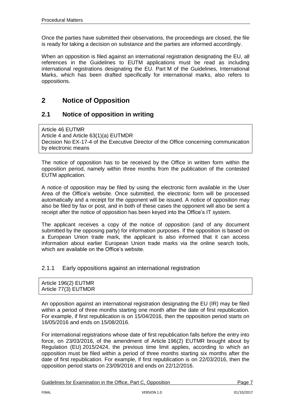Once the parties have submitted their observations, the proceedings are closed, the file is ready for taking a decision on substance and the parties are informed accordingly.

When an opposition is filed against an international registration designating the EU, all references in the Guidelines to EUTM applications must be read as including international registrations designating the EU. Part M of the Guidelines, International Marks, which has been drafted specifically for international marks, also refers to oppositions.

## <span id="page-6-0"></span>**2 Notice of Opposition**

## <span id="page-6-1"></span>**2.1 Notice of opposition in writing**

Article 46 EUTMR Article 4 and Article 63(1)(a) EUTMDR Decision No EX-17-4 of the Executive Director of the Office concerning communication by electronic means

The notice of opposition has to be received by the Office in written form within the opposition period, namely within three months from the publication of the contested EUTM application.

A notice of opposition may be filed by using the electronic form available in the User Area of the Office's website. Once submitted, the electronic form will be processed automatically and a receipt for the opponent will be issued. A notice of opposition may also be filed by fax or post, and in both of these cases the opponent will also be sent a receipt after the notice of opposition has been keyed into the Office's IT system.

The applicant receives a copy of the notice of opposition (and of any document submitted by the opposing party) for information purposes. If the opposition is based on a European Union trade mark, the applicant is also informed that it can access information about earlier European Union trade marks via the online search tools, which are available on the Office's website.

#### <span id="page-6-2"></span>2.1.1 Early oppositions against an international registration

| Article 196(2) EUTMR |  |
|----------------------|--|
| Article 77(3) EUTMDR |  |

An opposition against an international registration designating the EU (IR) may be filed within a period of three months starting one month after the date of first republication. For example, if first republication is on 15/04/2016, then the opposition period starts on 16/05/2016 and ends on 15/08/2016.

For international registrations whose date of first republication falls before the entry into force, on 23/03/2016, of the amendment of Article 196(2) EUTMR brought about by Regulation (EU) 2015/2424, the previous time limit applies, according to which an opposition must be filed within a period of three months starting six months after the date of first republication. For example, if first republication is on 22/03/2016, then the opposition period starts on 23/09/2016 and ends on 22/12/2016.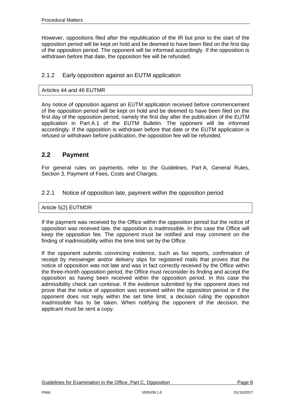However, oppositions filed after the republication of the IR but prior to the start of the opposition period will be kept on hold and be deemed to have been filed on the first day of the opposition period. The opponent will be informed accordingly. If the opposition is withdrawn before that date, the opposition fee will be refunded.

## <span id="page-7-0"></span>2.1.2 Early opposition against an EUTM application

#### Articles 44 and 46 EUTMR

Any notice of opposition against an EUTM application received before commencement of the opposition period will be kept on hold and be deemed to have been filed on the first day of the opposition period, namely the first day after the publication of the EUTM application in Part A.1 of the EUTM Bulletin. The opponent will be informed accordingly. If the opposition is withdrawn before that date or the EUTM application is refused or withdrawn before publication, the opposition fee will be refunded.

## <span id="page-7-1"></span>**2.2 Payment**

For general rules on payments, refer to the Guidelines, Part A, General Rules, Section 3, Payment of Fees, Costs and Charges.

#### <span id="page-7-2"></span>2.2.1 Notice of opposition late, payment within the opposition period

#### Article 5(2) EUTMDR

If the payment was received by the Office within the opposition period but the notice of opposition was received late, the opposition is inadmissible. In this case the Office will keep the opposition fee. The opponent must be notified and may comment on the finding of inadmissibility within the time limit set by the Office.

If the opponent submits convincing evidence, such as fax reports, confirmation of receipt by messenger and/or delivery slips for registered mails that proves that the notice of opposition was not late and was in fact correctly received by the Office within the three-month opposition period, the Office must reconsider its finding and accept the opposition as having been received within the opposition period. In this case the admissibility check can continue. If the evidence submitted by the opponent does not prove that the notice of opposition was received within the opposition period or if the opponent does not reply within the set time limit, a decision ruling the opposition inadmissible has to be taken. When notifying the opponent of the decision, the applicant must be sent a copy.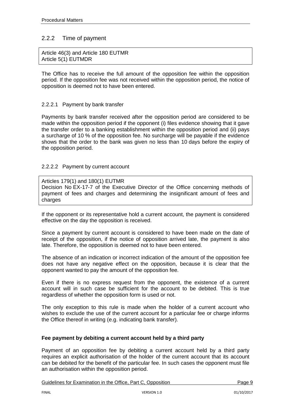## <span id="page-8-0"></span>2.2.2 Time of payment

Article 46(3) and Article 180 EUTMR Article 5(1) EUTMDR

The Office has to receive the full amount of the opposition fee within the opposition period. If the opposition fee was not received within the opposition period, the notice of opposition is deemed not to have been entered.

#### <span id="page-8-1"></span>2.2.2.1 Payment by bank transfer

Payments by bank transfer received after the opposition period are considered to be made within the opposition period if the opponent (i) files evidence showing that it gave the transfer order to a banking establishment within the opposition period and (ii) pays a surcharge of 10 % of the opposition fee. No surcharge will be payable if the evidence shows that the order to the bank was given no less than 10 days before the expiry of the opposition period.

#### <span id="page-8-2"></span>2.2.2.2 Payment by current account

Articles 179(1) and 180(1) EUTMR Decision No [EX-17-7 of the Executive Director of the Office concerning methods of](http://oami.europa.eu/en/office/aspects/pdf/ex061en.pdf)  [payment of fees and charges and determining the insignificant amount of fees and](http://oami.europa.eu/en/office/aspects/pdf/ex061en.pdf)  [charges](http://oami.europa.eu/en/office/aspects/pdf/ex061en.pdf)

If the opponent or its representative hold a current account, the payment is considered effective on the day the opposition is received.

Since a payment by current account is considered to have been made on the date of receipt of the opposition, if the notice of opposition arrived late, the payment is also late. Therefore, the opposition is deemed not to have been entered.

The absence of an indication or incorrect indication of the amount of the opposition fee does not have any negative effect on the opposition, because it is clear that the opponent wanted to pay the amount of the opposition fee.

Even if there is no express request from the opponent, the existence of a current account will in such case be sufficient for the account to be debited. This is true regardless of whether the opposition form is used or not.

The only exception to this rule is made when the holder of a current account who wishes to exclude the use of the current account for a particular fee or charge informs the Office thereof in writing (e.g. indicating bank transfer).

#### **Fee payment by debiting a current account held by a third party**

Payment of an opposition fee by debiting a current account held by a third party requires an explicit authorisation of the holder of the current account that its account can be debited for the benefit of the particular fee. In such cases the opponent must file an authorisation within the opposition period.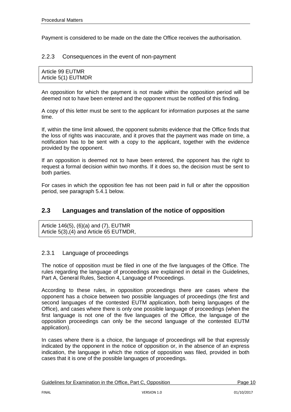Payment is considered to be made on the date the Office receives the authorisation.

#### <span id="page-9-0"></span>2.2.3 Consequences in the event of non-payment

| Article 99 EUTMR    |  |  |
|---------------------|--|--|
| Article 5(1) EUTMDR |  |  |

An opposition for which the payment is not made within the opposition period will be deemed not to have been entered and the opponent must be notified of this finding.

A copy of this letter must be sent to the applicant for information purposes at the same time.

If, within the time limit allowed, the opponent submits evidence that the Office finds that the loss of rights was inaccurate, and it proves that the payment was made on time, a notification has to be sent with a copy to the applicant, together with the evidence provided by the opponent.

If an opposition is deemed not to have been entered, the opponent has the right to request a formal decision within two months. If it does so, the decision must be sent to both parties.

For cases in which the opposition fee has not been paid in full or after the opposition period, see paragraph 5.4.1 below.

## <span id="page-9-1"></span>**2.3 Languages and translation of the notice of opposition**

Article 146(5), (6)(a) and (7), EUTMR Article 5(3),(4) and Article 65 EUTMDR,

#### <span id="page-9-2"></span>2.3.1 Language of proceedings

The notice of opposition must be filed in one of the five languages of the Office. The rules regarding the language of proceedings are explained in detail in the Guidelines, Part A, General Rules, Section 4, Language of Proceedings.

According to these rules, in opposition proceedings there are cases where the opponent has a choice between two possible languages of proceedings (the first and second languages of the contested EUTM application, both being languages of the Office), and cases where there is only one possible language of proceedings (when the first language is not one of the five languages of the Office, the language of the opposition proceedings can only be the second language of the contested EUTM application).

In cases where there is a choice, the language of proceedings will be that expressly indicated by the opponent in the notice of opposition or, in the absence of an express indication, the language in which the notice of opposition was filed, provided in both cases that it is one of the possible languages of proceedings.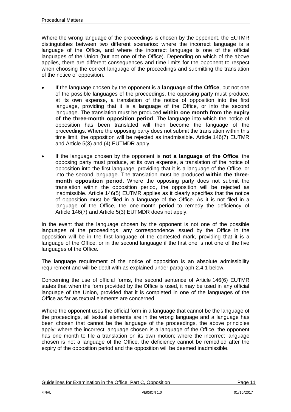Where the wrong language of the proceedings is chosen by the opponent, the EUTMR distinguishes between two different scenarios: where the incorrect language is a language of the Office, and where the incorrect language is one of the official languages of the Union (but not one of the Office). Depending on which of the above applies, there are different consequences and time limits for the opponent to respect when choosing the correct language of the proceedings and submitting the translation of the notice of opposition.

- If the language chosen by the opponent is a **language of the Office**, but not one of the possible languages of the proceedings, the opposing party must produce, at its own expense, a translation of the notice of opposition into the first language, providing that it is a language of the Office, or into the second language. The translation must be produced **within one month from the expiry of the three-month opposition period**. The language into which the notice of opposition has been translated will then become the language of the proceedings. Where the opposing party does not submit the translation within this time limit, the opposition will be rejected as inadmissible. Article 146(7) EUTMR and Article 5(3) and (4) EUTMDR apply.
- If the language chosen by the opponent is **not a language of the Office**, the opposing party must produce, at its own expense, a translation of the notice of opposition into the first language, providing that it is a language of the Office, or into the second language. The translation must be produced **within the threemonth opposition period**. Where the opposing party does not submit the translation within the opposition period, the opposition will be rejected as inadmissible. Article 146(5) EUTMR applies as it clearly specifies that the notice of opposition must be filed in a language of the Office. As it is not filed in a language of the Office, the one-month period to remedy the deficiency of Article 146(7) and Article 5(3) EUTMDR does not apply.

In the event that the language chosen by the opponent is not one of the possible languages of the proceedings, any correspondence issued by the Office in the opposition will be in the first language of the contested mark, providing that it is a language of the Office, or in the second language if the first one is not one of the five languages of the Office.

The language requirement of the notice of opposition is an absolute admissibility requirement and will be dealt with as explained under paragraph 2.4.1 below.

Concerning the use of official forms, the second sentence of Article 146(6) EUTMR states that when the form provided by the Office is used, it may be used in any official language of the Union, provided that it is completed in one of the languages of the Office as far as textual elements are concerned.

Where the opponent uses the official form in a language that cannot be the language of the proceedings, all textual elements are in the wrong language and a language has been chosen that cannot be the language of the proceedings, the above principles apply: where the incorrect language chosen is a language of the Office, the opponent has one month to file a translation on its own motion; where the incorrect language chosen is not a language of the Office, the deficiency cannot be remedied after the expiry of the opposition period and the opposition will be deemed inadmissible.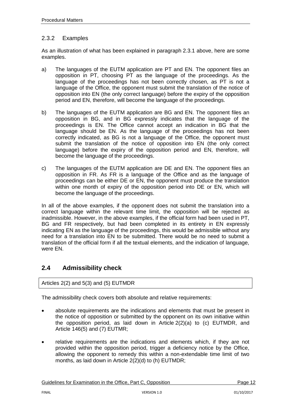## <span id="page-11-0"></span>2.3.2 Examples

As an illustration of what has been explained in paragraph 2.3.1 above, here are some examples.

- a) The languages of the EUTM application are PT and EN. The opponent files an opposition in PT, choosing PT as the language of the proceedings. As the language of the proceedings has not been correctly chosen, as PT is not a language of the Office, the opponent must submit the translation of the notice of opposition into EN (the only correct language) before the expiry of the opposition period and EN, therefore, will become the language of the proceedings.
- b) The languages of the EUTM application are BG and EN. The opponent files an opposition in BG, and in BG expressly indicates that the language of the proceedings is EN. The Office cannot accept an indication in BG that the language should be EN. As the language of the proceedings has not been correctly indicated, as BG is not a language of the Office, the opponent must submit the translation of the notice of opposition into EN (the only correct language) before the expiry of the opposition period and EN, therefore, will become the language of the proceedings.
- c) The languages of the EUTM application are DE and EN. The opponent files an opposition in FR. As FR is a language of the Office and as the language of proceedings can be either DE or EN, the opponent must produce the translation within one month of expiry of the opposition period into DE or EN, which will become the language of the proceedings.

In all of the above examples, if the opponent does not submit the translation into a correct language within the relevant time limit, the opposition will be rejected as inadmissible. However, in the above examples, if the official form had been used in PT, BG and FR respectively, but had been completed in its entirety in EN expressly indicating EN as the language of the proceedings, this would be admissible without any need for a translation into EN to be submitted. There would be no need to submit a translation of the official form if all the textual elements, and the indication of language, were EN.

## <span id="page-11-1"></span>**2.4 Admissibility check**

Articles 2(2) and 5(3) and (5) EUTMDR

The admissibility check covers both absolute and relative requirements:

- absolute requirements are the indications and elements that must be present in the notice of opposition or submitted by the opponent on its own initiative within the opposition period, as laid down in Article 2(2)(a) to (c) EUTMDR, and Article 146(5) and (7) EUTMR;
- relative requirements are the indications and elements which, if they are not provided within the opposition period, trigger a deficiency notice by the Office, allowing the opponent to remedy this within a non-extendable time limit of two months, as laid down in Article 2(2)(d) to (h) EUTMDR;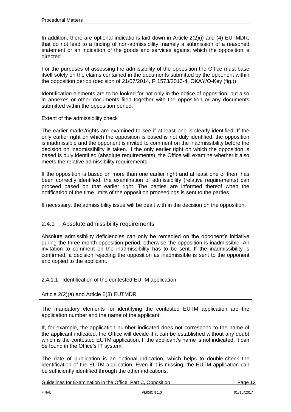In addition, there are optional indications laid down in Article 2(2)(i) and (4) EUTMDR, that do not lead to a finding of non-admissibility, namely a submission of a reasoned statement or an indication of the goods and services against which the opposition is directed.

For the purposes of assessing the admissibility of the opposition the Office must base itself solely on the claims contained in the documents submitted by the opponent within the opposition period (decision of 21/07/2014, R 1573/2013-4, OKAY/O-Key (fig.)).

Identification elements are to be looked for not only in the notice of opposition, but also in annexes or other documents filed together with the opposition or any documents submitted within the opposition period.

#### Extent of the admissibility check

The earlier marks/rights are examined to see if at least one is clearly identified. If the only earlier right on which the opposition is based is not duly identified, the opposition is inadmissible and the opponent is invited to comment on the inadmissibility before the decision on inadmissibility is taken. If the only earlier right on which the opposition is based is duly identified (absolute requirements), the Office will examine whether it also meets the relative admissibility requirements.

If the opposition is based on more than one earlier right and at least one of them has been correctly identified, the examination of admissibility (relative requirements) can proceed based on that earlier right. The parties are informed thereof when the notification of the time limits of the opposition proceedings is sent to the parties.

If necessary, the admissibility issue will be dealt with in the decision on the opposition.

#### <span id="page-12-0"></span>2.4.1 Absolute admissibility requirements

Absolute admissibility deficiencies can only be remedied on the opponent's initiative during the three-month opposition period, otherwise the opposition is inadmissible. An invitation to comment on the inadmissibility has to be sent. If the inadmissibility is confirmed, a decision rejecting the opposition as inadmissible is sent to the opponent and copied to the applicant.

#### <span id="page-12-1"></span>2.4.1.1 Identification of the contested EUTM application

#### Article 2(2)(a) and Article 5(3) EUTMDR

The mandatory elements for identifying the contested EUTM application are the application number and the name of the applicant.

If, for example, the application number indicated does not correspond to the name of the applicant indicated, the Office will decide if it can be established without any doubt which is the contested EUTM application. If the applicant's name is not indicated, it can be found in the Office's IT system.

The date of publication is an optional indication, which helps to double-check the identification of the EUTM application. Even if it is missing, the EUTM application can be sufficiently identified through the other indications.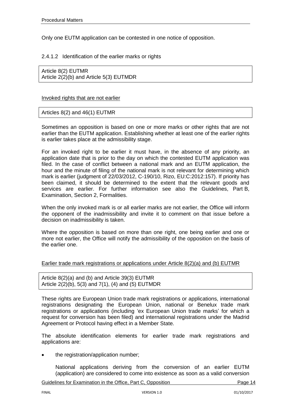Only one EUTM application can be contested in one notice of opposition.

#### <span id="page-13-0"></span>2.4.1.2 Identification of the earlier marks or rights

Article 8(2) EUTMR Article 2(2)(b) and Article 5(3) EUTMDR

#### Invoked rights that are not earlier

Articles 8(2) and 46(1) EUTMR

Sometimes an opposition is based on one or more marks or other rights that are not earlier than the EUTM application. Establishing whether at least one of the earlier rights is earlier takes place at the admissibility stage.

For an invoked right to be earlier it must have, in the absence of any priority, an application date that is prior to the day on which the contested EUTM application was filed. In the case of conflict between a national mark and an EUTM application, the hour and the minute of filing of the national mark is not relevant for determining which mark is earlier (judgment of 22/03/2012, C-190/10, Rizo, EU:C:2012:157). If priority has been claimed, it should be determined to the extent that the relevant goods and services are earlier. For further information see also the Guidelines, Part B, Examination, Section 2, Formalities.

When the only invoked mark is or all earlier marks are not earlier, the Office will inform the opponent of the inadmissibility and invite it to comment on that issue before a decision on inadmissibility is taken.

Where the opposition is based on more than one right, one being earlier and one or more not earlier, the Office will notify the admissibility of the opposition on the basis of the earlier one.

#### Earlier trade mark registrations or applications under Article 8(2)(a) and (b) EUTMR

Article 8(2)(a) and (b) and Article 39(3) EUTMR Article 2(2)(b), 5(3) and 7(1), (4) and (5) EUTMDR

These rights are European Union trade mark registrations or applications, international registrations designating the European Union, national or Benelux trade mark registrations or applications (including 'ex European Union trade marks' for which a request for conversion has been filed) and international registrations under the Madrid Agreement or Protocol having effect in a Member State.

The absolute identification elements for earlier trade mark registrations and applications are:

the registration/application number;

National applications deriving from the conversion of an earlier EUTM (application) are considered to come into existence as soon as a valid conversion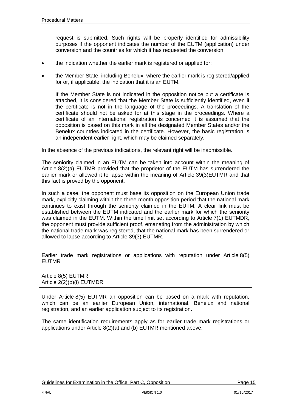request is submitted. Such rights will be properly identified for admissibility purposes if the opponent indicates the number of the EUTM (application) under conversion and the countries for which it has requested the conversion.

- the indication whether the earlier mark is registered or applied for;
- the Member State, including Benelux, where the earlier mark is registered/applied for or, if applicable, the indication that it is an EUTM.

If the Member State is not indicated in the opposition notice but a certificate is attached, it is considered that the Member State is sufficiently identified, even if the certificate is not in the language of the proceedings. A translation of the certificate should not be asked for at this stage in the proceedings. Where a certificate of an international registration is concerned it is assumed that the opposition is based on this mark in all the designated Member States and/or the Benelux countries indicated in the certificate. However, the basic registration is an independent earlier right, which may be claimed separately.

In the absence of the previous indications, the relevant right will be inadmissible.

The seniority claimed in an EUTM can be taken into account within the meaning of Article 8(2)(a) EUTMR provided that the proprietor of the EUTM has surrendered the earlier mark or allowed it to lapse within the meaning of Article 39(3)EUTMR and that this fact is proved by the opponent.

In such a case, the opponent must base its opposition on the European Union trade mark, explicitly claiming within the three-month opposition period that the national mark continues to exist through the seniority claimed in the EUTM. A clear link must be established between the EUTM indicated and the earlier mark for which the seniority was claimed in the EUTM. Within the time limit set according to Article 7(1) EUTMDR, the opponent must provide sufficient proof, emanating from the administration by which the national trade mark was registered, that the national mark has been surrendered or allowed to lapse according to Article 39(3) EUTMR.

Earlier trade mark registrations or applications with reputation under Article 8(5) EUTMR

| Article 8(5) EUTMR        |  |
|---------------------------|--|
| Article 2(2)(b)(i) EUTMDR |  |

Under Article 8(5) EUTMR an opposition can be based on a mark with reputation, which can be an earlier European Union, international, Benelux and national registration, and an earlier application subject to its registration.

The same identification requirements apply as for earlier trade mark registrations or applications under Article 8(2)(a) and (b) EUTMR mentioned above.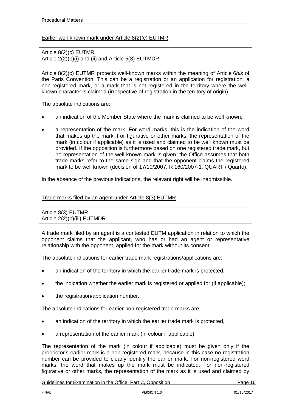#### Earlier well-known mark under Article 8(2)(c) EUTMR

Article 8(2)(c) EUTMR Article 2(2)(b)(i) and (ii) and Article 5(3) EUTMDR

Article 8(2)(c) EUTMR protects well-known marks within the meaning of Article 6*bis* of the Paris Convention. This can be a registration or an application for registration, a non-registered mark, or a mark that is not registered in the territory where the wellknown character is claimed (irrespective of registration in the territory of origin).

The absolute indications are:

- an indication of the Member State where the mark is claimed to be well known;
- a representation of the mark. For word marks, this is the indication of the word that makes up the mark. For figurative or other marks, the representation of the mark (in colour if applicable) as it is used and claimed to be well known must be provided. If the opposition is furthermore based on one registered trade mark, but no representation of the well-known mark is given, the Office assumes that both trade marks refer to the same sign and that the opponent claims the registered mark to be well known (decision of 17/10/2007, R 160/2007-1, QUART / Quarto).

In the absence of the previous indications, the relevant right will be inadmissible.

#### Trade marks filed by an agent under Article 8(3) EUTMR

Article 8(3) EUTMR Article 2(2)(b)(iii) EUTMDR

A trade mark filed by an agent is a contested EUTM application in relation to which the opponent claims that the applicant, who has or had an agent or representative relationship with the opponent, applied for the mark without its consent.

The absolute indications for earlier trade mark registrations/applications are:

- an indication of the territory in which the earlier trade mark is protected,
- the indication whether the earlier mark is registered or applied for (if applicable);
- the registration/application number.

The absolute indications for earlier non-registered trade marks are:

- an indication of the territory in which the earlier trade mark is protected,
- a representation of the earlier mark (in colour if applicable),

The representation of the mark (in colour if applicable) must be given only if the proprietor's earlier mark is a non-registered mark, because in this case no registration number can be provided to clearly identify the earlier mark. For non-registered word marks, the word that makes up the mark must be indicated. For non-registered figurative or other marks, the representation of the mark as it is used and claimed by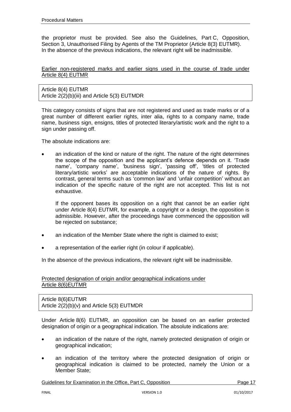the proprietor must be provided. See also the Guidelines, Part C, Opposition, Section 3, Unauthorised Filing by Agents of the TM Proprietor (Article 8(3) EUTMR). In the absence of the previous indications, the relevant right will be inadmissible.

#### Earlier non-registered marks and earlier signs used in the course of trade under Article 8(4) EUTMR

Article 8(4) EUTMR Article 2(2)(b)(iii) and Article 5(3) EUTMDR

This category consists of signs that are not registered and used as trade marks or of a great number of different earlier rights, inter alia, rights to a company name, trade name, business sign, ensigns, titles of protected literary/artistic work and the right to a sign under passing off.

The absolute indications are:

 an indication of the kind or nature of the right. The nature of the right determines the scope of the opposition and the applicant's defence depends on it. 'Trade name', 'company name', 'business sign', 'passing off', 'titles of protected literary/artistic works' are acceptable indications of the nature of rights. By contrast, general terms such as 'common law' and 'unfair competition' without an indication of the specific nature of the right are not accepted. This list is not exhaustive.

If the opponent bases its opposition on a right that cannot be an earlier right under Article 8(4) EUTMR, for example, a copyright or a design, the opposition is admissible. However, after the proceedings have commenced the opposition will be rejected on substance;

- an indication of the Member State where the right is claimed to exist:
- a representation of the earlier right (in colour if applicable).

In the absence of the previous indications, the relevant right will be inadmissible.

Protected designation of origin and/or geographical indications under Article 8(6)EUTMR

Article 8(6)EUTMR Article 2(2)(b)(v) and Article 5(3) EUTMDR

Under Article 8(6) EUTMR, an opposition can be based on an earlier protected designation of origin or a geographical indication. The absolute indications are:

- an indication of the nature of the right, namely protected designation of origin or geographical indication;
- an indication of the territory where the protected designation of origin or geographical indication is claimed to be protected, namely the Union or a Member State;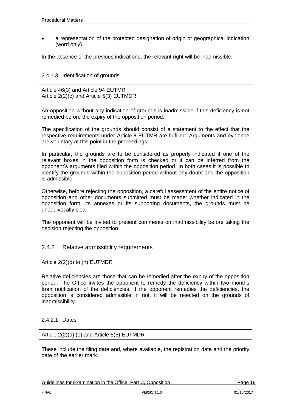a representation of the protected designation of origin or geographical indication (word only).

In the absence of the previous indications, the relevant right will be inadmissible.

#### <span id="page-17-0"></span>2.4.1.3 Identification of grounds

Article 46(3) and Article 94 EUTMR Article 2(2)(c) and Article 5(3) EUTMDR

An opposition without any indication of grounds is inadmissible if this deficiency is not remedied before the expiry of the opposition period.

The specification of the grounds should consist of a statement to the effect that the respective requirements under Article 8 EUTMR are fulfilled. Arguments and evidence are voluntary at this point in the proceedings.

In particular, the grounds are to be considered as properly indicated if one of the relevant boxes in the opposition form is checked or it can be inferred from the opponent's arguments filed within the opposition period. In both cases it is possible to identify the grounds within the opposition period without any doubt and the opposition is admissible.

Otherwise, before rejecting the opposition, a careful assessment of the entire notice of opposition and other documents submitted must be made: whether indicated in the opposition form, its annexes or its supporting documents, the grounds must be unequivocally clear.

The opponent will be invited to present comments on inadmissibility before taking the decision rejecting the opposition.

### <span id="page-17-1"></span>2.4.2 Relative admissibility requirements

Article 2(2)(d) to (h) EUTMDR

Relative deficiencies are those that can be remedied after the expiry of the opposition period. The Office invites the opponent to remedy the deficiency within two months from notification of the deficiencies. If the opponent remedies the deficiencies, the opposition is considered admissible; if not, it will be rejected on the grounds of inadmissibility.

#### <span id="page-17-2"></span>2.4.2.1 Dates

Article 2(2)(d),(e) and Article 5(5) EUTMDR

These include the filing date and, where available, the registration date and the priority date of the earlier mark.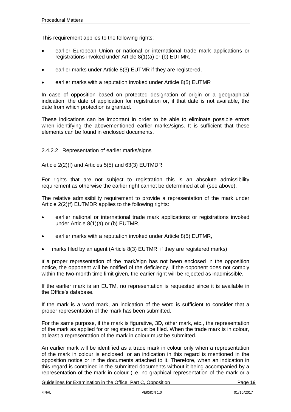This requirement applies to the following rights:

- earlier European Union or national or international trade mark applications or registrations invoked under Article 8(1)(a) or (b) EUTMR,
- earlier marks under Article 8(3) EUTMR if they are registered,
- earlier marks with a reputation invoked under Article 8(5) EUTMR

In case of opposition based on protected designation of origin or a geographical indication, the date of application for registration or, if that date is not available, the date from which protection is granted.

These indications can be important in order to be able to eliminate possible errors when identifying the abovementioned earlier marks/signs. It is sufficient that these elements can be found in enclosed documents.

#### <span id="page-18-0"></span>2.4.2.2 Representation of earlier marks/signs

#### Article 2(2)(f) and Articles 5(5) and 63(3) EUTMDR

For rights that are not subject to registration this is an absolute admissibility requirement as otherwise the earlier right cannot be determined at all (see above).

The relative admissibility requirement to provide a representation of the mark under Article 2(2)(f) EUTMDR applies to the following rights:

- earlier national or international trade mark applications or registrations invoked under Article 8(1)(a) or (b) EUTMR,
- earlier marks with a reputation invoked under Article 8(5) EUTMR,
- marks filed by an agent (Article 8(3) EUTMR, if they are registered marks).

If a proper representation of the mark/sign has not been enclosed in the opposition notice, the opponent will be notified of the deficiency. If the opponent does not comply within the two-month time limit given, the earlier right will be rejected as inadmissible.

If the earlier mark is an EUTM, no representation is requested since it is available in the Office's database.

If the mark is a word mark, an indication of the word is sufficient to consider that a proper representation of the mark has been submitted.

For the same purpose, if the mark is figurative, 3D, other mark, etc., the representation of the mark as applied for or registered must be filed. When the trade mark is in colour, at least a representation of the mark in colour must be submitted.

An earlier mark will be identified as a trade mark in colour only when a representation of the mark in colour is enclosed, or an indication in this regard is mentioned in the opposition notice or in the documents attached to it. Therefore, when an indication in this regard is contained in the submitted documents without it being accompanied by a representation of the mark in colour (i.e. no graphical representation of the mark or a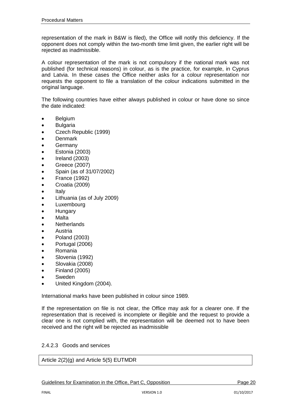representation of the mark in B&W is filed), the Office will notify this deficiency. If the opponent does not comply within the two-month time limit given, the earlier right will be rejected as inadmissible.

A colour representation of the mark is not compulsory if the national mark was not published (for technical reasons) in colour, as is the practice, for example, in Cyprus and Latvia. In these cases the Office neither asks for a colour representation nor requests the opponent to file a translation of the colour indications submitted in the original language.

The following countries have either always published in colour or have done so since the date indicated:

- Belgium
- Bulgaria
- Czech Republic (1999)
- Denmark
- Germany
- Estonia (2003)
- Ireland (2003)
- Greece (2007)
- Spain (as of 31/07/2002)
- France (1992)
- Croatia (2009)
- Italy
- Lithuania (as of July 2009)
- Luxembourg
- **Hungary**
- Malta
- Netherlands
- Austria
- Poland (2003)
- Portugal (2006)
- Romania
- Slovenia (1992)
- Slovakia (2008)
- Finland (2005)
- Sweden
- United Kingdom (2004).

International marks have been published in colour since 1989.

If the representation on file is not clear, the Office may ask for a clearer one. If the representation that is received is incomplete or illegible and the request to provide a clear one is not complied with, the representation will be deemed not to have been received and the right will be rejected as inadmissible

#### <span id="page-19-0"></span>2.4.2.3 Goods and services

Article 2(2)(g) and Article 5(5) EUTMDR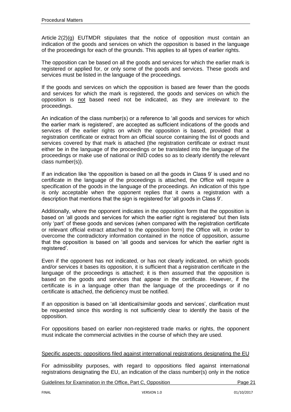Article 2(2)(g) EUTMDR stipulates that the notice of opposition must contain an indication of the goods and services on which the opposition is based in the language of the proceedings for each of the grounds. This applies to all types of earlier rights.

The opposition can be based on all the goods and services for which the earlier mark is registered or applied for, or only some of the goods and services. These goods and services must be listed in the language of the proceedings.

If the goods and services on which the opposition is based are fewer than the goods and services for which the mark is registered, the goods and services on which the opposition is not based need not be indicated, as they are irrelevant to the proceedings.

An indication of the class number(s) or a reference to 'all goods and services for which the earlier mark is registered', are accepted as sufficient indications of the goods and services of the earlier rights on which the opposition is based, provided that a registration certificate or extract from an official source containing the list of goods and services covered by that mark is attached (the registration certificate or extract must either be in the language of the proceedings or be translated into the language of the proceedings or make use of national or INID codes so as to clearly identify the relevant class number(s)).

If an indication like 'the opposition is based on all the goods in Class 9' is used and no certificate in the language of the proceedings is attached, the Office will require a specification of the goods in the language of the proceedings. An indication of this type is only acceptable when the opponent replies that it owns a registration with a description that mentions that the sign is registered for 'all goods in Class 9'.

Additionally, where the opponent indicates in the opposition form that the opposition is based on 'all goods and services for which the earlier right is registered' but then lists only 'part' of these goods and services (when compared with the registration certificate or relevant official extract attached to the opposition form) the Office will, in order to overcome the contradictory information contained in the notice of opposition, assume that the opposition is based on 'all goods and services for which the earlier right is registered'.

Even if the opponent has not indicated, or has not clearly indicated, on which goods and/or services it bases its opposition, it is sufficient that a registration certificate in the language of the proceedings is attached; it is then assumed that the opposition is based on the goods and services that appear in the certificate. However, if the certificate is in a language other than the language of the proceedings or if no certificate is attached, the deficiency must be notified.

If an opposition is based on 'all identical/similar goods and services', clarification must be requested since this wording is not sufficiently clear to identify the basis of the opposition.

For oppositions based on earlier non-registered trade marks or rights, the opponent must indicate the commercial activities in the course of which they are used.

#### Specific aspects: oppositions filed against international registrations designating the EU

For admissibility purposes, with regard to oppositions filed against international registrations designating the EU, an indication of the class number(s) only in the notice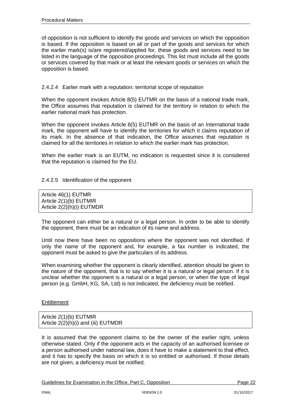of opposition is not sufficient to identify the goods and services on which the opposition is based. If the opposition is based on all or part of the goods and services for which the earlier mark(s) is/are registered/applied for, these goods and services need to be listed in the language of the opposition proceedings. This list must include all the goods or services covered by that mark or at least the relevant goods or services on which the opposition is based.

#### <span id="page-21-0"></span>2.4.2.4 Earlier mark with a reputation: territorial scope of reputation

When the opponent invokes Article 8(5) EUTMR on the basis of a national trade mark, the Office assumes that reputation is claimed for the territory in relation to which the earlier national mark has protection.

When the opponent invokes Article 8(5) EUTMR on the basis of an International trade mark, the opponent will have to identify the territories for which it claims reputation of its mark. In the absence of that indication, the Office assumes that reputation is claimed for all the territories in relation to which the earlier mark has protection.

When the earlier mark is an EUTM, no indication is requested since it is considered that the reputation is claimed for the EU.

#### <span id="page-21-1"></span>2.4.2.5 Identification of the opponent

Article 46(1) EUTMR Article 2(1)(b) EUTMIR Article 2(2)(h)(i) EUTMDR

The opponent can either be a natural or a legal person. In order to be able to identify the opponent, there must be an indication of its name and address.

Until now there have been no oppositions where the opponent was not identified. If only the name of the opponent and, for example, a fax number is indicated, the opponent must be asked to give the particulars of its address.

When examining whether the opponent is clearly identified, attention should be given to the nature of the opponent, that is to say whether it is a natural or legal person. If it is unclear whether the opponent is a natural or a legal person, or when the type of legal person (e.g. GmbH, KG, SA, Ltd) is not indicated, the deficiency must be notified.

#### **Entitlement**

Article 2(1)(b) EUTMIR Article 2(2)(h)(i) and (iii) EUTMDR

It is assumed that the opponent claims to be the owner of the earlier right, unless otherwise stated. Only if the opponent acts in the capacity of an authorised licensee or a person authorised under national law, does it have to make a statement to that effect, and it has to specify the basis on which it is so entitled or authorised. If those details are not given, a deficiency must be notified.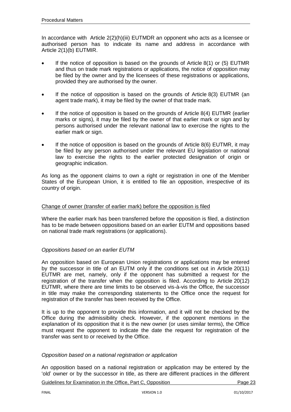In accordance with Article 2(2)(h)(iii) EUTMDR an opponent who acts as a licensee or authorised person has to indicate its name and address in accordance with Article 2(1)(b) EUTMIR.

- If the notice of opposition is based on the grounds of Article 8(1) or (5) EUTMR and thus on trade mark registrations or applications, the notice of opposition may be filed by the owner and by the licensees of these registrations or applications, provided they are authorised by the owner.
- If the notice of opposition is based on the grounds of Article 8(3) EUTMR (an agent trade mark), it may be filed by the owner of that trade mark.
- If the notice of opposition is based on the grounds of Article 8(4) EUTMR (earlier marks or signs), it may be filed by the owner of that earlier mark or sign and by persons authorised under the relevant national law to exercise the rights to the earlier mark or sign.
- If the notice of opposition is based on the grounds of Article 8(6) EUTMR, it may be filed by any person authorised under the relevant EU legislation or national law to exercise the rights to the earlier protected designation of origin or geographic indication.

As long as the opponent claims to own a right or registration in one of the Member States of the European Union, it is entitled to file an opposition, irrespective of its country of origin.

#### Change of owner (transfer of earlier mark) before the opposition is filed

Where the earlier mark has been transferred before the opposition is filed, a distinction has to be made between oppositions based on an earlier EUTM and oppositions based on national trade mark registrations (or applications).

#### *Oppositions based on an earlier EUTM*

An opposition based on European Union registrations or applications may be entered by the successor in title of an EUTM only if the conditions set out in Article 20(11) EUTMR are met, namely, only if the opponent has submitted a request for the registration of the transfer when the opposition is filed. According to Article 20(12) EUTMR, where there are time limits to be observed vis-à-vis the Office, the successor in title may make the corresponding statements to the Office once the request for registration of the transfer has been received by the Office.

It is up to the opponent to provide this information, and it will not be checked by the Office during the admissibility check. However, if the opponent mentions in the explanation of its opposition that it is the new owner (or uses similar terms), the Office must request the opponent to indicate the date the request for registration of the transfer was sent to or received by the Office.

#### *Opposition based on a national registration or application*

An opposition based on a national registration or application may be entered by the 'old' owner or by the successor in title, as there are different practices in the different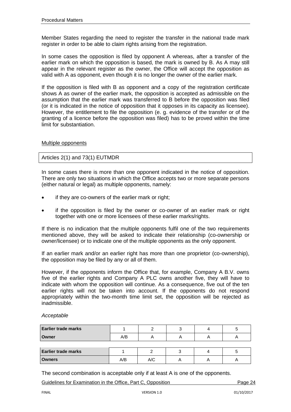Member States regarding the need to register the transfer in the national trade mark register in order to be able to claim rights arising from the registration.

In some cases the opposition is filed by opponent A whereas, after a transfer of the earlier mark on which the opposition is based, the mark is owned by B. As A may still appear in the relevant register as the owner, the Office will accept the opposition as valid with A as opponent, even though it is no longer the owner of the earlier mark.

If the opposition is filed with B as opponent and a copy of the registration certificate shows A as owner of the earlier mark, the opposition is accepted as admissible on the assumption that the earlier mark was transferred to B before the opposition was filed (or it is indicated in the notice of opposition that it opposes in its capacity as licensee). However, the entitlement to file the opposition (e. g. evidence of the transfer or of the granting of a licence before the opposition was filed) has to be proved within the time limit for substantiation.

#### Multiple opponents

#### Articles 2(1) and 73(1) EUTMDR

In some cases there is more than one opponent indicated in the notice of opposition. There are only two situations in which the Office accepts two or more separate persons (either natural or legal) as multiple opponents, namely:

- if they are co-owners of the earlier mark or right;
- if the opposition is filed by the owner or co-owner of an earlier mark or right together with one or more licensees of these earlier marks/rights.

If there is no indication that the multiple opponents fulfil one of the two requirements mentioned above, they will be asked to indicate their relationship (co-ownership or owner/licensee) or to indicate one of the multiple opponents as the only opponent.

If an earlier mark and/or an earlier right has more than one proprietor (co-ownership), the opposition may be filed by any or all of them.

However, if the opponents inform the Office that, for example, Company A B.V. owns five of the earlier rights and Company A PLC owns another five, they will have to indicate with whom the opposition will continue. As a consequence, five out of the ten earlier rights will not be taken into account. If the opponents do not respond appropriately within the two-month time limit set, the opposition will be rejected as inadmissible.

*Acceptable*

| <b>Earlier trade marks</b> |     |     |  |  |
|----------------------------|-----|-----|--|--|
| Owner                      | A/B |     |  |  |
|                            |     |     |  |  |
| <b>Earlier trade marks</b> |     |     |  |  |
| <b>Owners</b>              | A/B | A/C |  |  |

The second combination is acceptable only if at least A is one of the opponents.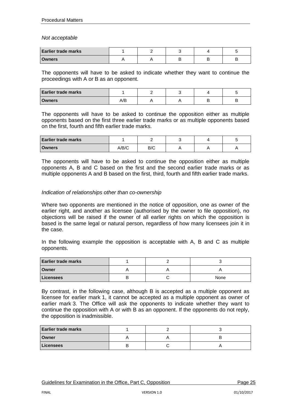*Not acceptable*

| <b>Earlier trade marks</b> |  |  |  |
|----------------------------|--|--|--|
| <b>Owners</b>              |  |  |  |

The opponents will have to be asked to indicate whether they want to continue the proceedings with A or B as an opponent.

| <b>Earlier trade marks</b> |    |  |  |
|----------------------------|----|--|--|
| <b>Owners</b>              | ט∽ |  |  |

The opponents will have to be asked to continue the opposition either as multiple opponents based on the first three earlier trade marks or as multiple opponents based on the first, fourth and fifth earlier trade marks.

| <b>Earlier trade marks</b> |       |     |  |  |
|----------------------------|-------|-----|--|--|
| <b>Owners</b>              | A/B/C | B/C |  |  |

The opponents will have to be asked to continue the opposition either as multiple opponents A, B and C based on the first and the second earlier trade marks or as multiple opponents A and B based on the first, third, fourth and fifth earlier trade marks.

#### *Indication of relationships other than co-ownership*

Where two opponents are mentioned in the notice of opposition, one as owner of the earlier right, and another as licensee (authorised by the owner to file opposition), no objections will be raised if the owner of all earlier rights on which the opposition is based is the same legal or natural person, regardless of how many licensees join it in the case.

In the following example the opposition is acceptable with A, B and C as multiple opponents.

| <b>Earlier trade marks</b> |  |      |
|----------------------------|--|------|
| Owner                      |  |      |
| Licensees                  |  | None |

By contrast, in the following case, although B is accepted as a multiple opponent as licensee for earlier mark 1, it cannot be accepted as a multiple opponent as owner of earlier mark 3. The Office will ask the opponents to indicate whether they want to continue the opposition with A or with B as an opponent. If the opponents do not reply, the opposition is inadmissible.

| <b>Earlier trade marks</b> |  |  |
|----------------------------|--|--|
| <b>Owner</b>               |  |  |
| Licensees                  |  |  |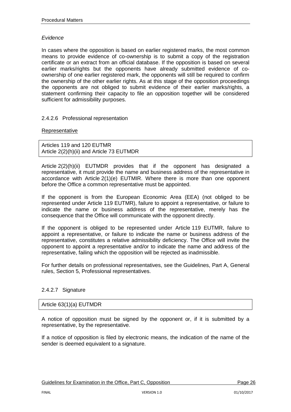#### *Evidence*

In cases where the opposition is based on earlier registered marks, the most common means to provide evidence of co-ownership is to submit a copy of the registration certificate or an extract from an official database. If the opposition is based on several earlier marks/rights but the opponents have already submitted evidence of coownership of one earlier registered mark, the opponents will still be required to confirm the ownership of the other earlier rights. As at this stage of the opposition proceedings the opponents are not obliged to submit evidence of their earlier marks/rights, a statement confirming their capacity to file an opposition together will be considered sufficient for admissibility purposes.

#### <span id="page-25-0"></span>2.4.2.6 Professional representation

#### **Representative**

Articles 119 and 120 EUTMR Article 2(2)(h)(ii) and Article 73 EUTMDR

Article 2(2)(h)(ii) EUTMDR provides that if the opponent has designated a representative, it must provide the name and business address of the representative in accordance with Article 2(1)(e) EUTMIR. Where there is more than one opponent before the Office a common representative must be appointed.

If the opponent is from the European Economic Area (EEA) (not obliged to be represented under Article 119 EUTMR), failure to appoint a representative, or failure to indicate the name or business address of the representative, merely has the consequence that the Office will communicate with the opponent directly.

If the opponent is obliged to be represented under Article 119 EUTMR, failure to appoint a representative, or failure to indicate the name or business address of the representative, constitutes a relative admissibility deficiency. The Office will invite the opponent to appoint a representative and/or to indicate the name and address of the representative, failing which the opposition will be rejected as inadmissible.

For further details on professional representatives, see the Guidelines, Part A, General rules, Section 5, Professional representatives.

#### <span id="page-25-1"></span>2.4.2.7 Signature

#### Article 63(1)(a) EUTMDR

A notice of opposition must be signed by the opponent or, if it is submitted by a representative, by the representative.

If a notice of opposition is filed by electronic means, the indication of the name of the sender is deemed equivalent to a signature.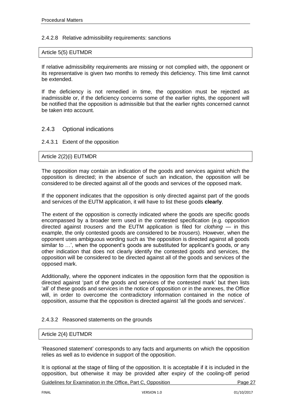#### <span id="page-26-0"></span>2.4.2.8 Relative admissibility requirements: sanctions

#### Article 5(5) EUTMDR

If relative admissibility requirements are missing or not complied with, the opponent or its representative is given two months to remedy this deficiency. This time limit cannot be extended.

If the deficiency is not remedied in time, the opposition must be rejected as inadmissible or, if the deficiency concerns some of the earlier rights, the opponent will be notified that the opposition is admissible but that the earlier rights concerned cannot be taken into account.

#### <span id="page-26-1"></span>2.4.3 Optional indications

#### <span id="page-26-2"></span>2.4.3.1 Extent of the opposition

#### Article 2(2)(i) EUTMDR

The opposition may contain an indication of the goods and services against which the opposition is directed; in the absence of such an indication, the opposition will be considered to be directed against all of the goods and services of the opposed mark.

If the opponent indicates that the opposition is only directed against part of the goods and services of the EUTM application, it will have to list these goods **clearly**.

The extent of the opposition is correctly indicated where the goods are specific goods encompassed by a broader term used in the contested specification (e.g. opposition directed against *trousers* and the EUTM application is filed for *clothing* — in this example, the only contested goods are considered to be *trousers*). However, when the opponent uses ambiguous wording such as 'the opposition is directed against all goods similar to …', when the opponent's goods are substituted for applicant's goods, or any other indication that does not clearly identify the contested goods and services, the opposition will be considered to be directed against all of the goods and services of the opposed mark.

Additionally, where the opponent indicates in the opposition form that the opposition is directed against 'part of the goods and services of the contested mark' but then lists 'all' of these goods and services in the notice of opposition or in the annexes, the Office will, in order to overcome the contradictory information contained in the notice of opposition, assume that the opposition is directed against 'all the goods and services'.

#### <span id="page-26-3"></span>2.4.3.2 Reasoned statements on the grounds

#### Article 2(4) EUTMDR

'Reasoned statement' corresponds to any facts and arguments on which the opposition relies as well as to evidence in support of the opposition.

It is optional at the stage of filing of the opposition. It is acceptable if it is included in the opposition, but otherwise it may be provided after expiry of the cooling-off period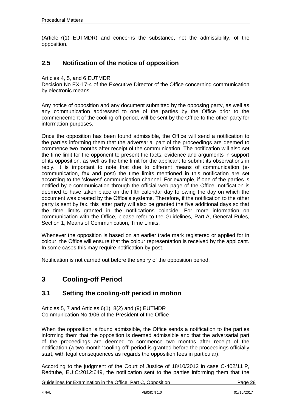(Article 7(1) EUTMDR) and concerns the substance, not the admissibility, of the opposition.

## <span id="page-27-0"></span>**2.5 Notification of the notice of opposition**

Articles 4, 5, and 6 EUTMDR Decision No EX-17-4 [of the Executive Director](http://oami.europa.eu/ows/rw/resource/documents/CTM/legalReferences/decisionPresident/ex113en.pdf) of the Office concerning communication by electronic means

Any notice of opposition and any document submitted by the opposing party, as well as any communication addressed to one of the parties by the Office prior to the commencement of the cooling-off period, will be sent by the Office to the other party for information purposes.

Once the opposition has been found admissible, the Office will send a notification to the parties informing them that the adversarial part of the proceedings are deemed to commence two months after receipt of the communication. The notification will also set the time limit for the opponent to present the facts, evidence and arguments in support of its opposition, as well as the time limit for the applicant to submit its observations in reply. It is important to note that due to different means of communication (ecommunication, fax and post) the time limits mentioned in this notification are set according to the 'slowest' communication channel. For example, if one of the parties is notified by e-communication through the official web page of the Office, notification is deemed to have taken place on the fifth calendar day following the day on which the document was created by the Office's systems. Therefore, if the notification to the other party is sent by fax, this latter party will also be granted the five additional days so that the time limits granted in the notifications coincide. For more information on communication with the Office, please refer to the Guidelines, Part A, General Rules, Section 1, Means of Communication, Time Limits.

Whenever the opposition is based on an earlier trade mark registered or applied for in colour, the Office will ensure that the colour representation is received by the applicant. In some cases this may require notification by post.

Notification is not carried out before the expiry of the opposition period.

## <span id="page-27-1"></span>**3 Cooling-off Period**

## <span id="page-27-2"></span>**3.1 Setting the cooling-off period in motion**

Articles 5, 7 and Articles 6(1), 8(2) and (9) EUTMDR Communication No [1/06 of the President of the Office](http://oami.europa.eu/en/office/aspects/pdf/co1-06en.pdf)

When the opposition is found admissible, the Office sends a notification to the parties informing them that the opposition is deemed admissible and that the adversarial part of the proceedings are deemed to commence two months after receipt of the notification (a two-month 'cooling-off' period is granted before the proceedings officially start, with legal consequences as regards the opposition fees in particular).

According to the judgment of the Court of Justice of 18/10/2012 in case C-402/11 P, Redtube, EU:C:2012:649, the notification sent to the parties informing them that the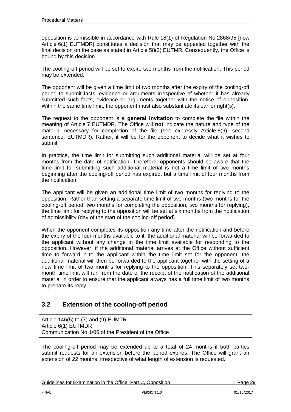opposition is admissible in accordance with Rule 18(1) of Regulation No 2868/95 [now Article 6(1) EUTMDR] constitutes a decision that may be appealed together with the final decision on the case as stated in Article 58(2) EUTMR. Consequently, the Office is bound by this decision.

The cooling-off period will be set to expire two months from the notification. This period may be extended.

The opponent will be given a time limit of two months after the expiry of the cooling-off period to submit facts, evidence or arguments irrespective of whether it has already submitted such facts, evidence or arguments together with the notice of opposition. Within the same time limit, the opponent must also substantiate its earlier right(s).

The request to the opponent is a **general invitation** to complete the file within the meaning of Article 7 EUTMDR. The Office will **not** indicate the nature and type of the material necessary for completion of the file (see expressly Article 8(9), second sentence, EUTMDR). Rather, it will be for the opponent to decide what it wishes to submit.

In practice, the time limit for submitting such additional material will be set at four months from the date of notification. Therefore, opponents should be aware that the time limit for submitting such additional material is not a time limit of two months beginning after the cooling-off period has expired, but a time limit of four months from the notification.

The applicant will be given an additional time limit of two months for replying to the opposition. Rather than setting a separate time limit of two months (two months for the cooling-off period, two months for completing the opposition, two months for replying), the time limit for replying to the opposition will be set at six months from the notification of admissibility (day of the start of the cooling-off period).

When the opponent completes its opposition any time after the notification and before the expiry of the four months available to it, the additional material will be forwarded to the applicant without any change in the time limit available for responding to the opposition. However, if the additional material arrives at the Office without sufficient time to forward it to the applicant within the time limit set for the opponent, the additional material will then be forwarded to the applicant together with the setting of a new time limit of two months for replying to the opposition. This separately set twomonth time limit will run from the date of the receipt of the notification of the additional material in order to ensure that the applicant always has a full time limit of two months to prepare its reply.

## <span id="page-28-0"></span>**3.2 Extension of the cooling-off period**

Article 146(5) to (7) and (9) EUMTR Article 6(1) EUTMDR Communication No [1/06 of the President of the Office](http://oami.europa.eu/en/office/aspects/pdf/co1-06en.pdf)

The cooling-off period may be extended up to a total of 24 months if both parties submit requests for an extension before the period expires. The Office will grant an extension of 22 months, irrespective of what length of extension is requested.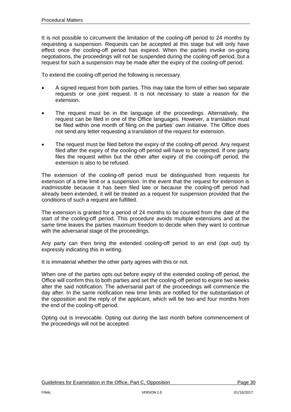It is not possible to circumvent the limitation of the cooling-off period to 24 months by requesting a suspension. Requests can be accepted at this stage but will only have effect once the cooling-off period has expired. When the parties invoke on-going negotiations, the proceedings will not be suspended during the cooling-off period, but a request for such a suspension may be made after the expiry of the cooling-off period.

To extend the cooling-off period the following is necessary.

- A signed request from both parties. This may take the form of either two separate requests or one joint request. It is not necessary to state a reason for the extension.
- The request must be in the language of the proceedings. Alternatively, the request can be filed in one of the Office languages. However, a translation must be filed within one month of filing on the parties' own initiative. The Office does not send any letter requesting a translation of the request for extension.
- The request must be filed before the expiry of the cooling-off period. Any request filed after the expiry of the cooling-off period will have to be rejected. If one party files the request within but the other after expiry of the cooling-off period, the extension is also to be refused.

The extension of the cooling-off period must be distinguished from requests for extension of a time limit or a suspension. In the event that the request for extension is inadmissible because it has been filed late or because the cooling-off period had already been extended, it will be treated as a request for suspension provided that the conditions of such a request are fulfilled.

The extension is granted for a period of 24 months to be counted from the date of the start of the cooling-off period. This procedure avoids multiple extensions and at the same time leaves the parties maximum freedom to decide when they want to continue with the adversarial stage of the proceedings.

Any party can then bring the extended cooling-off period to an end (opt out) by expressly indicating this in writing.

It is immaterial whether the other party agrees with this or not.

When one of the parties opts out before expiry of the extended cooling-off period, the Office will confirm this to both parties and set the cooling-off period to expire two weeks after the said notification. The adversarial part of the proceedings will commence the day after. In the same notification new time limits are notified for the substantiation of the opposition and the reply of the applicant, which will be two and four months from the end of the cooling-off period.

Opting out is irrevocable. Opting out during the last month before commencement of the proceedings will not be accepted.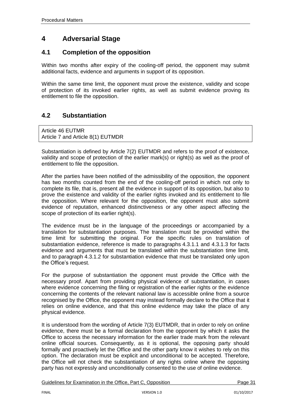## <span id="page-30-0"></span>**4 Adversarial Stage**

## <span id="page-30-1"></span>**4.1 Completion of the opposition**

Within two months after expiry of the cooling-off period, the opponent may submit additional facts, evidence and arguments in support of its opposition.

Within the same time limit, the opponent must prove the existence, validity and scope of protection of its invoked earlier rights, as well as submit evidence proving its entitlement to file the opposition.

## <span id="page-30-2"></span>**4.2 Substantiation**

Article 46 EUTMR Article 7 and Article 8(1) EUTMDR

Substantiation is defined by Article 7(2) EUTMDR and refers to the proof of existence, validity and scope of protection of the earlier mark(s) or right(s) as well as the proof of entitlement to file the opposition.

After the parties have been notified of the admissibility of the opposition, the opponent has two months counted from the end of the cooling-off period in which not only to complete its file, that is, present all the evidence in support of its opposition, but also to prove the existence and validity of the earlier rights invoked and its entitlement to file the opposition. Where relevant for the opposition, the opponent must also submit evidence of reputation, enhanced distinctiveness or any other aspect affecting the scope of protection of its earlier right(s).

The evidence must be in the language of the proceedings or accompanied by a translation for substantiation purposes. The translation must be provided within the time limit for submitting the original. For the specific rules on translation of substantiation evidence, reference is made to paragraphs 4.3.1.1 and 4.3.1.3 for facts evidence and arguments that must be translated within the substantiation time limit, and to paragraph 4.3.1.2 for substantiation evidence that must be translated only upon the Office's request.

For the purpose of substantiation the opponent must provide the Office with the necessary proof. Apart from providing physical evidence of substantiation, in cases where evidence concerning the filing or registration of the earlier rights or the evidence concerning the contents of the relevant national law is accessible online from a source recognised by the Office, the opponent may instead formally declare to the Office that it relies on online evidence, and that this online evidence may take the place of any physical evidence.

It is understood from the wording of Article 7(3) EUTMDR, that in order to rely on online evidence, there must be a formal declaration from the opponent by which it asks the Office to access the necessary information for the earlier trade mark from the relevant online official sources. Consequently, as it is optional, the opposing party should formally and proactively let the Office and the other party know it wishes to rely on this option. The declaration must be explicit and unconditional to be accepted. Therefore, the Office will not check the substantiation of any rights online where the opposing party has not expressly and unconditionally consented to the use of online evidence.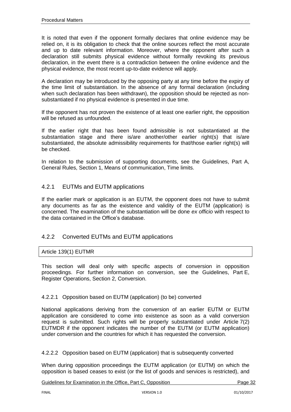It is noted that even if the opponent formally declares that online evidence may be relied on, it is its obligation to check that the online sources reflect the most accurate and up to date relevant information. Moreover, where the opponent after such a declaration still submits physical evidence without formally revoking its previous declaration, in the event there is a contradiction between the online evidence and the physical evidence, the most recent up-to-date evidence will apply.

A declaration may be introduced by the opposing party at any time before the expiry of the time limit of substantiation. In the absence of any formal declaration (including when such declaration has been withdrawn), the opposition should be rejected as nonsubstantiated if no physical evidence is presented in due time.

If the opponent has not proven the existence of at least one earlier right, the opposition will be refused as unfounded.

If the earlier right that has been found admissible is not substantiated at the substantiation stage and there is/are another/other earlier right(s) that is/are substantiated, the absolute admissibility requirements for that/those earlier right(s) will be checked.

In relation to the submission of supporting documents, see the Guidelines, Part A, General Rules, Section 1, Means of communication, Time limits.

## <span id="page-31-0"></span>4.2.1 EUTMs and EUTM applications

If the earlier mark or application is an EUTM, the opponent does not have to submit any documents as far as the existence and validity of the EUTM (application) is concerned. The examination of the substantiation will be done *ex officio* with respect to the data contained in the Office's database.

### <span id="page-31-1"></span>4.2.2 Converted EUTMs and EUTM applications

#### Article 139(1) EUTMR

This section will deal only with specific aspects of conversion in opposition proceedings. For further information on conversion, see the Guidelines, Part E, Register Operations, Section 2, Conversion.

#### <span id="page-31-2"></span>4.2.2.1 Opposition based on EUTM (application) (to be) converted

National applications deriving from the conversion of an earlier EUTM or EUTM application are considered to come into existence as soon as a valid conversion request is submitted. Such rights will be properly substantiated under Article 7(2) EUTMDR if the opponent indicates the number of the EUTM (or EUTM application) under conversion and the countries for which it has requested the conversion.

<span id="page-31-3"></span>4.2.2.2 Opposition based on EUTM (application) that is subsequently converted

When during opposition proceedings the EUTM application (or EUTM) on which the opposition is based ceases to exist (or the list of goods and services is restricted), and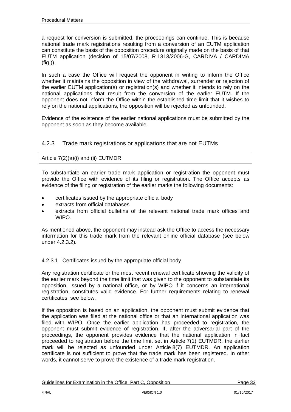a request for conversion is submitted, the proceedings can continue. This is because national trade mark registrations resulting from a conversion of an EUTM application can constitute the basis of the opposition procedure originally made on the basis of that EUTM application (decision of 15/07/2008, R 1313/2006-G, CARDIVA / CARDIMA (fig.)).

In such a case the Office will request the opponent in writing to inform the Office whether it maintains the opposition in view of the withdrawal, surrender or rejection of the earlier EUTM application(s) or registration(s) and whether it intends to rely on the national applications that result from the conversion of the earlier EUTM. If the opponent does not inform the Office within the established time limit that it wishes to rely on the national applications, the opposition will be rejected as unfounded.

Evidence of the existence of the earlier national applications must be submitted by the opponent as soon as they become available.

## <span id="page-32-0"></span>4.2.3 Trade mark registrations or applications that are not EUTMs

#### Article 7(2)(a)(i) and (ii) EUTMDR

To substantiate an earlier trade mark application or registration the opponent must provide the Office with evidence of its filing or registration. The Office accepts as evidence of the filing or registration of the earlier marks the following documents:

- certificates issued by the appropriate official body
- extracts from official databases
- extracts from official bulletins of the relevant national trade mark offices and WIPO.

As mentioned above, the opponent may instead ask the Office to access the necessary information for this trade mark from the relevant online official database (see below under 4.2.3.2).

#### <span id="page-32-1"></span>4.2.3.1 Certificates issued by the appropriate official body

Any registration certificate or the most recent renewal certificate showing the validity of the earlier mark beyond the time limit that was given to the opponent to substantiate its opposition, issued by a national office, or by WIPO if it concerns an international registration, constitutes valid evidence. For further requirements relating to renewal certificates, see below.

If the opposition is based on an application, the opponent must submit evidence that the application was filed at the national office or that an international application was filed with WIPO. Once the earlier application has proceeded to registration, the opponent must submit evidence of registration. If, after the adversarial part of the proceedings, the opponent provides evidence that the national application in fact proceeded to registration before the time limit set in Article 7(1) EUTMDR, the earlier mark will be rejected as unfounded under Article 8(7) EUTMDR. An application certificate is not sufficient to prove that the trade mark has been registered. In other words, it cannot serve to prove the existence of a trade mark registration.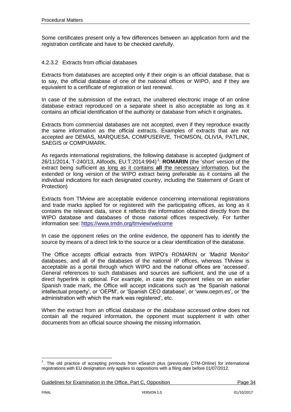Some certificates present only a few differences between an application form and the registration certificate and have to be checked carefully.

#### <span id="page-33-0"></span>4.2.3.2 Extracts from official databases

Extracts from databases are accepted only if their origin is an official database, that is to say, the official database of one of the national offices or WIPO, and if they are equivalent to a certificate of registration or last renewal.

In case of the submission of the extract, the unaltered electronic image of an online database extract reproduced on a separate sheet is also acceptable as long as it contains an official identification of the authority or database from which it originates**.**

Extracts from commercial databases are not accepted, even if they reproduce exactly the same information as the official extracts. Examples of extracts that are not accepted are DEMAS, MARQUESA, COMPUSERVE, THOMSON, OLIVIA, PATLINK, SAEGIS or COMPUMARK.

As regards international registrations, the following database is accepted (judgment of 26/11/2014, T-240/13, Alifoods, EU:T:2014:994) 1 : **ROMARIN** (the 'short' version of the extract being sufficient as long as it contains **all** the necessary information, but the extended or long version of the WIPO extract being preferable as it contains all the individual indications for each designated country, including the Statement of Grant of Protection)

Extracts from TMview are acceptable evidence concerning international registrations and trade marks applied for or registered with the participating offices, as long as it contains the relevant data, since it reflects the information obtained directly from the WIPO database and databases of those national offices respectively. For further information see:<https://www.tmdn.org/tmview/welcome>

In case the opponent relies on the online evidence, the opponent has to identify the source by means of a direct link to the source or a clear identification of the database.

The Office accepts official extracts from WIPO's ROMARIN or 'Madrid Monitor' databases, and all of the databases of the national IP offices, whereas TMview is acceptable as a portal through which WIPO and the national offices are 'accessed'. General references to such databases and sources are sufficient, and the use of a direct hyperlink is optional. For example, in case the opponent relies on an earlier Spanish trade mark, the Office will accept indications such as 'the Spanish national intellectual property', or 'OEPM', or 'Spanish CEO database', or ['www.oepm.es'](http://www.oepm.es/), or 'the administration with which the mark was registered', etc.

When the extract from an official database or the database accessed online does not contain all the required information, the opponent must supplement it with other documents from an official source showing the missing information.

 $\overline{a}$ 

<sup>&</sup>lt;sup>1</sup>. The old practice of accepting printouts from eSearch plus (previously CTM-Online) for international registrations with EU designation only applies to oppositions with a filing date before 01/07/2012.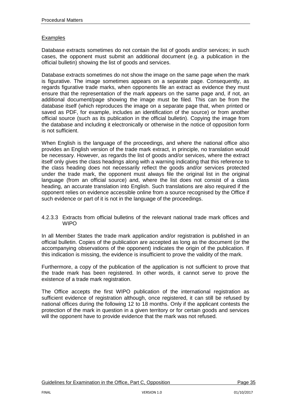#### **Examples**

Database extracts sometimes do not contain the list of goods and/or services; in such cases, the opponent must submit an additional document (e.g. a publication in the official bulletin) showing the list of goods and services.

Database extracts sometimes do not show the image on the same page when the mark is figurative. The image sometimes appears on a separate page. Consequently, as regards figurative trade marks, when opponents file an extract as evidence they must ensure that the representation of the mark appears on the same page and, if not, an additional document/page showing the image must be filed. This can be from the database itself (which reproduces the image on a separate page that, when printed or saved as PDF, for example, includes an identification of the source) or from another official source (such as its publication in the official bulletin). Copying the image from the database and including it electronically or otherwise in the notice of opposition form is not sufficient.

When English is the language of the proceedings, and where the national office also provides an English version of the trade mark extract, in principle, no translation would be necessary. However, as regards the list of goods and/or services, where the extract itself only gives the class headings along with a warning indicating that this reference to the class heading does not necessarily reflect the goods and/or services protected under the trade mark, the opponent must always file the original list in the original language (from an official source) and, where the list does not consist of a class heading, an accurate translation into English. Such translations are also required if the opponent relies on evidence accessible online from a source recognised by the Office if such evidence or part of it is not in the language of the proceedings.

#### <span id="page-34-0"></span>4.2.3.3 Extracts from official bulletins of the relevant national trade mark offices and **WIPO**

In all Member States the trade mark application and/or registration is published in an official bulletin. Copies of the publication are accepted as long as the document (or the accompanying observations of the opponent) indicates the origin of the publication. If this indication is missing, the evidence is insufficient to prove the validity of the mark.

Furthermore, a copy of the publication of the application is not sufficient to prove that the trade mark has been registered. In other words, it cannot serve to prove the existence of a trade mark registration.

The Office accepts the first WIPO publication of the international registration as sufficient evidence of registration although, once registered, it can still be refused by national offices during the following 12 to 18 months. Only if the applicant contests the protection of the mark in question in a given territory or for certain goods and services will the opponent have to provide evidence that the mark was not refused.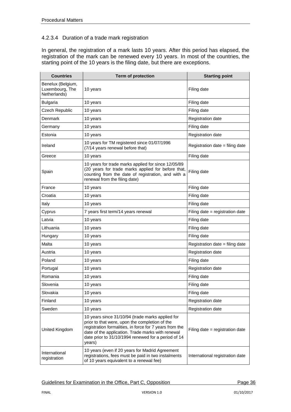#### <span id="page-35-0"></span>4.2.3.4 Duration of a trade mark registration

In general, the registration of a mark lasts 10 years. After this period has elapsed, the registration of the mark can be renewed every 10 years. In most of the countries, the starting point of the 10 years is the filing date, but there are exceptions.

| <b>Countries</b>                                     | <b>Term of protection</b>                                                                                                                                                                                                                                                           | <b>Starting point</b>           |
|------------------------------------------------------|-------------------------------------------------------------------------------------------------------------------------------------------------------------------------------------------------------------------------------------------------------------------------------------|---------------------------------|
| Benelux (Belgium,<br>Luxembourg, The<br>Netherlands) | 10 years                                                                                                                                                                                                                                                                            | Filing date                     |
| <b>Bulgaria</b>                                      | 10 years                                                                                                                                                                                                                                                                            | Filing date                     |
| Czech Republic                                       | 10 years                                                                                                                                                                                                                                                                            | Filing date                     |
| Denmark                                              | 10 years                                                                                                                                                                                                                                                                            | Registration date               |
| Germany                                              | 10 years                                                                                                                                                                                                                                                                            | Filing date                     |
| Estonia                                              | 10 years                                                                                                                                                                                                                                                                            | <b>Registration date</b>        |
| Ireland                                              | 10 years for TM registered since 01/07/1996<br>(7/14 years renewal before that)                                                                                                                                                                                                     | Registration date = filing date |
| Greece                                               | 10 years                                                                                                                                                                                                                                                                            | Filing date                     |
| Spain                                                | 10 years for trade marks applied for since 12/05/89<br>(20 years for trade marks applied for before that,<br>counting from the date of registration, and with a<br>renewal from the filing date)                                                                                    | Filing date                     |
| France                                               | 10 years                                                                                                                                                                                                                                                                            | Filing date                     |
| Croatia                                              | 10 years                                                                                                                                                                                                                                                                            | Filing date                     |
| Italy                                                | 10 years                                                                                                                                                                                                                                                                            | Filing date                     |
| Cyprus                                               | 7 years first term/14 years renewal                                                                                                                                                                                                                                                 | Filing date = registration date |
| Latvia                                               | 10 years                                                                                                                                                                                                                                                                            | Filing date                     |
| Lithuania                                            | 10 years                                                                                                                                                                                                                                                                            | Filing date                     |
| Hungary                                              | 10 years                                                                                                                                                                                                                                                                            | Filing date                     |
| Malta                                                | 10 years                                                                                                                                                                                                                                                                            | Registration date = filing date |
| Austria                                              | 10 years                                                                                                                                                                                                                                                                            | Registration date               |
| Poland                                               | 10 years                                                                                                                                                                                                                                                                            | Filing date                     |
| Portugal                                             | 10 years                                                                                                                                                                                                                                                                            | Registration date               |
| Romania                                              | 10 years                                                                                                                                                                                                                                                                            | Filing date                     |
| Slovenia                                             | 10 years                                                                                                                                                                                                                                                                            | Filing date                     |
| Slovakia                                             | 10 years                                                                                                                                                                                                                                                                            | Filing date                     |
| Finland                                              | 10 years                                                                                                                                                                                                                                                                            | Registration date               |
| Sweden                                               | 10 years                                                                                                                                                                                                                                                                            | Registration date               |
| United Kingdom                                       | 10 years since 31/10/94 (trade marks applied for<br>prior to that were, upon the completion of the<br>registration formalities, in force for 7 years from the<br>date of the application. Trade marks with renewal<br>date prior to 31/10/1994 renewed for a period of 14<br>years) | Filing date = registration date |
| International<br>registration                        | 10 years (even if 20 years for Madrid Agreement<br>registrations, fees must be paid in two instalments<br>of 10 years equivalent to a renewal fee)                                                                                                                                  | International registration date |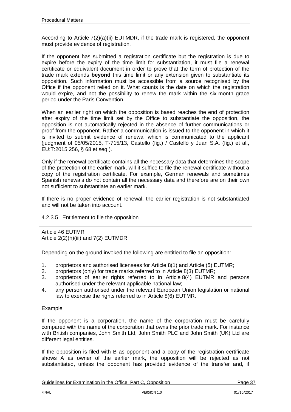According to Article 7(2)(a)(ii) EUTMDR, if the trade mark is registered, the opponent must provide evidence of registration.

If the opponent has submitted a registration certificate but the registration is due to expire before the expiry of the time limit for substantiation, it must file a renewal certificate or equivalent document in order to prove that the term of protection of the trade mark extends **beyond** this time limit or any extension given to substantiate its opposition. Such information must be accessible from a source recognised by the Office if the opponent relied on it. What counts is the date on which the registration would expire, and not the possibility to renew the mark within the six-month grace period under the Paris Convention.

When an earlier right on which the opposition is based reaches the end of protection after expiry of the time limit set by the Office to substantiate the opposition, the opposition is not automatically rejected in the absence of further communications or proof from the opponent. Rather a communication is issued to the opponent in which it is invited to submit evidence of renewal which is communicated to the applicant (judgment of 05/05/2015, T-715/13, Castello (fig.) / Castelló y Juan S.A. (fig.) et al., EU:T:2015:256, § 68 et seq.).

Only if the renewal certificate contains all the necessary data that determines the scope of the protection of the earlier mark, will it suffice to file the renewal certificate without a copy of the registration certificate. For example, German renewals and sometimes Spanish renewals do not contain all the necessary data and therefore are on their own not sufficient to substantiate an earlier mark.

If there is no proper evidence of renewal, the earlier registration is not substantiated and will not be taken into account.

## 4.2.3.5 Entitlement to file the opposition

Article 46 EUTMR Article 2(2)(h)(iii) and 7(2) EUTMDR

Depending on the ground invoked the following are entitled to file an opposition:

- 1. proprietors and authorised licensees for Article 8(1) and Article (5) EUTMR;
- 2. proprietors (only) for trade marks referred to in Article 8(3) EUTMR;
- 3. proprietors of earlier rights referred to in Article 8(4) EUTMR and persons authorised under the relevant applicable national law;
- 4. any person authorised under the relevant European Union legislation or national law to exercise the rights referred to in Article 8(6) EUTMR.

#### Example

If the opponent is a corporation, the name of the corporation must be carefully compared with the name of the corporation that owns the prior trade mark. For instance with British companies, John Smith Ltd, John Smith PLC and John Smith (UK) Ltd are different legal entities.

If the opposition is filed with B as opponent and a copy of the registration certificate shows A as owner of the earlier mark, the opposition will be rejected as not substantiated, unless the opponent has provided evidence of the transfer and, if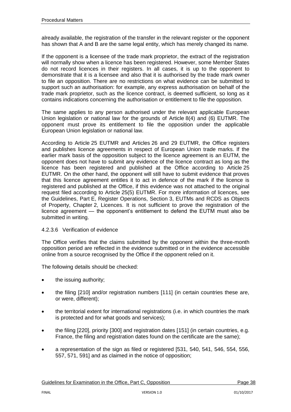already available, the registration of the transfer in the relevant register or the opponent has shown that A and B are the same legal entity, which has merely changed its name.

If the opponent is a licensee of the trade mark proprietor, the extract of the registration will normally show when a licence has been registered. However, some Member States do not record licences in their registers. In all cases, it is up to the opponent to demonstrate that it is a licensee and also that it is authorised by the trade mark owner to file an opposition. There are no restrictions on what evidence can be submitted to support such an authorisation: for example, any express authorisation on behalf of the trade mark proprietor, such as the licence contract, is deemed sufficient, so long as it contains indications concerning the authorisation or entitlement to file the opposition.

The same applies to any person authorised under the relevant applicable European Union legislation or national law for the grounds of Article 8(4) and (6) EUTMR. The opponent must prove its entitlement to file the opposition under the applicable European Union legislation or national law.

According to Article 25 EUTMR and Articles 26 and 29 EUTMR, the Office registers and publishes licence agreements in respect of European Union trade marks. If the earlier mark basis of the opposition subject to the licence agreement is an EUTM, the opponent does not have to submit any evidence of the licence contract as long as the licence has been registered and published at the Office according to Article 25 EUTMR. On the other hand, the opponent will still have to submit evidence that proves that this licence agreement entitles it to act in defence of the mark if the licence is registered and published at the Office, if this evidence was not attached to the original request filed according to Article 25(5) EUTMR. For more information of licences, see the Guidelines, Part E, Register Operations, Section 3, EUTMs and RCDS as Objects of Property, Chapter 2, Licences. It is not sufficient to prove the registration of the licence agreement — the opponent's entitlement to defend the EUTM must also be submitted in writing.

## 4.2.3.6 Verification of evidence

The Office verifies that the claims submitted by the opponent within the three-month opposition period are reflected in the evidence submitted or in the evidence accessible online from a source recognised by the Office if the opponent relied on it.

The following details should be checked:

- the issuing authority;
- the filing [210] and/or registration numbers [111] (in certain countries these are, or were, different);
- the territorial extent for international registrations (i.e. in which countries the mark is protected and for what goods and services);
- the filing [220], priority [300] and registration dates [151] (in certain countries, e.g. France, the filing and registration dates found on the certificate are the same);
- a representation of the sign as filed or registered [531, 540, 541, 546, 554, 556, 557, 571, 591] and as claimed in the notice of opposition;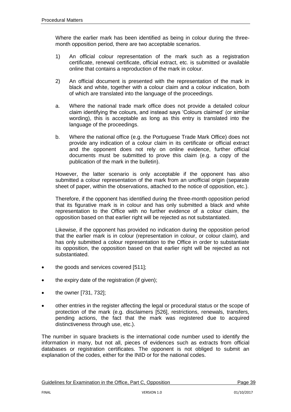Where the earlier mark has been identified as being in colour during the threemonth opposition period, there are two acceptable scenarios.

- 1) An official colour representation of the mark such as a registration certificate, renewal certificate, official extract, etc. is submitted or available online that contains a reproduction of the mark in colour.
- 2) An official document is presented with the representation of the mark in black and white, together with a colour claim and a colour indication, both of which are translated into the language of the proceedings.
- a. Where the national trade mark office does not provide a detailed colour claim identifying the colours, and instead says 'Colours claimed' (or similar wording), this is acceptable as long as this entry is translated into the language of the proceedings.
- b. Where the national office (e.g. the Portuguese Trade Mark Office) does not provide any indication of a colour claim in its certificate or official extract and the opponent does not rely on online evidence, further official documents must be submitted to prove this claim (e.g. a copy of the publication of the mark in the bulletin).

However, the latter scenario is only acceptable if the opponent has also submitted a colour representation of the mark from an unofficial origin (separate sheet of paper, within the observations, attached to the notice of opposition, etc.).

Therefore, if the opponent has identified during the three-month opposition period that its figurative mark is in colour and has only submitted a black and white representation to the Office with no further evidence of a colour claim, the opposition based on that earlier right will be rejected as not substantiated.

Likewise, if the opponent has provided no indication during the opposition period that the earlier mark is in colour (representation in colour, or colour claim), and has only submitted a colour representation to the Office in order to substantiate its opposition, the opposition based on that earlier right will be rejected as not substantiated.

- the goods and services covered [511];
- the expiry date of the registration (if given);
- the owner [731, 732];
- other entries in the register affecting the legal or procedural status or the scope of protection of the mark (e.g. disclaimers [526], restrictions, renewals, transfers, pending actions, the fact that the mark was registered due to acquired distinctiveness through use, etc.).

The number in square brackets is the international code number used to identify the information in many, but not all, pieces of evidences such as extracts from official databases or registration certificates. The opponent is not obliged to submit an explanation of the codes, either for the INID or for the national codes.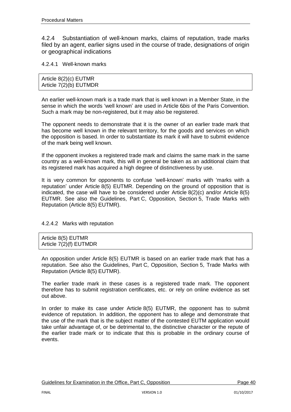4.2.4 Substantiation of well-known marks, claims of reputation, trade marks filed by an agent, earlier signs used in the course of trade, designations of origin or geographical indications

4.2.4.1 Well-known marks

| Article $8(2)(c)$ EUTMR  |  |
|--------------------------|--|
| Article $7(2)(b)$ EUTMDR |  |

An earlier well-known mark is a trade mark that is well known in a Member State, in the sense in which the words 'well known' are used in Article 6*bis* of the Paris Convention. Such a mark may be non-registered, but it may also be registered.

The opponent needs to demonstrate that it is the owner of an earlier trade mark that has become well known in the relevant territory, for the goods and services on which the opposition is based. In order to substantiate its mark it will have to submit evidence of the mark being well known.

If the opponent invokes a registered trade mark and claims the same mark in the same country as a well-known mark, this will in general be taken as an additional claim that its registered mark has acquired a high degree of distinctiveness by use.

It is very common for opponents to confuse 'well-known' marks with 'marks with a reputation' under Article 8(5) EUTMR. Depending on the ground of opposition that is indicated, the case will have to be considered under Article  $8(2)(c)$  and/or Article  $8(5)$ EUTMR. See also the Guidelines, Part C, Opposition, Section 5, Trade Marks with Reputation (Article 8(5) EUTMR).

4.2.4.2 Marks with reputation

Article 8(5) EUTMR Article 7(2)(f) EUTMDR

An opposition under Article 8(5) EUTMR is based on an earlier trade mark that has a reputation. See also the Guidelines, Part C, Opposition, Section 5, Trade Marks with Reputation (Article 8(5) EUTMR).

The earlier trade mark in these cases is a registered trade mark. The opponent therefore has to submit registration certificates, etc. or rely on online evidence as set out above.

In order to make its case under Article 8(5) EUTMR, the opponent has to submit evidence of reputation. In addition, the opponent has to allege and demonstrate that the use of the mark that is the subject matter of the contested EUTM application would take unfair advantage of, or be detrimental to, the distinctive character or the repute of the earlier trade mark or to indicate that this is probable in the ordinary course of events.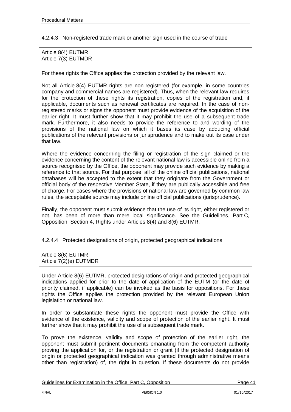4.2.4.3 Non-registered trade mark or another sign used in the course of trade

| Article 8(4) EUTMR  |  |  |
|---------------------|--|--|
| Article 7(3) EUTMDR |  |  |

For these rights the Office applies the protection provided by the relevant law.

Not all Article 8(4) EUTMR rights are non-registered (for example, in some countries company and commercial names are registered). Thus, when the relevant law requires for the protection of these rights its registration, copies of the registration and, if applicable, documents such as renewal certificates are required. In the case of nonregistered marks or signs the opponent must provide evidence of the acquisition of the earlier right. It must further show that it may prohibit the use of a subsequent trade mark. Furthermore, it also needs to provide the reference to and wording of the provisions of the national law on which it bases its case by adducing official publications of the relevant provisions or jurisprudence and to make out its case under that law.

Where the evidence concerning the filing or registration of the sign claimed or the evidence concerning the content of the relevant national law is accessible online from a source recognised by the Office, the opponent may provide such evidence by making a reference to that source. For that purpose, all of the online official publications, national databases will be accepted to the extent that they originate from the Government or official body of the respective Member State, if they are publically accessible and free of charge. For cases where the provisions of national law are governed by common law rules, the acceptable source may include online official publications (jurisprudence).

Finally, the opponent must submit evidence that the use of its right, either registered or not, has been of more than mere local significance. See the Guidelines, Part C, Opposition, Section 4, Rights under Articles 8(4) and 8(6) EUTMR.

4.2.4.4 Protected designations of origin, protected geographical indications

| Article 8(6) EUTMR     |  |
|------------------------|--|
| Article 7(2)(e) EUTMDR |  |

Under Article 8(6) EUTMR, protected designations of origin and protected geographical indications applied for prior to the date of application of the EUTM (or the date of priority claimed, if applicable) can be invoked as the basis for oppositions. For these rights the Office applies the protection provided by the relevant European Union legislation or national law.

In order to substantiate these rights the opponent must provide the Office with evidence of the existence, validity and scope of protection of the earlier right. It must further show that it may prohibit the use of a subsequent trade mark.

To prove the existence, validity and scope of protection of the earlier right, the opponent must submit pertinent documents emanating from the competent authority proving the application for, or the registration or grant (if the protected designation of origin or protected geographical indication was granted through administrative means other than registration) of, the right in question. If these documents do not provide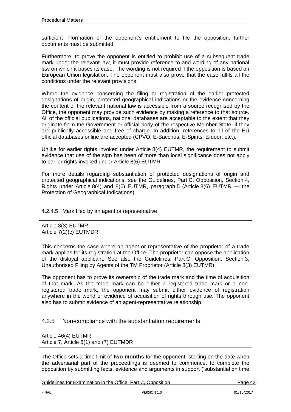sufficient information of the opponent's entitlement to file the opposition, further documents must be submitted.

Furthermore, to prove the opponent is entitled to prohibit use of a subsequent trade mark under the relevant law, it must provide reference to and wording of any national law on which it bases its case. The wording is not required if the opposition is based on European Union legislation. The opponent must also prove that the case fulfils all the conditions under the relevant provisions.

Where the evidence concerning the filing or registration of the earlier protected designations of origin, protected geographical indications or the evidence concerning the content of the relevant national law is accessible from a source recognised by the Office, the opponent may provide such evidence by making a reference to that source. All of the official publications, national databases are acceptable to the extent that they originate from the Government or official body of the respective Member State, if they are publically accessible and free of charge. In addition, references to all of the EU official databases online are accepted (CPVO, E-Bacchus, E-Spirits, E-door, etc.).

Unlike for earlier rights invoked under Article 8(4) EUTMR, the requirement to submit evidence that use of the sign has been of more than local significance does not apply to earlier rights invoked under Article 8(6) EUTMR.

For more details regarding substantiation of protected designations of origin and protected geographical indications, see the Guidelines, Part C, Opposition, Section 4, Rights under Article 8(4) and 8(6) EUTMR, paragraph 5 (Article 8(6) EUTMR — the Protection of Geographical Indications).

4.2.4.5 Mark filed by an agent or representative

Article 8(3) EUTMR Article 7(2)(c) EUTMDR

This concerns the case where an agent or representative of the proprietor of a trade mark applies for its registration at the Office. The proprietor can oppose the application of the disloyal applicant. See also the Guidelines, Part C, Opposition, Section 3, Unauthorised Filing by Agents of the TM Proprietor (Article 8(3) EUTMR).

The opponent has to prove its ownership of the trade mark and the time of acquisition of that mark. As the trade mark can be either a registered trade mark or a nonregistered trade mark, the opponent may submit either evidence of registration anywhere in the world or evidence of acquisition of rights through use. The opponent also has to submit evidence of an agent-representative relationship.

## 4.2.5 Non-compliance with the substantiation requirements

Article 46(4) EUTMR Article 7, Article 8(1) and (7) EUTMDR

The Office sets a time limit of **two months** for the opponent, starting on the date when the adversarial part of the proceedings is deemed to commence, to complete the opposition by submitting facts, evidence and arguments in support ('substantiation time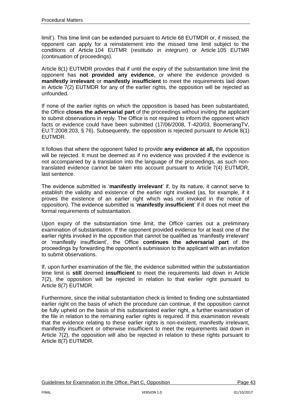limit'). This time limit can be extended pursuant to Article 68 EUTMDR or, if missed, the opponent can apply for a reinstatement into the missed time limit subject to the conditions of Article 104 EUTMR (*restitutio in integrum*) or Article 105 EUTMR (continuation of proceedings).

Article 8(1) EUTMDR provides that if until the expiry of the substantiation time limit the opponent has **not provided any evidence**, or where the evidence provided is **manifestly irrelevant** or **manifestly insufficient** to meet the requirements laid down in Article 7(2) EUTMDR for any of the earlier rights, the opposition will be rejected as unfounded.

If none of the earlier rights on which the opposition is based has been substantiated, the Office **closes the adversarial part** of the proceedings without inviting the applicant to submit observations in reply. The Office is not required to inform the opponent which facts or evidence could have been submitted (17/06/2008, T-420/03, BoomerangTV, EU:T:2008:203, § 76). Subsequently, the opposition is rejected pursuant to Article 8(1) EUTMDR.

It follows that where the opponent failed to provide **any evidence at all,** the opposition will be rejected. It must be deemed as if no evidence was provided if the evidence is not accompanied by a translation into the language of the proceedings, as such nontranslated evidence cannot be taken into account pursuant to Article 7(4) EUTMDR, last sentence.

The evidence submitted is '**manifestly irrelevant**' if, by its nature, it cannot serve to establish the validity and existence of the earlier right invoked (as, for example, if it proves the existence of an earlier right which was not invoked in the notice of opposition). The evidence submitted is '**manifestly insufficient**' if it does not meet the formal requirements of substantiation.

Upon expiry of the substantiation time limit, the Office carries out a preliminary examination of substantiation. If the opponent provided evidence for at least one of the earlier rights invoked in the opposition that cannot be qualified as 'manifestly irrelevant' or 'manifestly insufficient', the Office **continues the adversarial part** of the proceedings by forwarding the opponent's submission to the applicant with an invitation to submit observations.

If, upon further examination of the file, the evidence submitted within the substantiation time limit is **still** deemed **insufficient** to meet the requirements laid down in Article 7(2), the opposition will be rejected in relation to that earlier right pursuant to Article 8(7) EUTMDR.

Furthermore, since the initial substantiation check is limited to finding one substantiated earlier right on the basis of which the procedure can continue, if the opposition cannot be fully upheld on the basis of this substantiated earlier right, a further examination of the file in relation to the remaining earlier rights is required. If this examination reveals that the evidence relating to these earlier rights is non-existent, manifestly irrelevant, manifestly insufficient or otherwise insufficient to meet the requirements laid down in Article 7(2), the opposition will also be rejected in relation to these rights pursuant to Article 8(7) EUTMDR.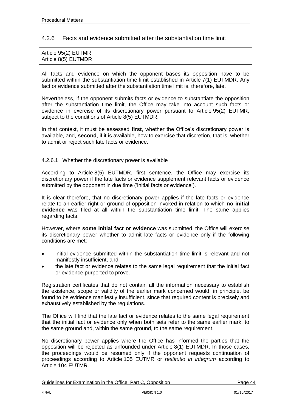# 4.2.6 Facts and evidence submitted after the substantiation time limit

| Article 95(2) EUTMR |  |  |
|---------------------|--|--|
| Article 8(5) EUTMDR |  |  |

All facts and evidence on which the opponent bases its opposition have to be submitted within the substantiation time limit established in Article 7(1) EUTMDR. Any fact or evidence submitted after the substantiation time limit is, therefore, late.

Nevertheless, if the opponent submits facts or evidence to substantiate the opposition after the substantiation time limit, the Office may take into account such facts or evidence in exercise of its discretionary power pursuant to Article 95(2) EUTMR, subject to the conditions of Article 8(5) EUTMDR.

In that context, it must be assessed **first**, whether the Office's discretionary power is available, and, **second**, if it is available, how to exercise that discretion, that is, whether to admit or reject such late facts or evidence.

#### 4.2.6.1 Whether the discretionary power is available

According to Article 8(5) EUTMDR, first sentence, the Office may exercise its discretionary power if the late facts or evidence supplement relevant facts or evidence submitted by the opponent in due time ('initial facts or evidence').

It is clear therefore, that no discretionary power applies if the late facts or evidence relate to an earlier right or ground of opposition invoked in relation to which **no initial evidence** was filed at all within the substantiation time limit. The same applies regarding facts.

However, where **some initial fact or evidence** was submitted, the Office will exercise its discretionary power whether to admit late facts or evidence only if the following conditions are met:

- initial evidence submitted within the substantiation time limit is relevant and not manifestly insufficient, and
- the late fact or evidence relates to the same legal requirement that the initial fact or evidence purported to prove.

Registration certificates that do not contain all the information necessary to establish the existence, scope or validity of the earlier mark concerned would, in principle, be found to be evidence manifestly insufficient, since that required content is precisely and exhaustively established by the regulations.

The Office will find that the late fact or evidence relates to the same legal requirement that the initial fact or evidence only when both sets refer to the same earlier mark, to the same ground and, within the same ground, to the same requirement.

No discretionary power applies where the Office has informed the parties that the opposition will be rejected as unfounded under Article 8(1) EUTMDR. In those cases, the proceedings would be resumed only if the opponent requests continuation of proceedings according to Article 105 EUTMR or *restitutio in integrum* according to Article 104 EUTMR.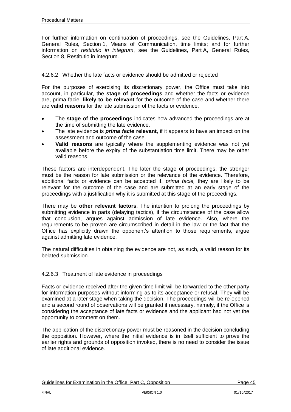For further information on continuation of proceedings, see the Guidelines, Part A, General Rules, Section 1, Means of Communication, time limits; and for further information on *restitutio in integrum*, see the Guidelines, Part A, General Rules, Section 8, Restitutio in integrum.

## 4.2.6.2 Whether the late facts or evidence should be admitted or rejected

For the purposes of exercising its discretionary power, the Office must take into account, in particular, the **stage of proceedings** and whether the facts or evidence are, prima facie, **likely to be relevant** for the outcome of the case and whether there are **valid reasons** for the late submission of the facts or evidence.

- The **stage of the proceedings** indicates how advanced the proceedings are at the time of submitting the late evidence.
- The late evidence is *prima facie* **relevant**, if it appears to have an impact on the assessment and outcome of the case.
- **Valid reasons** are typically where the supplementing evidence was not yet available before the expiry of the substantiation time limit. There may be other valid reasons.

These factors are interdependent. The later the stage of proceedings, the stronger must be the reason for late submission or the relevance of the evidence. Therefore, additional facts or evidence can be accepted if, *prima facie,* they are likely to be relevant for the outcome of the case and are submitted at an early stage of the proceedings with a justification why it is submitted at this stage of the proceedings.

There may be **other relevant factors**. The intention to prolong the proceedings by submitting evidence in parts (delaying tactics), if the circumstances of the case allow that conclusion, argues against admission of late evidence. Also, where the requirements to be proven are circumscribed in detail in the law or the fact that the Office has explicitly drawn the opponent's attention to those requirements, argue against admitting late evidence.

The natural difficulties in obtaining the evidence are not, as such, a valid reason for its belated submission.

## 4.2.6.3 Treatment of late evidence in proceedings

Facts or evidence received after the given time limit will be forwarded to the other party for information purposes without informing as to its acceptance or refusal. They will be examined at a later stage when taking the decision. The proceedings will be re-opened and a second round of observations will be granted if necessary, namely, if the Office is considering the acceptance of late facts or evidence and the applicant had not yet the opportunity to comment on them.

The application of the discretionary power must be reasoned in the decision concluding the opposition. However, where the initial evidence is in itself sufficient to prove the earlier rights and grounds of opposition invoked, there is no need to consider the issue of late additional evidence.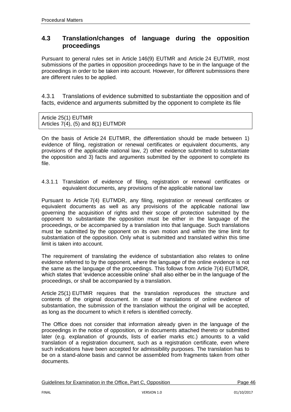# **4.3 Translation/changes of language during the opposition proceedings**

Pursuant to general rules set in Article 146(9) EUTMR and Article 24 EUTMIR, most submissions of the parties in opposition proceedings have to be in the language of the proceedings in order to be taken into account. However, for different submissions there are different rules to be applied.

4.3.1 Translations of evidence submitted to substantiate the opposition and of facts, evidence and arguments submitted by the opponent to complete its file

Article 25(1) EUTMIR Articles  $7(4)$ ,  $(5)$  and  $8(1)$  EUTMDR

On the basis of Article 24 EUTMIR, the differentiation should be made between 1) evidence of filing, registration or renewal certificates or equivalent documents, any provisions of the applicable national law, 2) other evidence submitted to substantiate the opposition and 3) facts and arguments submitted by the opponent to complete its file.

4.3.1.1 Translation of evidence of filing, registration or renewal certificates or equivalent documents, any provisions of the applicable national law

Pursuant to Article 7(4) EUTMDR, any filing, registration or renewal certificates or equivalent documents as well as any provisions of the applicable national law governing the acquisition of rights and their scope of protection submitted by the opponent to substantiate the opposition must be either in the language of the proceedings, or be accompanied by a translation into that language. Such translations must be submitted by the opponent on its own motion and within the time limit for substantiation of the opposition. Only what is submitted and translated within this time limit is taken into account.

The requirement of translating the evidence of substantiation also relates to online evidence referred to by the opponent, where the language of the online evidence is not the same as the language of the proceedings. This follows from Article 7(4) EUTMDR, which states that 'evidence accessible online' shall also either be in the language of the proceedings, or shall be accompanied by a translation.

Article 25(1) EUTMIR requires that the translation reproduces the structure and contents of the original document. In case of translations of online evidence of substantiation, the submission of the translation without the original will be accepted, as long as the document to which it refers is identified correctly.

The Office does not consider that information already given in the language of the proceedings in the notice of opposition, or in documents attached thereto or submitted later (e.g. explanation of grounds, lists of earlier marks etc.) amounts to a valid translation of a registration document, such as a registration certificate, even where such indications have been accepted for admissibility purposes. The translation has to be on a stand-alone basis and cannot be assembled from fragments taken from other documents.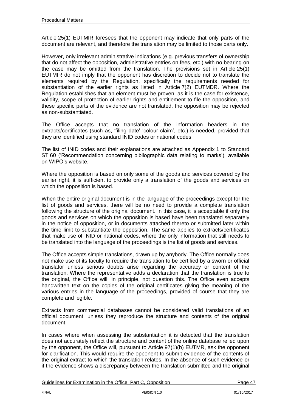Article 25(1) EUTMIR foresees that the opponent may indicate that only parts of the document are relevant, and therefore the translation may be limited to those parts only.

However, only irrelevant administrative indications (e.g. previous transfers of ownership that do not affect the opposition, administrative entries on fees, etc.) with no bearing on the case may be omitted from the translation. The provisions set in Article 25(1) EUTMIR do not imply that the opponent has discretion to decide not to translate the elements required by the Regulation, specifically the requirements needed for substantiation of the earlier rights as listed in Article 7(2) EUTMDR. Where the Regulation establishes that an element must be proven, as it is the case for existence, validity, scope of protection of earlier rights and entitlement to file the opposition, and these specific parts of the evidence are not translated, the opposition may be rejected as non-substantiated.

The Office accepts that no translation of the information headers in the extracts/certificates (such as, 'filing date' 'colour claim', etc.) is needed, provided that they are identified using standard INID codes or national codes.

The list of INID codes and their explanations are attached as Appendix 1 to Standard ST 60 ('Recommendation concerning bibliographic data relating to marks'), available on WIPO's website.

Where the opposition is based on only some of the goods and services covered by the earlier right, it is sufficient to provide only a translation of the goods and services on which the opposition is based.

When the entire original document is in the language of the proceedings except for the list of goods and services, there will be no need to provide a complete translation following the structure of the original document. In this case, it is acceptable if only the goods and services on which the opposition is based have been translated separately in the notice of opposition, or in documents attached thereto or submitted later within the time limit to substantiate the opposition. The same applies to extracts/certificates that make use of INID or national codes, where the only information that still needs to be translated into the language of the proceedings is the list of goods and services.

The Office accepts simple translations, drawn up by anybody. The Office normally does not make use of its faculty to require the translation to be certified by a sworn or official translator unless serious doubts arise regarding the accuracy or content of the translation. Where the representative adds a declaration that the translation is true to the original, the Office will, in principle, not question this. The Office even accepts handwritten text on the copies of the original certificates giving the meaning of the various entries in the language of the proceedings, provided of course that they are complete and legible.

Extracts from commercial databases cannot be considered valid translations of an official document, unless they reproduce the structure and contents of the original document.

In cases where when assessing the substantiation it is detected that the translation does not accurately reflect the structure and content of the online database relied upon by the opponent, the Office will, pursuant to Article 97(1)(b) EUTMR, ask the opponent for clarification. This would require the opponent to submit evidence of the contents of the original extract to which the translation relates. In the absence of such evidence or if the evidence shows a discrepancy between the translation submitted and the original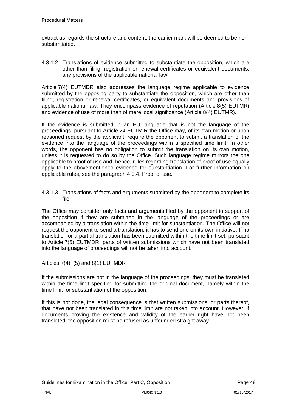extract as regards the structure and content, the earlier mark will be deemed to be nonsubstantiated.

4.3.1.2 Translations of evidence submitted to substantiate the opposition, which are other than filing, registration or renewal certificates or equivalent documents, any provisions of the applicable national law

Article 7(4) EUTMDR also addresses the language regime applicable to evidence submitted by the opposing party to substantiate the opposition, which are other than filing, registration or renewal certificates, or equivalent documents and provisions of applicable national law. They encompass evidence of reputation (Article 8(5) EUTMR) and evidence of use of more than of mere local significance (Article 8(4) EUTMR).

If the evidence is submitted in an EU language that is not the language of the proceedings, pursuant to Article 24 EUTMIR the Office may, of its own motion or upon reasoned request by the applicant, require the opponent to submit a translation of the evidence into the language of the proceedings within a specified time limit. In other words, the opponent has no obligation to submit the translation on its own motion, unless it is requested to do so by the Office. Such language regime mirrors the one applicable to proof of use and, hence, rules regarding translation of proof of use equally apply to the abovementioned evidence for substantiation. For further information on applicable rules, see the paragraph 4.3.4, Proof of use.

4.3.1.3 Translations of facts and arguments submitted by the opponent to complete its file

The Office may consider only facts and arguments filed by the opponent in support of the opposition if they are submitted in the language of the proceedings or are accompanied by a translation within the time limit for substantiation. The Office will not request the opponent to send a translation; it has to send one on its own initiative. If no translation or a partial translation has been submitted within the time limit set, pursuant to Article 7(5) EUTMDR, parts of written submissions which have not been translated into the language of proceedings will not be taken into account.

Articles  $7(4)$ ,  $(5)$  and  $8(1)$  EUTMDR

If the submissions are not in the language of the proceedings, they must be translated within the time limit specified for submitting the original document, namely within the time limit for substantiation of the opposition.

If this is not done, the legal consequence is that written submissions, or parts thereof, that have not been translated in this time limit are not taken into account. However, if documents proving the existence and validity of the earlier right have not been translated, the opposition must be refused as unfounded straight away.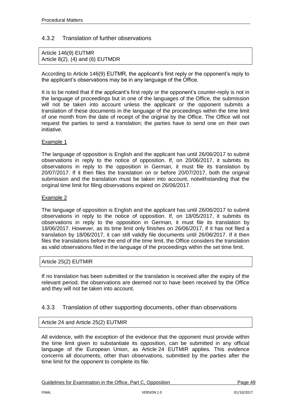# 4.3.2 Translation of further observations

Article 146(9) EUTMR Article 8(2), (4) and (6) EUTMDR

According to Article 146(9) EUTMR, the applicant's first reply or the opponent's reply to the applicant's observations may be in any language of the Office.

It is to be noted that if the applicant's first reply or the opponent's counter-reply is not in the language of proceedings but in one of the languages of the Office, the submission will not be taken into account unless the applicant or the opponent submits a translation of these documents in the language of the proceedings within the time limit of one month from the date of receipt of the original by the Office. The Office will not request the parties to send a translation; the parties have to send one on their own initiative.

#### Example 1

The language of opposition is English and the applicant has until 26/06/2017 to submit observations in reply to the notice of opposition. If, on 20/06/2017, it submits its observations in reply to the opposition in German, it must file its translation by 20/07/2017. If it then files the translation on or before 20/07/2017, both the original submission and the translation must be taken into account, notwithstanding that the original time limit for filing observations expired on 26/06/2017.

#### Example 2

The language of opposition is English and the applicant has until 26/06/2017 to submit observations in reply to the notice of opposition. If, on 18/05/2017, it submits its observations in reply to the opposition in German, it must file its translation by 18/06/2017. However, as its time limit only finishes on 26/06/2017, if it has not filed a translation by 18/06/2017, it can still validly file documents until 26/06/2017. If it then files the translations before the end of the time limit, the Office considers the translation as valid observations filed in the language of the proceedings within the set time limit.

#### Article 25(2) EUTMIR

If no translation has been submitted or the translation is received after the expiry of the relevant period, the observations are deemed not to have been received by the Office and they will not be taken into account.

## 4.3.3 Translation of other supporting documents, other than observations

## Article 24 and Article 25(2) EUTMIR

All evidence, with the exception of the evidence that the opponent must provide within the time limit given to substantiate its opposition, can be submitted in any official language of the European Union, as Article 24 EUTMIR applies. This evidence concerns all documents, other than observations, submitted by the parties after the time limit for the opponent to complete its file.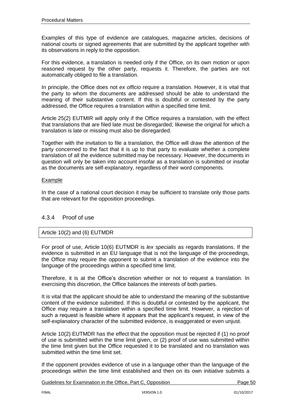Examples of this type of evidence are catalogues, magazine articles, decisions of national courts or signed agreements that are submitted by the applicant together with its observations in reply to the opposition.

For this evidence, a translation is needed only if the Office, on its own motion or upon reasoned request by the other party, requests it. Therefore, the parties are not automatically obliged to file a translation.

In principle, the Office does not *ex officio* require a translation. However, it is vital that the party to whom the documents are addressed should be able to understand the meaning of their substantive content. If this is doubtful or contested by the party addressed, the Office requires a translation within a specified time limit.

Article 25(2) EUTMIR will apply only if the Office requires a translation, with the effect that translations that are filed late must be disregarded; likewise the original for which a translation is late or missing must also be disregarded.

Together with the invitation to file a translation, the Office will draw the attention of the party concerned to the fact that it is up to that party to evaluate whether a complete translation of all the evidence submitted may be necessary. However, the documents in question will only be taken into account insofar as a translation is submitted or insofar as the documents are self-explanatory, regardless of their word components.

#### Example

In the case of a national court decision it may be sufficient to translate only those parts that are relevant for the opposition proceedings.

# 4.3.4 Proof of use

# Article 10(2) and (6) EUTMDR

For proof of use, Article 10(6) EUTMDR is *lex specialis* as regards translations. If the evidence is submitted in an EU language that is not the language of the proceedings, the Office may require the opponent to submit a translation of the evidence into the language of the proceedings within a specified time limit.

Therefore, it is at the Office's discretion whether or not to request a translation. In exercising this discretion, the Office balances the interests of both parties.

It is vital that the applicant should be able to understand the meaning of the substantive content of the evidence submitted. If this is doubtful or contested by the applicant, the Office may require a translation within a specified time limit. However, a rejection of such a request is feasible where it appears that the applicant's request, in view of the self-explanatory character of the submitted evidence, is exaggerated or even unjust.

Article 10(2) EUTMDR has the effect that the opposition must be rejected if (1) no proof of use is submitted within the time limit given, or (2) proof of use was submitted within the time limit given but the Office requested it to be translated and no translation was submitted within the time limit set.

If the opponent provides evidence of use in a language other than the language of the proceedings within the time limit established and then on its own initiative submits a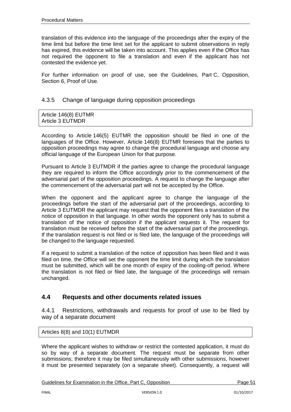translation of this evidence into the language of the proceedings after the expiry of the time limit but before the time limit set for the applicant to submit observations in reply has expired, this evidence will be taken into account. This applies even if the Office has not required the opponent to file a translation and even if the applicant has not contested the evidence yet.

For further information on proof of use, see the Guidelines, Part C, Opposition, Section 6, Proof of Use.

# 4.3.5 Change of language during opposition proceedings

| Article 146(8) EUTMR    |  |
|-------------------------|--|
| <b>Article 3 EUTMDR</b> |  |

According to Article 146(5) EUTMR the opposition should be filed in one of the languages of the Office. However, Article 146(8) EUTMR foresees that the parties to opposition proceedings may agree to change the procedural language and choose any official language of the European Union for that purpose.

Pursuant to Article 3 EUTMDR if the parties agree to change the procedural language they are required to inform the Office accordingly prior to the commencement of the adversarial part of the opposition proceedings. A request to change the language after the commencement of the adversarial part will not be accepted by the Office.

When the opponent and the applicant agree to change the language of the proceedings before the start of the adversarial part of the proceedings, according to Article 3 EUTMDR the applicant may request that the opponent files a translation of the notice of opposition in that language. In other words the opponent only has to submit a translation of the notice of opposition if the applicant requests it. The request for translation must be received before the start of the adversarial part of the proceedings. If the translation request is not filed or is filed late, the language of the proceedings will be changed to the language requested.

If a request to submit a translation of the notice of opposition has been filed and it was filed on time, the Office will set the opponent the time limit during which the translation must be submitted, which will be one month of expiry of the cooling-off period. Where the translation is not filed or filed late, the language of the proceedings will remain unchanged.

# **4.4 Requests and other documents related issues**

4.4.1 Restrictions, withdrawals and requests for proof of use to be filed by way of a separate document

Articles 8(8) and 10(1) EUTMDR

Where the applicant wishes to withdraw or restrict the contested application, it must do so by way of a separate document. The request must be separate from other submissions; therefore it may be filed simultaneously with other submissions, however it must be presented separately (on a separate sheet). Consequently, a request will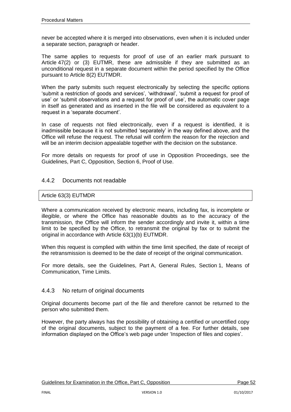never be accepted where it is merged into observations, even when it is included under a separate section, paragraph or header.

The same applies to requests for proof of use of an earlier mark pursuant to Article 47(2) or (3) EUTMR, these are admissible if they are submitted as an unconditional request in a separate document within the period specified by the Office pursuant to Article 8(2) EUTMDR.

When the party submits such request electronically by selecting the specific options 'submit a restriction of goods and services', 'withdrawal', 'submit a request for proof of use' or 'submit observations and a request for proof of use', the automatic cover page in itself as generated and as inserted in the file will be considered as equivalent to a request in a 'separate document'.

In case of requests not filed electronically, even if a request is identified, it is inadmissible because it is not submitted 'separately' in the way defined above, and the Office will refuse the request. The refusal will confirm the reason for the rejection and will be an interim decision appealable together with the decision on the substance.

For more details on requests for proof of use in Opposition Proceedings, see the Guidelines, Part C, Opposition, Section 6, Proof of Use.

## 4.4.2 Documents not readable

## Article 63(3) EUTMDR

Where a communication received by electronic means, including fax, is incomplete or illegible, or where the Office has reasonable doubts as to the accuracy of the transmission, the Office will inform the sender accordingly and invite it, within a time limit to be specified by the Office, to retransmit the original by fax or to submit the original in accordance with Article 63(1)(b) EUTMDR.

When this request is complied with within the time limit specified, the date of receipt of the retransmission is deemed to be the date of receipt of the original communication.

For more details, see the Guidelines, Part A, General Rules, Section 1, Means of Communication, Time Limits.

## 4.4.3 No return of original documents

Original documents become part of the file and therefore cannot be returned to the person who submitted them.

However, the party always has the possibility of obtaining a certified or uncertified copy of the original documents, subject to the payment of a fee. For further details, see information displayed on the Office's web page under 'Inspection of files and copies'.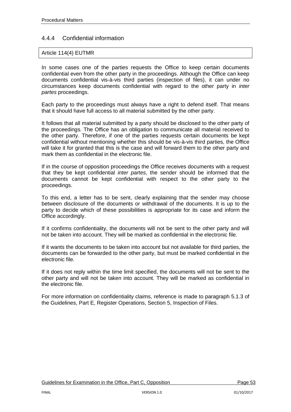# 4.4.4 Confidential information

## Article 114(4) EUTMR

In some cases one of the parties requests the Office to keep certain documents confidential even from the other party in the proceedings. Although the Office can keep documents confidential vis-à-vis third parties (inspection of files), it can under no circumstances keep documents confidential with regard to the other party in *inter partes* proceedings.

Each party to the proceedings must always have a right to defend itself. That means that it should have full access to all material submitted by the other party.

It follows that all material submitted by a party should be disclosed to the other party of the proceedings. The Office has an obligation to communicate all material received to the other party. Therefore, if one of the parties requests certain documents be kept confidential without mentioning whether this should be vis-à-vis third parties, the Office will take it for granted that this is the case and will forward them to the other party and mark them as confidential in the electronic file.

If in the course of opposition proceedings the Office receives documents with a request that they be kept confidential *inter partes*, the sender should be informed that the documents cannot be kept confidential with respect to the other party to the proceedings.

To this end, a letter has to be sent, clearly explaining that the sender may choose between disclosure of the documents or withdrawal of the documents. It is up to the party to decide which of these possibilities is appropriate for its case and inform the Office accordingly.

If it confirms confidentiality, the documents will not be sent to the other party and will not be taken into account. They will be marked as confidential in the electronic file.

If it wants the documents to be taken into account but not available for third parties, the documents can be forwarded to the other party, but must be marked confidential in the electronic file.

If it does not reply within the time limit specified, the documents will not be sent to the other party and will not be taken into account. They will be marked as confidential in the electronic file.

For more information on confidentiality claims, reference is made to paragraph 5.1.3 of the Guidelines, Part E, Register Operations, Section 5, Inspection of Files.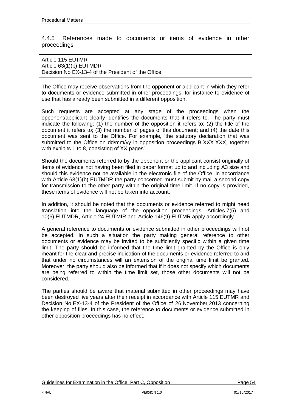## 4.4.5 References made to documents or items of evidence in other proceedings

#### Article 115 EUTMR Article 63(1)(b) EUTMDR Decision No EX-13-4 of the President of the Office

The Office may receive observations from the opponent or applicant in which they refer to documents or evidence submitted in other proceedings, for instance to evidence of use that has already been submitted in a different opposition.

Such requests are accepted at any stage of the proceedings when the opponent/applicant clearly identifies the documents that it refers to. The party must indicate the following: (1) the number of the opposition it refers to; (2) the title of the document it refers to; (3) the number of pages of this document; and (4) the date this document was sent to the Office. For example, 'the statutory declaration that was submitted to the Office on dd/mm/yy in opposition proceedings B XXX XXX, together with exhibits 1 to 8, consisting of XX pages'.

Should the documents referred to by the opponent or the applicant consist originally of items of evidence not having been filed in paper format up to and including A3 size and should this evidence not be available in the electronic file of the Office, in accordance with Article 63(1)(b) EUTMDR the party concerned must submit by mail a second copy for transmission to the other party within the original time limit. If no copy is provided, these items of evidence will not be taken into account.

In addition, it should be noted that the documents or evidence referred to might need translation into the language of the opposition proceedings. Articles 7(5) and 10(6) EUTMDR, Article 24 EUTMIR and Article 146(9) EUTMR apply accordingly.

A general reference to documents or evidence submitted in other proceedings will not be accepted. In such a situation the party making general reference to other documents or evidence may be invited to be sufficiently specific within a given time limit. The party should be informed that the time limit granted by the Office is only meant for the clear and precise indication of the documents or evidence referred to and that under no circumstances will an extension of the original time limit be granted. Moreover, the party should also be informed that if it does not specify which documents are being referred to within the time limit set, those other documents will not be considered.

The parties should be aware that material submitted in other proceedings may have been destroyed five years after their receipt in accordance with Article 115 EUTMR and Decision No EX-13-4 of the President of the Office of 26 November 2013 concerning the keeping of files. In this case, the reference to documents or evidence submitted in other opposition proceedings has no effect.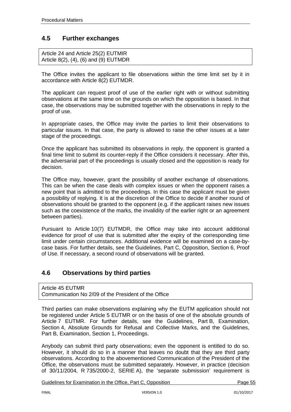# **4.5 Further exchanges**

Article 24 and Article 25(2) EUTMIR Article 8(2), (4), (6) and (9) EUTMDR

The Office invites the applicant to file observations within the time limit set by it in accordance with Article 8(2) EUTMDR.

The applicant can request proof of use of the earlier right with or without submitting observations at the same time on the grounds on which the opposition is based. In that case, the observations may be submitted together with the observations in reply to the proof of use.

In appropriate cases, the Office may invite the parties to limit their observations to particular issues. In that case, the party is allowed to raise the other issues at a later stage of the proceedings.

Once the applicant has submitted its observations in reply, the opponent is granted a final time limit to submit its counter-reply if the Office considers it necessary. After this, the adversarial part of the proceedings is usually closed and the opposition is ready for decision.

The Office may, however, grant the possibility of another exchange of observations. This can be when the case deals with complex issues or when the opponent raises a new point that is admitted to the proceedings. In this case the applicant must be given a possibility of replying. It is at the discretion of the Office to decide if another round of observations should be granted to the opponent (e.g. if the applicant raises new issues such as the coexistence of the marks, the invalidity of the earlier right or an agreement between parties).

Pursuant to Article 10(7) EUTMDR, the Office may take into account additional evidence for proof of use that is submitted after the expiry of the corresponding time limit under certain circumstances. Additional evidence will be examined on a case-bycase basis. For further details, see the Guidelines, Part C, Opposition, Section 6, Proof of Use. If necessary, a second round of observations will be granted.

# **4.6 Observations by third parties**

Article 45 EUTMR [Communication](http://oami.europa.eu/ows/rw/resource/documents/CTM/legalReferences/decisionPresident/co2-09en.pdf) No 2/09 of the President of the Office

Third parties can make observations explaining why the EUTM application should not be registered under Article 5 EUTMR or on the basis of one of the absolute grounds of Article 7 EUTMR. For further details, see the Guidelines, Part B, Examination, Section 4, Absolute Grounds for Refusal and Collective Marks, and the Guidelines, Part B, Examination, Section 1, Proceedings.

Anybody can submit third party observations; even the opponent is entitled to do so. However, it should do so in a manner that leaves no doubt that they are third party observations. According to the abovementioned Communication of the President of the Office, the observations must be submitted separately. However, in practice (decision of 30/11/2004, R 735/2000-2, SERIE A), the 'separate submission' requirement is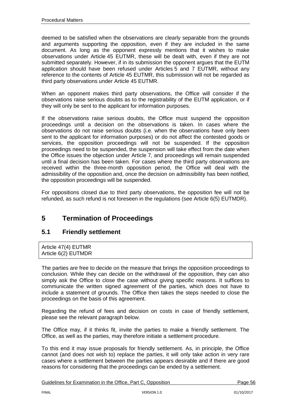deemed to be satisfied when the observations are clearly separable from the grounds and arguments supporting the opposition, even if they are included in the same document. As long as the opponent expressly mentions that it wishes to make observations under Article 45 EUTMR, these will be dealt with, even if they are not submitted separately. However, if in its submission the opponent argues that the EUTM application should have been refused under Articles 5 and 7 EUTMR, without any reference to the contents of Article 45 EUTMR, this submission will not be regarded as third party observations under Article 45 EUTMR.

When an opponent makes third party observations, the Office will consider if the observations raise serious doubts as to the registrability of the EUTM application, or if they will only be sent to the applicant for information purposes.

If the observations raise serious doubts, the Office must suspend the opposition proceedings until a decision on the observations is taken. In cases where the observations do not raise serious doubts (i.e. when the observations have only been sent to the applicant for information purposes) or do not affect the contested goods or services, the opposition proceedings will not be suspended. If the opposition proceedings need to be suspended, the suspension will take effect from the date when the Office issues the objection under Article 7, and proceedings will remain suspended until a final decision has been taken. For cases where the third party observations are received within the three-month opposition period, the Office will deal with the admissibility of the opposition and, once the decision on admissibility has been notified, the opposition proceedings will be suspended.

For oppositions closed due to third party observations, the opposition fee will not be refunded, as such refund is not foreseen in the regulations (see Article 6(5) EUTMDR).

# **5 Termination of Proceedings**

# **5.1 Friendly settlement**

Article 47(4) EUTMR Article 6(2) EUTMDR

The parties are free to decide on the measure that brings the opposition proceedings to conclusion. While they can decide on the withdrawal of the opposition, they can also simply ask the Office to close the case without giving specific reasons. It suffices to communicate the written signed agreement of the parties, which does not have to include a statement of grounds. The Office then takes the steps needed to close the proceedings on the basis of this agreement.

Regarding the refund of fees and decision on costs in case of friendly settlement, please see the relevant paragraph below.

The Office may, if it thinks fit, invite the parties to make a friendly settlement. The Office, as well as the parties, may therefore initiate a settlement procedure.

To this end it may issue proposals for friendly settlement. As, in principle, the Office cannot (and does not wish to) replace the parties, it will only take action in very rare cases where a settlement between the parties appears desirable and if there are good reasons for considering that the proceedings can be ended by a settlement.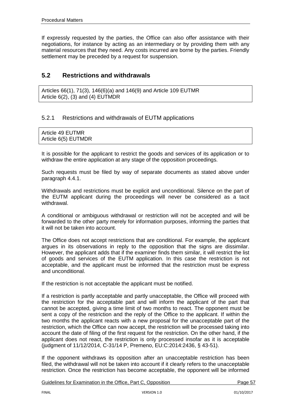If expressly requested by the parties, the Office can also offer assistance with their negotiations, for instance by acting as an intermediary or by providing them with any material resources that they need. Any costs incurred are borne by the parties. Friendly settlement may be preceded by a request for suspension.

# **5.2 Restrictions and withdrawals**

Articles 66(1), 71(3), 146(6)(a) and 146(9) and Article 109 EUTMR Article 6(2), (3) and (4) EUTMDR

# 5.2.1 Restrictions and withdrawals of EUTM applications

| Article 49 EUTMR    |  |  |
|---------------------|--|--|
| Article 6(5) EUTMDR |  |  |

It is possible for the applicant to restrict the goods and services of its application or to withdraw the entire application at any stage of the opposition proceedings.

Such requests must be filed by way of separate documents as stated above under paragraph 4.4.1.

Withdrawals and restrictions must be explicit and unconditional. Silence on the part of the EUTM applicant during the proceedings will never be considered as a tacit withdrawal.

A conditional or ambiguous withdrawal or restriction will not be accepted and will be forwarded to the other party merely for information purposes, informing the parties that it will not be taken into account.

The Office does not accept restrictions that are conditional. For example, the applicant argues in its observations in reply to the opposition that the signs are dissimilar. However, the applicant adds that if the examiner finds them similar, it will restrict the list of goods and services of the EUTM application. In this case the restriction is not acceptable, and the applicant must be informed that the restriction must be express and unconditional.

If the restriction is not acceptable the applicant must be notified.

If a restriction is partly acceptable and partly unacceptable, the Office will proceed with the restriction for the acceptable part and will inform the applicant of the part that cannot be accepted, giving a time limit of two months to react. The opponent must be sent a copy of the restriction and the reply of the Office to the applicant. If within the two months the applicant reacts with a new proposal for the unacceptable part of the restriction, which the Office can now accept, the restriction will be processed taking into account the date of filing of the first request for the restriction. On the other hand, if the applicant does not react, the restriction is only processed insofar as it is acceptable (judgment of 11/12/2014, C-31/14 P, Premeno, EU:C:2014:2436, § 43-51).

If the opponent withdraws its opposition after an unacceptable restriction has been filed, the withdrawal will not be taken into account if it clearly refers to the unacceptable restriction. Once the restriction has become acceptable, the opponent will be informed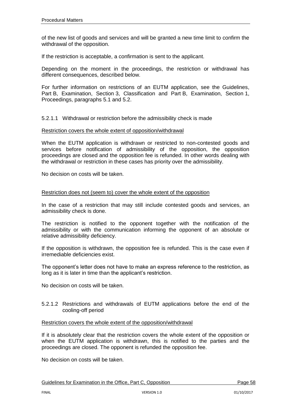of the new list of goods and services and will be granted a new time limit to confirm the withdrawal of the opposition.

If the restriction is acceptable, a confirmation is sent to the applicant.

Depending on the moment in the proceedings, the restriction or withdrawal has different consequences, described below.

For further information on restrictions of an EUTM application, see the Guidelines, Part B, Examination, Section 3, Classification and Part B, Examination, Section 1, Proceedings, paragraphs 5.1 and 5.2.

5.2.1.1 Withdrawal or restriction before the admissibility check is made

#### Restriction covers the whole extent of opposition/withdrawal

When the EUTM application is withdrawn or restricted to non-contested goods and services before notification of admissibility of the opposition, the opposition proceedings are closed and the opposition fee is refunded. In other words dealing with the withdrawal or restriction in these cases has priority over the admissibility.

No decision on costs will be taken.

#### Restriction does not (seem to) cover the whole extent of the opposition

In the case of a restriction that may still include contested goods and services, an admissibility check is done.

The restriction is notified to the opponent together with the notification of the admissibility or with the communication informing the opponent of an absolute or relative admissibility deficiency.

If the opposition is withdrawn, the opposition fee is refunded. This is the case even if irremediable deficiencies exist.

The opponent's letter does not have to make an express reference to the restriction, as long as it is later in time than the applicant's restriction.

No decision on costs will be taken.

#### 5.2.1.2 Restrictions and withdrawals of EUTM applications before the end of the cooling-off period

#### Restriction covers the whole extent of the opposition/withdrawal

If it is absolutely clear that the restriction covers the whole extent of the opposition or when the EUTM application is withdrawn, this is notified to the parties and the proceedings are closed. The opponent is refunded the opposition fee.

No decision on costs will be taken.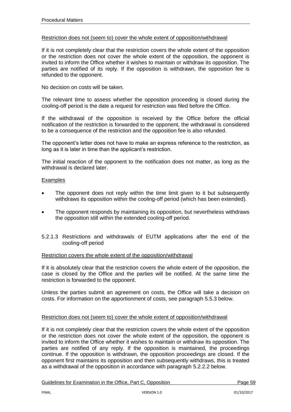#### Restriction does not (seem to) cover the whole extent of opposition/withdrawal

If it is not completely clear that the restriction covers the whole extent of the opposition or the restriction does not cover the whole extent of the opposition, the opponent is invited to inform the Office whether it wishes to maintain or withdraw its opposition. The parties are notified of its reply. If the opposition is withdrawn, the opposition fee is refunded to the opponent.

No decision on costs will be taken.

The relevant time to assess whether the opposition proceeding is closed during the cooling-off period is the date a request for restriction was filed before the Office.

If the withdrawal of the opposition is received by the Office before the official notification of the restriction is forwarded to the opponent, the withdrawal is considered to be a consequence of the restriction and the opposition fee is also refunded.

The opponent's letter does not have to make an express reference to the restriction, as long as it is later in time than the applicant's restriction.

The initial reaction of the opponent to the notification does not matter, as long as the withdrawal is declared later.

#### Examples

- The opponent does not reply within the time limit given to it but subsequently withdraws its opposition within the cooling-off period (which has been extended).
- The opponent responds by maintaining its opposition, but nevertheless withdraws the opposition still within the extended cooling-off period.
- 5.2.1.3 Restrictions and withdrawals of EUTM applications after the end of the cooling-off period

#### Restriction covers the whole extent of the opposition/withdrawal

If it is absolutely clear that the restriction covers the whole extent of the opposition, the case is closed by the Office and the parties will be notified. At the same time the restriction is forwarded to the opponent.

Unless the parties submit an agreement on costs, the Office will take a decision on costs. For information on the apportionment of costs, see paragraph 5.5.3 below.

## Restriction does not (seem to) cover the whole extent of opposition/withdrawal

If it is not completely clear that the restriction covers the whole extent of the opposition or the restriction does not cover the whole extent of the opposition, the opponent is invited to inform the Office whether it wishes to maintain or withdraw its opposition. The parties are notified of any reply. If the opposition is maintained, the proceedings continue. If the opposition is withdrawn, the opposition proceedings are closed. If the opponent first maintains its opposition and then subsequently withdraws, this is treated as a withdrawal of the opposition in accordance with paragraph 5.2.2.2 below.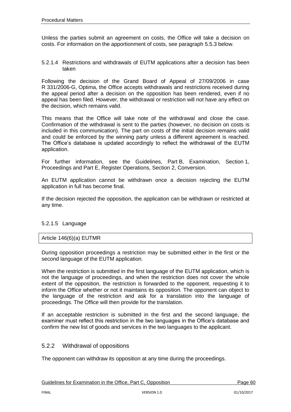Unless the parties submit an agreement on costs, the Office will take a decision on costs. For information on the apportionment of costs, see paragraph 5.5.3 below.

5.2.1.4 Restrictions and withdrawals of EUTM applications after a decision has been taken

Following the decision of the Grand Board of Appeal of 27/09/2006 in case R 331/2006-G, Optima, the Office accepts withdrawals and restrictions received during the appeal period after a decision on the opposition has been rendered, even if no appeal has been filed. However, the withdrawal or restriction will not have any effect on the decision, which remains valid.

This means that the Office will take note of the withdrawal and close the case. Confirmation of the withdrawal is sent to the parties (however, no decision on costs is included in this communication). The part on costs of the initial decision remains valid and could be enforced by the winning party unless a different agreement is reached. The Office's database is updated accordingly to reflect the withdrawal of the EUTM application.

For further information, see the Guidelines, Part B, Examination, Section 1, Proceedings and Part E, Register Operations, Section 2, Conversion.

An EUTM application cannot be withdrawn once a decision rejecting the EUTM application in full has become final.

If the decision rejected the opposition, the application can be withdrawn or restricted at any time.

## 5.2.1.5 Language

## Article 146(6)(a) EUTMR

During opposition proceedings a restriction may be submitted either in the first or the second language of the EUTM application.

When the restriction is submitted in the first language of the EUTM application, which is not the language of proceedings, and when the restriction does not cover the whole extent of the opposition, the restriction is forwarded to the opponent, requesting it to inform the Office whether or not it maintains its opposition. The opponent can object to the language of the restriction and ask for a translation into the language of proceedings. The Office will then provide for the translation.

If an acceptable restriction is submitted in the first and the second language, the examiner must reflect this restriction in the two languages in the Office's database and confirm the new list of goods and services in the two languages to the applicant.

## 5.2.2 Withdrawal of oppositions

The opponent can withdraw its opposition at any time during the proceedings.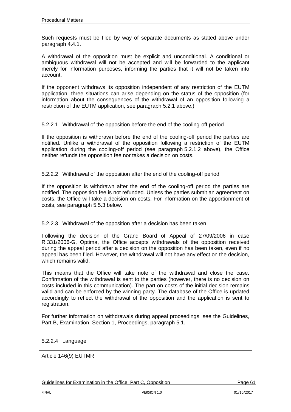Such requests must be filed by way of separate documents as stated above under paragraph 4.4.1.

A withdrawal of the opposition must be explicit and unconditional. A conditional or ambiguous withdrawal will not be accepted and will be forwarded to the applicant merely for information purposes, informing the parties that it will not be taken into account.

If the opponent withdraws its opposition independent of any restriction of the EUTM application, three situations can arise depending on the status of the opposition (for information about the consequences of the withdrawal of an opposition following a restriction of the EUTM application, see paragraph 5.2.1 above.)

## 5.2.2.1 Withdrawal of the opposition before the end of the cooling-off period

If the opposition is withdrawn before the end of the cooling-off period the parties are notified. Unlike a withdrawal of the opposition following a restriction of the EUTM application during the cooling-off period (see paragraph 5.2.1.2 above), the Office neither refunds the opposition fee nor takes a decision on costs.

5.2.2.2 Withdrawal of the opposition after the end of the cooling-off period

If the opposition is withdrawn after the end of the cooling-off period the parties are notified. The opposition fee is not refunded. Unless the parties submit an agreement on costs, the Office will take a decision on costs. For information on the apportionment of costs, see paragraph 5.5.3 below.

## 5.2.2.3 Withdrawal of the opposition after a decision has been taken

Following the decision of the Grand Board of Appeal of 27/09/2006 in case R 331/2006-G, Optima, the Office accepts withdrawals of the opposition received during the appeal period after a decision on the opposition has been taken, even if no appeal has been filed. However, the withdrawal will not have any effect on the decision, which remains valid.

This means that the Office will take note of the withdrawal and close the case. Confirmation of the withdrawal is sent to the parties (however, there is no decision on costs included in this communication). The part on costs of the initial decision remains valid and can be enforced by the winning party. The database of the Office is updated accordingly to reflect the withdrawal of the opposition and the application is sent to registration.

For further information on withdrawals during appeal proceedings, see the Guidelines, Part B, Examination, Section 1, Proceedings, paragraph 5.1.

#### 5.2.2.4 Language

#### Article 146(9) EUTMR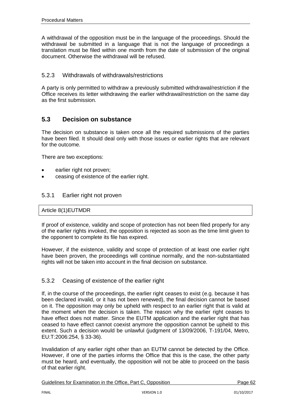A withdrawal of the opposition must be in the language of the proceedings. Should the withdrawal be submitted in a language that is not the language of proceedings a translation must be filed within one month from the date of submission of the original document. Otherwise the withdrawal will be refused.

## 5.2.3 Withdrawals of withdrawals/restrictions

A party is only permitted to withdraw a previously submitted withdrawal/restriction if the Office receives its letter withdrawing the earlier withdrawal/restriction on the same day as the first submission.

# **5.3 Decision on substance**

The decision on substance is taken once all the required submissions of the parties have been filed. It should deal only with those issues or earlier rights that are relevant for the outcome.

There are two exceptions:

- earlier right not proven:
- ceasing of existence of the earlier right.

## 5.3.1 Earlier right not proven

#### Article 8(1)EUTMDR

If proof of existence, validity and scope of protection has not been filed properly for any of the earlier rights invoked, the opposition is rejected as soon as the time limit given to the opponent to complete its file has expired.

However, if the existence, validity and scope of protection of at least one earlier right have been proven, the proceedings will continue normally, and the non-substantiated rights will not be taken into account in the final decision on substance.

## 5.3.2 Ceasing of existence of the earlier right

If, in the course of the proceedings, the earlier right ceases to exist (e.g. because it has been declared invalid, or it has not been renewed), the final decision cannot be based on it. The opposition may only be upheld with respect to an earlier right that is valid at the moment when the decision is taken. The reason why the earlier right ceases to have effect does not matter. Since the EUTM application and the earlier right that has ceased to have effect cannot coexist anymore the opposition cannot be upheld to this extent. Such a decision would be unlawful (judgment of 13/09/2006, T-191/04, Metro, EU:T:2006:254, § 33-36).

Invalidation of any earlier right other than an EUTM cannot be detected by the Office. However, if one of the parties informs the Office that this is the case, the other party must be heard, and eventually, the opposition will not be able to proceed on the basis of that earlier right.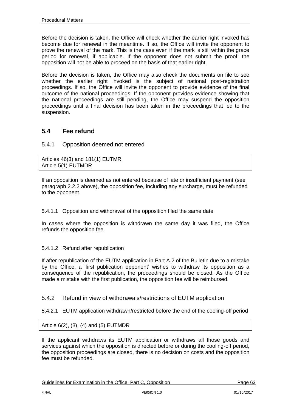Before the decision is taken, the Office will check whether the earlier right invoked has become due for renewal in the meantime. If so, the Office will invite the opponent to prove the renewal of the mark. This is the case even if the mark is still within the grace period for renewal, if applicable. If the opponent does not submit the proof, the opposition will not be able to proceed on the basis of that earlier right.

Before the decision is taken, the Office may also check the documents on file to see whether the earlier right invoked is the subject of national post-registration proceedings. If so, the Office will invite the opponent to provide evidence of the final outcome of the national proceedings. If the opponent provides evidence showing that the national proceedings are still pending, the Office may suspend the opposition proceedings until a final decision has been taken in the proceedings that led to the suspension.

# **5.4 Fee refund**

## 5.4.1 Opposition deemed not entered

Articles 46(3) and 181(1) EUTMR Article 5(1) EUTMDR

If an opposition is deemed as not entered because of late or insufficient payment (see paragraph 2.2.2 above), the opposition fee, including any surcharge, must be refunded to the opponent.

5.4.1.1 Opposition and withdrawal of the opposition filed the same date

In cases where the opposition is withdrawn the same day it was filed, the Office refunds the opposition fee.

## 5.4.1.2 Refund after republication

If after republication of the EUTM application in Part A.2 of the Bulletin due to a mistake by the Office, a 'first publication opponent' wishes to withdraw its opposition as a consequence of the republication, the proceedings should be closed. As the Office made a mistake with the first publication, the opposition fee will be reimbursed.

5.4.2 Refund in view of withdrawals/restrictions of EUTM application

5.4.2.1 EUTM application withdrawn/restricted before the end of the cooling-off period

Article 6(2), (3), (4) and (5) EUTMDR

If the applicant withdraws its EUTM application or withdraws all those goods and services against which the opposition is directed before or during the cooling-off period. the opposition proceedings are closed, there is no decision on costs and the opposition fee must be refunded.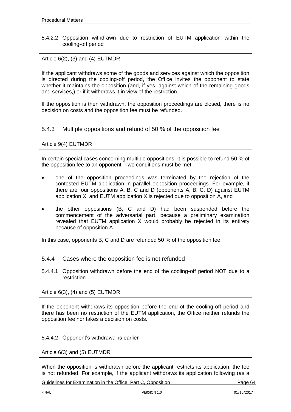#### 5.4.2.2 Opposition withdrawn due to restriction of EUTM application within the cooling-off period

## Article 6(2), (3) and (4) EUTMDR

If the applicant withdraws some of the goods and services against which the opposition is directed during the cooling-off period, the Office invites the opponent to state whether it maintains the opposition (and, if yes, against which of the remaining goods and services,) or if it withdraws it in view of the restriction.

If the opposition is then withdrawn, the opposition proceedings are closed, there is no decision on costs and the opposition fee must be refunded.

## 5.4.3 Multiple oppositions and refund of 50 % of the opposition fee

#### Article 9(4) EUTMDR

In certain special cases concerning multiple oppositions, it is possible to refund 50 % of the opposition fee to an opponent. Two conditions must be met:

- one of the opposition proceedings was terminated by the rejection of the contested EUTM application in parallel opposition proceedings. For example, if there are four oppositions A, B, C and D (opponents A, B, C, D) against EUTM application X, and EUTM application X is rejected due to opposition A, and
- the other oppositions (B, C and D) had been suspended before the commencement of the adversarial part, because a preliminary examination revealed that EUTM application X would probably be rejected in its entirety because of opposition A.

In this case, opponents B, C and D are refunded 50 % of the opposition fee.

## 5.4.4 Cases where the opposition fee is not refunded

5.4.4.1 Opposition withdrawn before the end of the cooling-off period NOT due to a restriction

#### Article  $6(3)$ ,  $(4)$  and  $(5)$  EUTMDR

If the opponent withdraws its opposition before the end of the cooling-off period and there has been no restriction of the EUTM application, the Office neither refunds the opposition fee nor takes a decision on costs.

#### 5.4.4.2 Opponent's withdrawal is earlier

Article 6(3) and (5) EUTMDR

When the opposition is withdrawn before the applicant restricts its application, the fee is not refunded. For example, if the applicant withdraws its application following (as a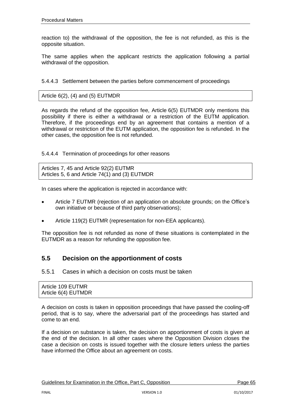reaction to) the withdrawal of the opposition, the fee is not refunded, as this is the opposite situation.

The same applies when the applicant restricts the application following a partial withdrawal of the opposition.

5.4.4.3 Settlement between the parties before commencement of proceedings

#### Article  $6(2)$ ,  $(4)$  and  $(5)$  EUTMDR

As regards the refund of the opposition fee, Article 6(5) EUTMDR only mentions this possibility if there is either a withdrawal or a restriction of the EUTM application. Therefore, if the proceedings end by an agreement that contains a mention of a withdrawal or restriction of the EUTM application, the opposition fee is refunded. In the other cases, the opposition fee is not refunded.

5.4.4.4 Termination of proceedings for other reasons

Articles 7, 45 and Article 92(2) EUTMR Articles 5, 6 and Article 74(1) and (3) EUTMDR

In cases where the application is rejected in accordance with:

- Article 7 EUTMR (rejection of an application on absolute grounds; on the Office's own initiative or because of third party observations);
- Article 119(2) EUTMR (representation for non-EEA applicants).

The opposition fee is not refunded as none of these situations is contemplated in the EUTMDR as a reason for refunding the opposition fee.

# **5.5 Decision on the apportionment of costs**

5.5.1 Cases in which a decision on costs must be taken

| Article 109 EUTMR   |  |  |
|---------------------|--|--|
| Article 6(4) EUTMDR |  |  |

A decision on costs is taken in opposition proceedings that have passed the cooling-off period, that is to say, where the adversarial part of the proceedings has started and come to an end.

If a decision on substance is taken, the decision on apportionment of costs is given at the end of the decision. In all other cases where the Opposition Division closes the case a decision on costs is issued together with the closure letters unless the parties have informed the Office about an agreement on costs.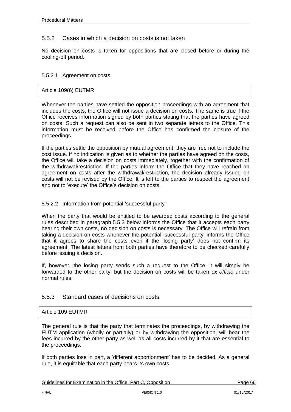# 5.5.2 Cases in which a decision on costs is not taken

No decision on costs is taken for oppositions that are closed before or during the cooling-off period.

#### 5.5.2.1 Agreement on costs

#### Article 109(6) EUTMR

Whenever the parties have settled the opposition proceedings with an agreement that includes the costs, the Office will not issue a decision on costs. The same is true if the Office receives information signed by both parties stating that the parties have agreed on costs. Such a request can also be sent in two separate letters to the Office. This information must be received before the Office has confirmed the closure of the proceedings.

If the parties settle the opposition by mutual agreement, they are free not to include the cost issue. If no indication is given as to whether the parties have agreed on the costs, the Office will take a decision on costs immediately, together with the confirmation of the withdrawal/restriction. If the parties inform the Office that they have reached an agreement on costs after the withdrawal/restriction, the decision already issued on costs will not be revised by the Office. It is left to the parties to respect the agreement and not to 'execute' the Office's decision on costs.

#### 5.5.2.2 Information from potential 'successful party'

When the party that would be entitled to be awarded costs according to the general rules described in paragraph 5.5.3 below informs the Office that it accepts each party bearing their own costs, no decision on costs is necessary. The Office will refrain from taking a decision on costs whenever the potential 'successful party' informs the Office that it agrees to share the costs even if the 'losing party' does not confirm its agreement. The latest letters from both parties have therefore to be checked carefully before issuing a decision.

If, however, the losing party sends such a request to the Office, it will simply be forwarded to the other party, but the decision on costs will be taken *ex officio* under normal rules.

## 5.5.3 Standard cases of decisions on costs

#### Article 109 EUTMR

The general rule is that the party that terminates the proceedings, by withdrawing the EUTM application (wholly or partially) or by withdrawing the opposition, will bear the fees incurred by the other party as well as all costs incurred by it that are essential to the proceedings.

If both parties lose in part, a 'different apportionment' has to be decided. As a general rule, it is equitable that each party bears its own costs.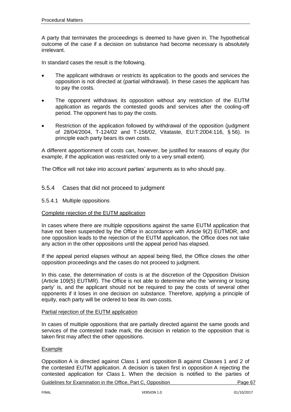A party that terminates the proceedings is deemed to have given in. The hypothetical outcome of the case if a decision on substance had become necessary is absolutely irrelevant.

In standard cases the result is the following.

- The applicant withdraws or restricts its application to the goods and services the opposition is not directed at (partial withdrawal). In these cases the applicant has to pay the costs.
- The opponent withdraws its opposition without any restriction of the EUTM application as regards the contested goods and services after the cooling-off period. The opponent has to pay the costs.
- Restriction of the application followed by withdrawal of the opposition (judgment of 28/04/2004, T-124/02 and T-156/02, Vitataste, EU:T:2004:116, § 56). In principle each party bears its own costs.

A different apportionment of costs can, however, be justified for reasons of equity (for example, if the application was restricted only to a very small extent).

The Office will not take into account parties' arguments as to who should pay.

## 5.5.4 Cases that did not proceed to judgment

5.5.4.1 Multiple oppositions

#### Complete rejection of the EUTM application

In cases where there are multiple oppositions against the same EUTM application that have not been suspended by the Office in accordance with Article 9(2) EUTMDR, and one opposition leads to the rejection of the EUTM application, the Office does not take any action in the other oppositions until the appeal period has elapsed.

If the appeal period elapses without an appeal being filed, the Office closes the other opposition proceedings and the cases do not proceed to judgment.

In this case, the determination of costs is at the discretion of the Opposition Division (Article 109(5) EUTMR). The Office is not able to determine who the 'winning or losing party' is, and the applicant should not be required to pay the costs of several other opponents if it loses in one decision on substance. Therefore, applying a principle of equity, each party will be ordered to bear its own costs.

#### Partial rejection of the EUTM application

In cases of multiple oppositions that are partially directed against the same goods and services of the contested trade mark, the decision in relation to the opposition that is taken first may affect the other oppositions.

#### **Example**

Opposition A is directed against Class 1 and opposition B against Classes 1 and 2 of the contested EUTM application. A decision is taken first in opposition A rejecting the contested application for Class 1. When the decision is notified to the parties of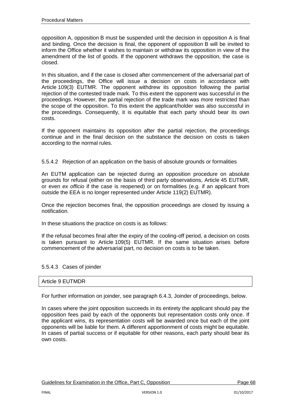opposition A, opposition B must be suspended until the decision in opposition A is final and binding. Once the decision is final, the opponent of opposition B will be invited to inform the Office whether it wishes to maintain or withdraw its opposition in view of the amendment of the list of goods. If the opponent withdraws the opposition, the case is closed.

In this situation, and if the case is closed after commencement of the adversarial part of the proceedings, the Office will issue a decision on costs in accordance with Article 109(3) EUTMR. The opponent withdrew its opposition following the partial rejection of the contested trade mark. To this extent the opponent was successful in the proceedings. However, the partial rejection of the trade mark was more restricted than the scope of the opposition. To this extent the applicant/holder was also successful in the proceedings. Consequently, it is equitable that each party should bear its own costs.

If the opponent maintains its opposition after the partial rejection, the proceedings continue and in the final decision on the substance the decision on costs is taken according to the normal rules.

5.5.4.2 Rejection of an application on the basis of absolute grounds or formalities

An EUTM application can be rejected during an opposition procedure on absolute grounds for refusal (either on the basis of third party observations, Article 45 EUTMR, or even *ex officio* if the case is reopened) or on formalities (e.g. if an applicant from outside the EEA is no longer represented under Article 119(2) EUTMR).

Once the rejection becomes final, the opposition proceedings are closed by issuing a notification.

In these situations the practice on costs is as follows:

If the refusal becomes final after the expiry of the cooling-off period, a decision on costs is taken pursuant to Article 109(5) EUTMR. If the same situation arises before commencement of the adversarial part, no decision on costs is to be taken.

5.5.4.3 Cases of joinder

#### Article 9 EUTMDR

For further information on joinder, see paragraph 6.4.3, Joinder of proceedings, below.

In cases where the joint opposition succeeds in its entirety the applicant should pay the opposition fees paid by each of the opponents but representation costs only once. If the applicant wins, its representation costs will be awarded once but each of the joint opponents will be liable for them. A different apportionment of costs might be equitable. In cases of partial success or if equitable for other reasons, each party should bear its own costs.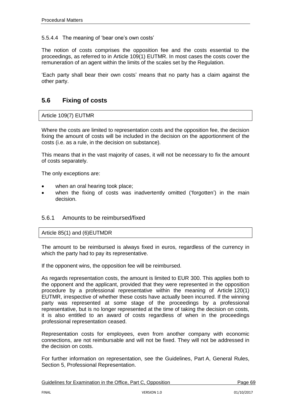## 5.5.4.4 The meaning of 'bear one's own costs'

The notion of costs comprises the opposition fee and the costs essential to the proceedings, as referred to in Article 109(1) EUTMR. In most cases the costs cover the remuneration of an agent within the limits of the scales set by the Regulation.

'Each party shall bear their own costs' means that no party has a claim against the other party.

# **5.6 Fixing of costs**

#### Article 109(7) EUTMR

Where the costs are limited to representation costs and the opposition fee, the decision fixing the amount of costs will be included in the decision on the apportionment of the costs (i.e. as a rule, in the decision on substance).

This means that in the vast majority of cases, it will not be necessary to fix the amount of costs separately.

The only exceptions are:

- when an oral hearing took place;
- when the fixing of costs was inadvertently omitted ('forgotten') in the main decision.

## 5.6.1 Amounts to be reimbursed/fixed

#### Article 85(1) and (6)EUTMDR

The amount to be reimbursed is always fixed in euros, regardless of the currency in which the party had to pay its representative.

If the opponent wins, the opposition fee will be reimbursed.

As regards representation costs, the amount is limited to EUR 300. This applies both to the opponent and the applicant, provided that they were represented in the opposition procedure by a professional representative within the meaning of Article 120(1) EUTMR, irrespective of whether these costs have actually been incurred. If the winning party was represented at some stage of the proceedings by a professional representative, but is no longer represented at the time of taking the decision on costs, it is also entitled to an award of costs regardless of when in the proceedings professional representation ceased.

Representation costs for employees, even from another company with economic connections, are not reimbursable and will not be fixed. They will not be addressed in the decision on costs.

For further information on representation, see the Guidelines, Part A, General Rules, Section 5, Professional Representation.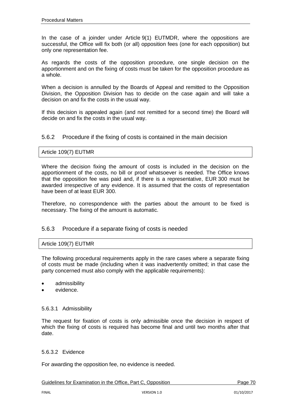In the case of a joinder under Article 9(1) EUTMDR, where the oppositions are successful, the Office will fix both (or all) opposition fees (one for each opposition) but only one representation fee.

As regards the costs of the opposition procedure, one single decision on the apportionment and on the fixing of costs must be taken for the opposition procedure as a whole.

When a decision is annulled by the Boards of Appeal and remitted to the Opposition Division, the Opposition Division has to decide on the case again and will take a decision on and fix the costs in the usual way.

If this decision is appealed again (and not remitted for a second time) the Board will decide on and fix the costs in the usual way.

## 5.6.2 Procedure if the fixing of costs is contained in the main decision

#### Article 109(7) EUTMR

Where the decision fixing the amount of costs is included in the decision on the apportionment of the costs, no bill or proof whatsoever is needed. The Office knows that the opposition fee was paid and, if there is a representative, EUR 300 must be awarded irrespective of any evidence. It is assumed that the costs of representation have been of at least EUR 300.

Therefore, no correspondence with the parties about the amount to be fixed is necessary. The fixing of the amount is automatic.

## 5.6.3 Procedure if a separate fixing of costs is needed

## Article 109(7) EUTMR

The following procedural requirements apply in the rare cases where a separate fixing of costs must be made (including when it was inadvertently omitted; in that case the party concerned must also comply with the applicable requirements):

- admissibility
- evidence.

#### 5.6.3.1 Admissibility

The request for fixation of costs is only admissible once the decision in respect of which the fixing of costs is required has become final and until two months after that date.

#### 5.6.3.2 Evidence

For awarding the opposition fee, no evidence is needed.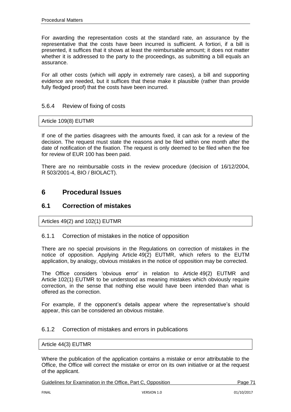For awarding the representation costs at the standard rate, an assurance by the representative that the costs have been incurred is sufficient. A fortiori, if a bill is presented, it suffices that it shows at least the reimbursable amount; it does not matter whether it is addressed to the party to the proceedings, as submitting a bill equals an assurance.

For all other costs (which will apply in extremely rare cases), a bill and supporting evidence are needed, but it suffices that these make it plausible (rather than provide fully fledged proof) that the costs have been incurred.

# 5.6.4 Review of fixing of costs

Article 109(8) EUTMR

If one of the parties disagrees with the amounts fixed, it can ask for a review of the decision. The request must state the reasons and be filed within one month after the date of notification of the fixation. The request is only deemed to be filed when the fee for review of EUR 100 has been paid.

There are no reimbursable costs in the review procedure (decision of 16/12/2004, R 503/2001-4, BIO / BIOLACT).

# **6 Procedural Issues**

# **6.1 Correction of mistakes**

Articles 49(2) and 102(1) EUTMR

## 6.1.1 Correction of mistakes in the notice of opposition

There are no special provisions in the Regulations on correction of mistakes in the notice of opposition. Applying Article 49(2) EUTMR, which refers to the EUTM application, by analogy, obvious mistakes in the notice of opposition may be corrected.

The Office considers 'obvious error' in relation to Article 49(2) EUTMR and Article 102(1) EUTMR to be understood as meaning mistakes which obviously require correction, in the sense that nothing else would have been intended than what is offered as the correction.

For example, if the opponent's details appear where the representative's should appear, this can be considered an obvious mistake.

## 6.1.2 Correction of mistakes and errors in publications

#### Article 44(3) EUTMR

Where the publication of the application contains a mistake or error attributable to the Office, the Office will correct the mistake or error on its own initiative or at the request of the applicant.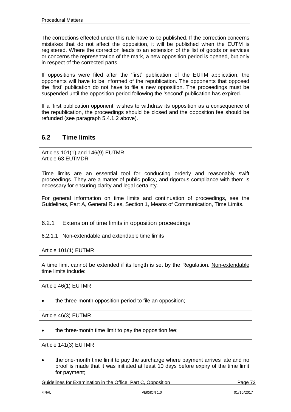The corrections effected under this rule have to be published. If the correction concerns mistakes that do not affect the opposition, it will be published when the EUTM is registered. Where the correction leads to an extension of the list of goods or services or concerns the representation of the mark, a new opposition period is opened, but only in respect of the corrected parts.

If oppositions were filed after the 'first' publication of the EUTM application, the opponents will have to be informed of the republication. The opponents that opposed the 'first' publication do not have to file a new opposition. The proceedings must be suspended until the opposition period following the 'second' publication has expired.

If a 'first publication opponent' wishes to withdraw its opposition as a consequence of the republication, the proceedings should be closed and the opposition fee should be refunded (see paragraph 5.4.1.2 above).

# **6.2 Time limits**

Articles 101(1) and 146(9) EUTMR Article 63 EUTMDR

Time limits are an essential tool for conducting orderly and reasonably swift proceedings. They are a matter of public policy, and rigorous compliance with them is necessary for ensuring clarity and legal certainty.

For general information on time limits and continuation of proceedings, see the Guidelines, Part A, General Rules, Section 1, Means of Communication, Time Limits.

## 6.2.1 Extension of time limits in opposition proceedings

## 6.2.1.1 Non-extendable and extendable time limits

Article 101(1) EUTMR

A time limit cannot be extended if its length is set by the Regulation. Non-extendable time limits include:

Article 46(1) EUTMR

the three-month opposition period to file an opposition;

Article 46(3) EUTMR

the three-month time limit to pay the opposition fee;

Article 141(3) EUTMR

 the one-month time limit to pay the surcharge where payment arrives late and no proof is made that it was initiated at least 10 days before expiry of the time limit for payment;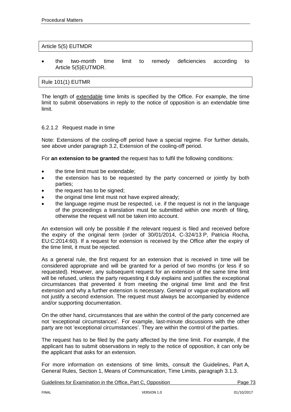### Article 5(5) EUTMDR

 the two-month time limit to remedy deficiencies according to Article 5(5)EUTMDR.

### Rule 101(1) EUTMR

The length of extendable time limits is specified by the Office. For example, the time limit to submit observations in reply to the notice of opposition is an extendable time limit.

### 6.2.1.2 Request made in time

Note: Extensions of the cooling-off period have a special regime. For further details, see above under paragraph 3.2, Extension of the cooling-off period.

For **an extension to be granted** the request has to fulfil the following conditions:

- the time limit must be extendable;
- the extension has to be requested by the party concerned or jointly by both parties;
- the request has to be signed;
- the original time limit must not have expired already;
- the language regime must be respected, i.e. if the request is not in the language of the proceedings a translation must be submitted within one month of filing, otherwise the request will not be taken into account.

An extension will only be possible if the relevant request is filed and received before the expiry of the original term (order of 30/01/2014, C-324/13 P, Patricia Rocha, EU:C:2014:60). If a request for extension is received by the Office after the expiry of the time limit, it must be rejected.

As a general rule, the first request for an extension that is received in time will be considered appropriate and will be granted for a period of two months (or less if so requested). However, any subsequent request for an extension of the same time limit will be refused, unless the party requesting it duly explains and justifies the exceptional circumstances that prevented it from meeting the original time limit and the first extension and why a further extension is necessary. General or vague explanations will not justify a second extension. The request must always be accompanied by evidence and/or supporting documentation.

On the other hand, circumstances that are within the control of the party concerned are not 'exceptional circumstances'. For example, last-minute discussions with the other party are not 'exceptional circumstances'. They are within the control of the parties.

The request has to be filed by the party affected by the time limit. For example, if the applicant has to submit observations in reply to the notice of opposition, it can only be the applicant that asks for an extension.

For more information on extensions of time limits, consult the Guidelines, Part A, General Rules, Section 1, Means of Communication, Time Limits, paragraph 3.1.3.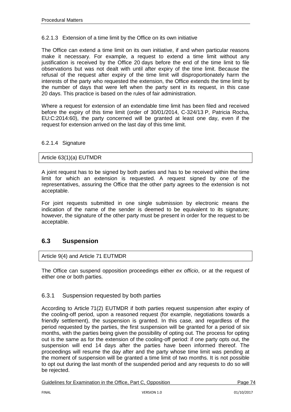### 6.2.1.3 Extension of a time limit by the Office on its own initiative

The Office can extend a time limit on its own initiative, if and when particular reasons make it necessary. For example, a request to extend a time limit without any justification is received by the Office 20 days before the end of the time limit to file observations but was not dealt with until after expiry of the time limit. Because the refusal of the request after expiry of the time limit will disproportionately harm the interests of the party who requested the extension, the Office extends the time limit by the number of days that were left when the party sent in its request, in this case 20 days. This practice is based on the rules of fair administration.

Where a request for extension of an extendable time limit has been filed and received before the expiry of this time limit (order of 30/01/2014, C-324/13 P, Patricia Rocha, EU:C:2014:60), the party concerned will be granted at least one day, even if the request for extension arrived on the last day of this time limit.

### 6.2.1.4 Signature

### Article 63(1)(a) EUTMDR

A joint request has to be signed by both parties and has to be received within the time limit for which an extension is requested. A request signed by one of the representatives, assuring the Office that the other party agrees to the extension is not acceptable.

For joint requests submitted in one single submission by electronic means the indication of the name of the sender is deemed to be equivalent to its signature; however, the signature of the other party must be present in order for the request to be acceptable.

# **6.3 Suspension**

#### Article 9(4) and Article 71 EUTMDR

The Office can suspend opposition proceedings either *ex officio*, or at the request of either one or both parties.

### 6.3.1 Suspension requested by both parties

According to Article 71(2) EUTMDR if both parties request suspension after expiry of the cooling-off period, upon a reasoned request (for example, negotiations towards a friendly settlement), the suspension is granted. In this case, and regardless of the period requested by the parties, the first suspension will be granted for a period of six months, with the parties being given the possibility of opting out. The process for opting out is the same as for the extension of the cooling-off period: if one party opts out, the suspension will end 14 days after the parties have been informed thereof. The proceedings will resume the day after and the party whose time limit was pending at the moment of suspension will be granted a time limit of two months. It is not possible to opt out during the last month of the suspended period and any requests to do so will be rejected.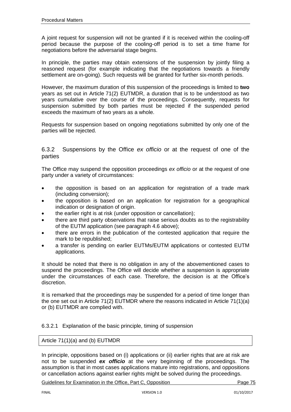A joint request for suspension will not be granted if it is received within the cooling-off period because the purpose of the cooling-off period is to set a time frame for negotiations before the adversarial stage begins.

In principle, the parties may obtain extensions of the suspension by jointly filing a reasoned request (for example indicating that the negotiations towards a friendly settlement are on-going). Such requests will be granted for further six-month periods.

However, the maximum duration of this suspension of the proceedings is limited to **two** years as set out in Article 71(2) EUTMDR, a duration that is to be understood as two years cumulative over the course of the proceedings. Consequently, requests for suspension submitted by both parties must be rejected if the suspended period exceeds the maximum of two years as a whole.

Requests for suspension based on ongoing negotiations submitted by only one of the parties will be rejected.

# 6.3.2 Suspensions by the Office *ex officio* or at the request of one of the parties

The Office may suspend the opposition proceedings *ex officio* or at the request of one party under a variety of circumstances:

- the opposition is based on an application for registration of a trade mark (including conversion);
- the opposition is based on an application for registration for a geographical indication or designation of origin.
- the earlier right is at risk (under opposition or cancellation);
- there are third party observations that raise serious doubts as to the registrability of the EUTM application (see paragraph 4.6 above);
- there are errors in the publication of the contested application that require the mark to be republished;
- a transfer is pending on earlier EUTMs/EUTM applications or contested EUTM applications.

It should be noted that there is no obligation in any of the abovementioned cases to suspend the proceedings. The Office will decide whether a suspension is appropriate under the circumstances of each case. Therefore, the decision is at the Office's discretion.

It is remarked that the proceedings may be suspended for a period of time longer than the one set out in Article 71(2) EUTMDR where the reasons indicated in Article 71(1)(a) or (b) EUTMDR are complied with.

### 6.3.2.1 Explanation of the basic principle, timing of suspension

### Article 71(1)(a) and (b) EUTMDR

In principle, oppositions based on (i) applications or (ii) earlier rights that are at risk are not to be suspended *ex officio* at the very beginning of the proceedings. The assumption is that in most cases applications mature into registrations, and oppositions or cancellation actions against earlier rights might be solved during the proceedings.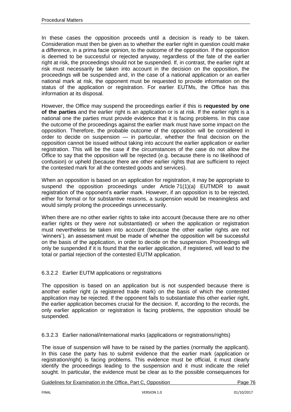In these cases the opposition proceeds until a decision is ready to be taken. Consideration must then be given as to whether the earlier right in question could make a difference, in a prima facie opinion, to the outcome of the opposition. If the opposition is deemed to be successful or rejected anyway, regardless of the fate of the earlier right at risk, the proceedings should not be suspended. If, in contrast, the earlier right at risk must necessarily be taken into account in the decision on the opposition, the proceedings will be suspended and, in the case of a national application or an earlier national mark at risk, the opponent must be requested to provide information on the status of the application or registration. For earlier EUTMs, the Office has this information at its disposal.

However, the Office may suspend the proceedings earlier if this is **requested by one of the parties** and the earlier right is an application or is at risk. If the earlier right is a national one the parties must provide evidence that it is facing problems. In this case the outcome of the proceedings against the earlier mark must have some impact on the opposition. Therefore, the probable outcome of the opposition will be considered in order to decide on suspension — in particular, whether the final decision on the opposition cannot be issued without taking into account the earlier application or earlier registration. This will be the case if the circumstances of the case do not allow the Office to say that the opposition will be rejected (e.g. because there is no likelihood of confusion) or upheld (because there are other earlier rights that are sufficient to reject the contested mark for all the contested goods and services).

When an opposition is based on an application for registration, it may be appropriate to suspend the opposition proceedings under Article 71(1)(a) EUTMDR to await registration of the opponent's earlier mark. However, if an opposition is to be rejected, either for formal or for substantive reasons, a suspension would be meaningless and would simply prolong the proceedings unnecessarily.

When there are no other earlier rights to take into account (because there are no other earlier rights or they were not substantiated) or when the application or registration must nevertheless be taken into account (because the other earlier rights are not 'winners'), an assessment must be made of whether the opposition will be successful on the basis of the application, in order to decide on the suspension. Proceedings will only be suspended if it is found that the earlier application, if registered, will lead to the total or partial rejection of the contested EUTM application.

# 6.3.2.2 Earlier EUTM applications or registrations

The opposition is based on an application but is not suspended because there is another earlier right (a registered trade mark) on the basis of which the contested application may be rejected. If the opponent fails to substantiate this other earlier right, the earlier application becomes crucial for the decision. If, according to the records, the only earlier application or registration is facing problems, the opposition should be suspended.

6.3.2.3 Earlier national/international marks (applications or registrations/rights)

The issue of suspension will have to be raised by the parties (normally the applicant). In this case the party has to submit evidence that the earlier mark (application or registration/right) is facing problems. This evidence must be official, it must clearly identify the proceedings leading to the suspension and it must indicate the relief sought. In particular, the evidence must be clear as to the possible consequences for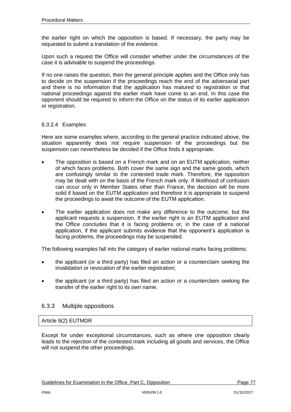the earlier right on which the opposition is based. If necessary, the party may be requested to submit a translation of the evidence.

Upon such a request the Office will consider whether under the circumstances of the case it is advisable to suspend the proceedings.

If no one raises the question, then the general principle applies and the Office only has to decide on the suspension if the proceedings reach the end of the adversarial part and there is no information that the application has matured to registration or that national proceedings against the earlier mark have come to an end. In this case the opponent should be required to inform the Office on the status of its earlier application or registration.

### 6.3.2.4 Examples

Here are some examples where, according to the general practice indicated above, the situation apparently does not require suspension of the proceedings but the suspension can nevertheless be decided if the Office finds it appropriate.

- The opposition is based on a French mark and on an EUTM application, neither of which faces problems. Both cover the same sign and the same goods, which are confusingly similar to the contested trade mark. Therefore, the opposition may be dealt with on the basis of the French mark only. If likelihood of confusion can occur only in Member States other than France, the decision will be more solid if based on the EUTM application and therefore it is appropriate to suspend the proceedings to await the outcome of the EUTM application.
- The earlier application does not make any difference to the outcome, but the applicant requests a suspension. If the earlier right is an EUTM application and the Office concludes that it is facing problems or, in the case of a national application, if the applicant submits evidence that the opponent's application is facing problems, the proceedings may be suspended.

The following examples fall into the category of earlier national marks facing problems:

- the applicant (or a third party) has filed an action or a counterclaim seeking the invalidation or revocation of the earlier registration;
- the applicant (or a third party) has filed an action or a counterclaim seeking the transfer of the earlier right to its own name.

### 6.3.3 Multiple oppositions

#### Article 9(2) EUTMDR

Except for under exceptional circumstances, such as where one opposition clearly leads to the rejection of the contested mark including all goods and services, the Office will not suspend the other proceedings.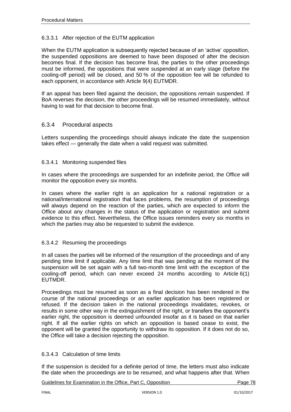## 6.3.3.1 After rejection of the EUTM application

When the EUTM application is subsequently rejected because of an 'active' opposition, the suspended oppositions are deemed to have been disposed of after the decision becomes final. If the decision has become final, the parties to the other proceedings must be informed, the oppositions that were suspended at an early stage (before the cooling-off period) will be closed, and 50 % of the opposition fee will be refunded to each opponent, in accordance with Article 9(4) EUTMDR.

If an appeal has been filed against the decision, the oppositions remain suspended. If BoA reverses the decision, the other proceedings will be resumed immediately, without having to wait for that decision to become final.

### 6.3.4 Procedural aspects

Letters suspending the proceedings should always indicate the date the suspension takes effect — generally the date when a valid request was submitted.

### 6.3.4.1 Monitoring suspended files

In cases where the proceedings are suspended for an indefinite period, the Office will monitor the opposition every six months.

In cases where the earlier right is an application for a national registration or a national/international registration that faces problems, the resumption of proceedings will always depend on the reaction of the parties, which are expected to inform the Office about any changes in the status of the application or registration and submit evidence to this effect. Nevertheless, the Office issues reminders every six months in which the parties may also be requested to submit the evidence.

### 6.3.4.2 Resuming the proceedings

In all cases the parties will be informed of the resumption of the proceedings and of any pending time limit if applicable. Any time limit that was pending at the moment of the suspension will be set again with a full two-month time limit with the exception of the cooling-off period, which can never exceed 24 months according to Article 6(1) EUTMDR.

Proceedings must be resumed as soon as a final decision has been rendered in the course of the national proceedings or an earlier application has been registered or refused. If the decision taken in the national proceedings invalidates, revokes, or results in some other way in the extinguishment of the right, or transfers the opponent's earlier right, the opposition is deemed unfounded insofar as it is based on that earlier right. If all the earlier rights on which an opposition is based cease to exist, the opponent will be granted the opportunity to withdraw its opposition. If it does not do so, the Office will take a decision rejecting the opposition.

### 6.3.4.3 Calculation of time limits

If the suspension is decided for a definite period of time, the letters must also indicate the date when the proceedings are to be resumed, and what happens after that. When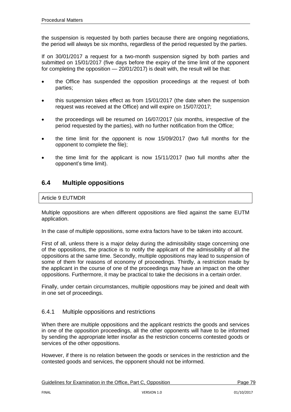the suspension is requested by both parties because there are ongoing negotiations, the period will always be six months, regardless of the period requested by the parties.

If on 30/01/2017 a request for a two-month suspension signed by both parties and submitted on 15/01/2017 (five days before the expiry of the time limit of the opponent for completing the opposition — 20/01/2017) is dealt with, the result will be that:

- the Office has suspended the opposition proceedings at the request of both parties;
- this suspension takes effect as from 15/01/2017 (the date when the suspension request was received at the Office) and will expire on 15/07/2017;
- the proceedings will be resumed on 16/07/2017 (six months, irrespective of the period requested by the parties), with no further notification from the Office;
- the time limit for the opponent is now 15/09/2017 (two full months for the opponent to complete the file);
- the time limit for the applicant is now 15/11/2017 (two full months after the opponent's time limit).

# **6.4 Multiple oppositions**

# Article 9 EUTMDR

Multiple oppositions are when different oppositions are filed against the same EUTM application.

In the case of multiple oppositions, some extra factors have to be taken into account.

First of all, unless there is a major delay during the admissibility stage concerning one of the oppositions, the practice is to notify the applicant of the admissibility of all the oppositions at the same time. Secondly, multiple oppositions may lead to suspension of some of them for reasons of economy of proceedings. Thirdly, a restriction made by the applicant in the course of one of the proceedings may have an impact on the other oppositions. Furthermore, it may be practical to take the decisions in a certain order.

Finally, under certain circumstances, multiple oppositions may be joined and dealt with in one set of proceedings.

# 6.4.1 Multiple oppositions and restrictions

When there are multiple oppositions and the applicant restricts the goods and services in one of the opposition proceedings, all the other opponents will have to be informed by sending the appropriate letter insofar as the restriction concerns contested goods or services of the other oppositions.

However, if there is no relation between the goods or services in the restriction and the contested goods and services, the opponent should not be informed.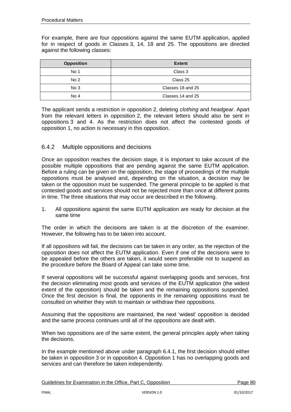For example, there are four oppositions against the same EUTM application, applied for in respect of goods in Classes 3, 14, 18 and 25. The oppositions are directed against the following classes:

| <b>Opposition</b> | <b>Extent</b>     |
|-------------------|-------------------|
| No 1              | Class 3           |
| No <sub>2</sub>   | Class 25          |
| No <sub>3</sub>   | Classes 18 and 25 |
| No 4              | Classes 14 and 25 |

The applicant sends a restriction in opposition 2, deleting *clothing* and *headgear*. Apart from the relevant letters in opposition 2, the relevant letters should also be sent in oppositions 3 and 4. As the restriction does not affect the contested goods of opposition 1, no action is necessary in this opposition.

# 6.4.2 Multiple oppositions and decisions

Once an opposition reaches the decision stage, it is important to take account of the possible multiple oppositions that are pending against the same EUTM application. Before a ruling can be given on the opposition, the stage of proceedings of the multiple oppositions must be analysed and, depending on the situation, a decision may be taken or the opposition must be suspended. The general principle to be applied is that contested goods and services should not be rejected more than once at different points in time. The three situations that may occur are described in the following.

1. All oppositions against the same EUTM application are ready for decision at the same time

The order in which the decisions are taken is at the discretion of the examiner. However, the following has to be taken into account.

If all oppositions will fail, the decisions can be taken in any order, as the rejection of the opposition does not affect the EUTM application. Even if one of the decisions were to be appealed before the others are taken, it would seem preferable not to suspend as the procedure before the Board of Appeal can take some time.

If several oppositions will be successful against overlapping goods and services, first the decision eliminating most goods and services of the EUTM application (the widest extent of the opposition) should be taken and the remaining oppositions suspended. Once the first decision is final, the opponents in the remaining oppositions must be consulted on whether they wish to maintain or withdraw their oppositions.

Assuming that the oppositions are maintained, the next 'widest' opposition is decided and the same process continues until all of the oppositions are dealt with.

When two oppositions are of the same extent, the general principles apply when taking the decisions.

In the example mentioned above under paragraph 6.4.1, the first decision should either be taken in opposition 3 or in opposition 4. Opposition 1 has no overlapping goods and services and can therefore be taken independently.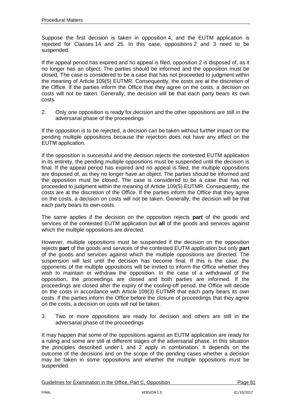Suppose the first decision is taken in opposition 4, and the EUTM application is rejected for Classes 14 and 25. In this case, oppositions 2 and 3 need to be suspended.

If the appeal period has expired and no appeal is filed, opposition 2 is disposed of, as it no longer has an object. The parties should be informed and the opposition must be closed. The case is considered to be a case that has not proceeded to judgment within the meaning of Article 109(5) EUTMR. Consequently, the costs are at the discretion of the Office. If the parties inform the Office that they agree on the costs, a decision on costs will not be taken. Generally, the decision will be that each party bears its own costs.

2. Only one opposition is ready for decision and the other oppositions are still in the adversarial phase of the proceedings

If the opposition is to be rejected, a decision can be taken without further impact on the pending multiple oppositions because the rejection does not have any effect on the EUTM application.

If the opposition is successful and the decision rejects the contested EUTM application in its entirety, the pending multiple oppositions must be suspended until the decision is final. If the appeal period has expired and no appeal is filed, the multiple oppositions are disposed of, as they no longer have an object. The parties should be informed and the opposition must be closed. The case is considered to be a case that has not proceeded to judgment within the meaning of Article 109(5) EUTMR. Consequently, the costs are at the discretion of the Office. If the parties inform the Office that they agree on the costs, a decision on costs will not be taken. Generally, the decision will be that each party bears its own costs.

The same applies if the decision on the opposition rejects **part** of the goods and services of the contested EUTM application but **all** of the goods and services against which the multiple oppositions are directed.

However, multiple oppositions must be suspended if the decision on the opposition rejects **part** of the goods and services of the contested EUTM application but only **part**  of the goods and services against which the multiple oppositions are directed. The suspension will last until the decision has become final. If this is the case, the opponents of the multiple oppositions will be invited to inform the Office whether they wish to maintain or withdraw the opposition. In the case of a withdrawal of the opposition, the proceedings are closed and both parties are informed. If the proceedings are closed after the expiry of the cooling-off period, the Office will decide on the costs in accordance with Article 109(3) EUTMR that each party bears its own costs. If the parties inform the Office before the closure of proceedings that they agree on the costs, a decision on costs will not be taken.

3. Two or more oppositions are ready for decision and others are still in the adversarial phase of the proceedings

It may happen that some of the oppositions against an EUTM application are ready for a ruling and some are still at different stages of the adversarial phase. In this situation the principles described under 1 and 2 apply in combination. It depends on the outcome of the decisions and on the scope of the pending cases whether a decision may be taken in some oppositions and whether the multiple oppositions must be suspended.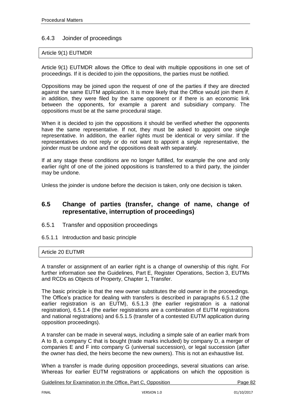# 6.4.3 Joinder of proceedings

### Article 9(1) EUTMDR

Article 9(1) EUTMDR allows the Office to deal with multiple oppositions in one set of proceedings. If it is decided to join the oppositions, the parties must be notified.

Oppositions may be joined upon the request of one of the parties if they are directed against the same EUTM application. It is more likely that the Office would join them if, in addition, they were filed by the same opponent or if there is an economic link between the opponents, for example a parent and subsidiary company. The oppositions must be at the same procedural stage.

When it is decided to join the oppositions it should be verified whether the opponents have the same representative. If not, they must be asked to appoint one single representative. In addition, the earlier rights must be identical or very similar. If the representatives do not reply or do not want to appoint a single representative, the joinder must be undone and the oppositions dealt with separately.

If at any stage these conditions are no longer fulfilled, for example the one and only earlier right of one of the joined oppositions is transferred to a third party, the joinder may be undone.

Unless the joinder is undone before the decision is taken, only one decision is taken.

# **6.5 Change of parties (transfer, change of name, change of representative, interruption of proceedings)**

- 6.5.1 Transfer and opposition proceedings
- 6.5.1.1 Introduction and basic principle

#### Article 20 EUTMR

A transfer or assignment of an earlier right is a change of ownership of this right. For further information see the Guidelines, Part E, Register Operations, Section 3, EUTMs and RCDs as Objects of Property, Chapter 1, Transfer.

The basic principle is that the new owner substitutes the old owner in the proceedings. The Office's practice for dealing with transfers is described in paragraphs 6.5.1.2 (the earlier registration is an EUTM), 6.5.1.3 (the earlier registration is a national registration), 6.5.1.4 (the earlier registrations are a combination of EUTM registrations and national registrations) and 6.5.1.5 (transfer of a contested EUTM application during opposition proceedings).

A transfer can be made in several ways, including a simple sale of an earlier mark from A to B, a company C that is bought (trade marks included) by company D, a merger of companies E and F into company G (universal succession), or legal succession (after the owner has died, the heirs become the new owners). This is not an exhaustive list.

When a transfer is made during opposition proceedings, several situations can arise. Whereas for earlier EUTM registrations or applications on which the opposition is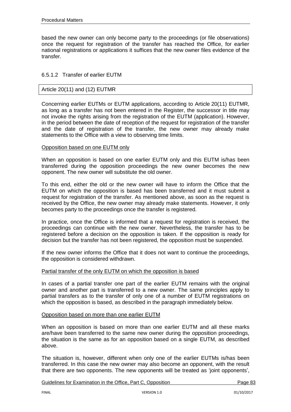based the new owner can only become party to the proceedings (or file observations) once the request for registration of the transfer has reached the Office, for earlier national registrations or applications it suffices that the new owner files evidence of the transfer.

### 6.5.1.2 Transfer of earlier EUTM

### Article 20(11) and (12) EUTMR

Concerning earlier EUTMs or EUTM applications, according to Article 20(11) EUTMR, as long as a transfer has not been entered in the Register, the successor in title may not invoke the rights arising from the registration of the EUTM (application). However, in the period between the date of reception of the request for registration of the transfer and the date of registration of the transfer, the new owner may already make statements to the Office with a view to observing time limits.

#### Opposition based on one EUTM only

When an opposition is based on one earlier EUTM only and this EUTM is/has been transferred during the opposition proceedings the new owner becomes the new opponent. The new owner will substitute the old owner.

To this end, either the old or the new owner will have to inform the Office that the EUTM on which the opposition is based has been transferred and it must submit a request for registration of the transfer. As mentioned above, as soon as the request is received by the Office, the new owner may already make statements. However, it only becomes party to the proceedings once the transfer is registered.

In practice, once the Office is informed that a request for registration is received, the proceedings can continue with the new owner. Nevertheless, the transfer has to be registered before a decision on the opposition is taken. If the opposition is ready for decision but the transfer has not been registered, the opposition must be suspended.

If the new owner informs the Office that it does not want to continue the proceedings, the opposition is considered withdrawn.

#### Partial transfer of the only EUTM on which the opposition is based

In cases of a partial transfer one part of the earlier EUTM remains with the original owner and another part is transferred to a new owner. The same principles apply to partial transfers as to the transfer of only one of a number of EUTM registrations on which the opposition is based, as described in the paragraph immediately below.

#### Opposition based on more than one earlier EUTM

When an opposition is based on more than one earlier EUTM and all these marks are/have been transferred to the same new owner during the opposition proceedings, the situation is the same as for an opposition based on a single EUTM, as described above.

The situation is, however, different when only one of the earlier EUTMs is/has been transferred. In this case the new owner may also become an opponent, with the result that there are two opponents. The new opponents will be treated as 'joint opponents',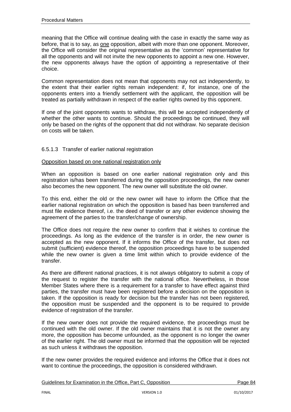meaning that the Office will continue dealing with the case in exactly the same way as before, that is to say, as one opposition, albeit with more than one opponent. Moreover, the Office will consider the original representative as the 'common' representative for all the opponents and will not invite the new opponents to appoint a new one. However, the new opponents always have the option of appointing a representative of their choice.

Common representation does not mean that opponents may not act independently, to the extent that their earlier rights remain independent: if, for instance, one of the opponents enters into a friendly settlement with the applicant, the opposition will be treated as partially withdrawn in respect of the earlier rights owned by this opponent.

If one of the joint opponents wants to withdraw, this will be accepted independently of whether the other wants to continue. Should the proceedings be continued, they will only be based on the rights of the opponent that did not withdraw. No separate decision on costs will be taken.

# 6.5.1.3 Transfer of earlier national registration

### Opposition based on one national registration only

When an opposition is based on one earlier national registration only and this registration is/has been transferred during the opposition proceedings, the new owner also becomes the new opponent. The new owner will substitute the old owner.

To this end, either the old or the new owner will have to inform the Office that the earlier national registration on which the opposition is based has been transferred and must file evidence thereof, i.e. the deed of transfer or any other evidence showing the agreement of the parties to the transfer/change of ownership.

The Office does not require the new owner to confirm that it wishes to continue the proceedings. As long as the evidence of the transfer is in order, the new owner is accepted as the new opponent. If it informs the Office of the transfer, but does not submit (sufficient) evidence thereof, the opposition proceedings have to be suspended while the new owner is given a time limit within which to provide evidence of the transfer.

As there are different national practices, it is not always obligatory to submit a copy of the request to register the transfer with the national office. Nevertheless, in those Member States where there is a requirement for a transfer to have effect against third parties, the transfer must have been registered before a decision on the opposition is taken. If the opposition is ready for decision but the transfer has not been registered, the opposition must be suspended and the opponent is to be required to provide evidence of registration of the transfer.

If the new owner does not provide the required evidence, the proceedings must be continued with the old owner. If the old owner maintains that it is not the owner any more, the opposition has become unfounded, as the opponent is no longer the owner of the earlier right. The old owner must be informed that the opposition will be rejected as such unless it withdraws the opposition.

If the new owner provides the required evidence and informs the Office that it does not want to continue the proceedings, the opposition is considered withdrawn.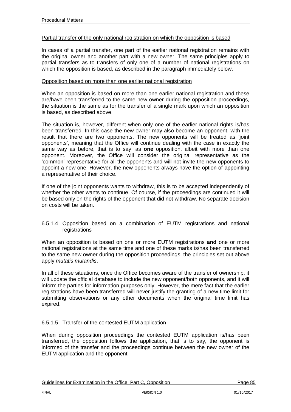### Partial transfer of the only national registration on which the opposition is based

In cases of a partial transfer, one part of the earlier national registration remains with the original owner and another part with a new owner. The same principles apply to partial transfers as to transfers of only one of a number of national registrations on which the opposition is based, as described in the paragraph immediately below.

### Opposition based on more than one earlier national registration

When an opposition is based on more than one earlier national registration and these are/have been transferred to the same new owner during the opposition proceedings, the situation is the same as for the transfer of a single mark upon which an opposition is based, as described above.

The situation is, however, different when only one of the earlier national rights is/has been transferred. In this case the new owner may also become an opponent, with the result that there are two opponents. The new opponents will be treated as 'joint opponents', meaning that the Office will continue dealing with the case in exactly the same way as before, that is to say, as **one** opposition, albeit with more than one opponent. Moreover, the Office will consider the original representative as the 'common' representative for all the opponents and will not invite the new opponents to appoint a new one. However, the new opponents always have the option of appointing a representative of their choice.

If one of the joint opponents wants to withdraw, this is to be accepted independently of whether the other wants to continue. Of course, if the proceedings are continued it will be based only on the rights of the opponent that did not withdraw. No separate decision on costs will be taken.

### 6.5.1.4 Opposition based on a combination of EUTM registrations and national registrations

When an opposition is based on one or more EUTM registrations **and** one or more national registrations at the same time and one of these marks is/has been transferred to the same new owner during the opposition proceedings, the principles set out above apply *mutatis mutandis*.

In all of these situations, once the Office becomes aware of the transfer of ownership, it will update the official database to include the new opponent/both opponents, and it will inform the parties for information purposes only. However, the mere fact that the earlier registrations have been transferred will never justify the granting of a new time limit for submitting observations or any other documents when the original time limit has expired.

### 6.5.1.5 Transfer of the contested EUTM application

When during opposition proceedings the contested EUTM application is/has been transferred, the opposition follows the application, that is to say, the opponent is informed of the transfer and the proceedings continue between the new owner of the EUTM application and the opponent.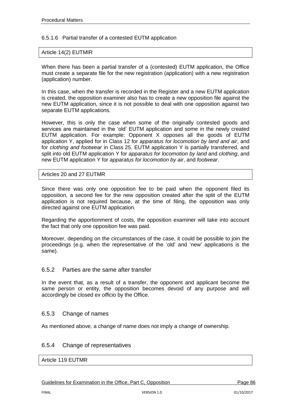## 6.5.1.6 Partial transfer of a contested EUTM application

#### Article 14(2) EUTMIR

When there has been a partial transfer of a (contested) EUTM application, the Office must create a separate file for the new registration (application) with a new registration (application) number.

In this case, when the transfer is recorded in the Register and a new EUTM application is created, the opposition examiner also has to create a new opposition file against the new EUTM application, since it is not possible to deal with one opposition against two separate EUTM applications.

However, this is only the case when some of the originally contested goods and services are maintained in the 'old' EUTM application and some in the newly created EUTM application. For example: Opponent X opposes all the goods of EUTM application Y, applied for in Class 12 for *apparatus for locomotion by land and air*, and for *clothing and footwear* in Class 25. EUTM application Y is partially transferred, and split into old EUTM application Y for *apparatus for locomotion by land* and *clothing*, and new EUTM application Y for *apparatus for locomotion by air*, and *footwear*.

### Articles 20 and 27 EUTMR

Since there was only one opposition fee to be paid when the opponent filed its opposition, a second fee for the new opposition created after the split of the EUTM application is not required because, at the time of filing, the opposition was only directed against one EUTM application.

Regarding the apportionment of costs, the opposition examiner will take into account the fact that only one opposition fee was paid.

Moreover, depending on the circumstances of the case, it could be possible to join the proceedings (e.g. when the representative of the 'old' and 'new' applications is the same).

### 6.5.2 Parties are the same after transfer

In the event that, as a result of a transfer, the opponent and applicant become the same person or entity, the opposition becomes devoid of any purpose and will accordingly be closed *ex officio* by the Office.

### 6.5.3 Change of names

As mentioned above, a change of name does not imply a change of ownership.

# 6.5.4 Change of representatives

Article 119 EUTMR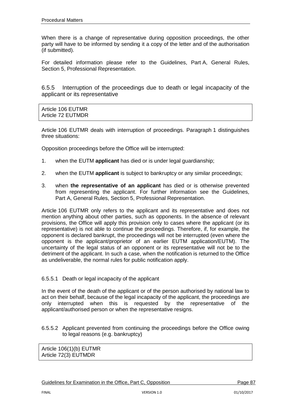When there is a change of representative during opposition proceedings, the other party will have to be informed by sending it a copy of the letter and of the authorisation (if submitted).

For detailed information please refer to the Guidelines, Part A, General Rules, Section 5, Professional Representation.

6.5.5 Interruption of the proceedings due to death or legal incapacity of the applicant or its representative

| Article 106 EUTMR |  |
|-------------------|--|
| Article 72 EUTMDR |  |

Article 106 EUTMR deals with interruption of proceedings. Paragraph 1 distinguishes three situations:

Opposition proceedings before the Office will be interrupted:

- 1. when the EUTM **applicant** has died or is under legal guardianship;
- 2. when the EUTM **applicant** is subject to bankruptcy or any similar proceedings;
- 3. when **the representative of an applicant** has died or is otherwise prevented from representing the applicant. For further information see the Guidelines, Part A, General Rules, Section 5, Professional Representation.

Article 106 EUTMR only refers to the applicant and its representative and does not mention anything about other parties, such as opponents. In the absence of relevant provisions, the Office will apply this provision only to cases where the applicant (or its representative) is not able to continue the proceedings. Therefore, if, for example, the opponent is declared bankrupt, the proceedings will not be interrupted (even where the opponent is the applicant/proprietor of an earlier EUTM application/EUTM). The uncertainty of the legal status of an opponent or its representative will not be to the detriment of the applicant. In such a case, when the notification is returned to the Office as undeliverable, the normal rules for public notification apply.

#### 6.5.5.1 Death or legal incapacity of the applicant

In the event of the death of the applicant or of the person authorised by national law to act on their behalf, because of the legal incapacity of the applicant, the proceedings are only interrupted when this is requested by the representative of the applicant/authorised person or when the representative resigns.

6.5.5.2 Applicant prevented from continuing the proceedings before the Office owing to legal reasons (e.g. bankruptcy)

Article 106(1)(b) EUTMR Article 72(3) EUTMDR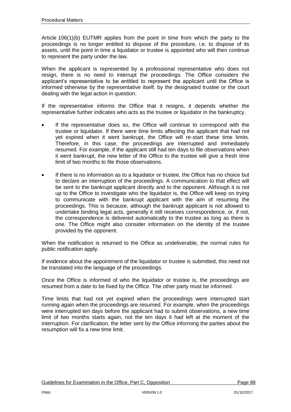Article 106(1)(b) EUTMR applies from the point in time from which the party to the proceedings is no longer entitled to dispose of the procedure, i.e. to dispose of its assets, until the point in time a liquidator or trustee is appointed who will then continue to represent the party under the law.

When the applicant is represented by a professional representative who does not resign, there is no need to interrupt the proceedings. The Office considers the applicant's representative to be entitled to represent the applicant until the Office is informed otherwise by the representative itself, by the designated trustee or the court dealing with the legal action in question.

If the representative informs the Office that it resigns, it depends whether the representative further indicates who acts as the trustee or liquidator in the bankruptcy.

- If the representative does so, the Office will continue to correspond with the trustee or liquidator. If there were time limits affecting the applicant that had not yet expired when it went bankrupt, the Office will re-start these time limits. Therefore, in this case, the proceedings are interrupted and immediately resumed. For example, if the applicant still had ten days to file observations when it went bankrupt, the new letter of the Office to the trustee will give a fresh time limit of two months to file those observations.
- If there is no information as to a liquidator or trustee, the Office has no choice but to declare an interruption of the proceedings. A communication to that effect will be sent to the bankrupt applicant directly and to the opponent. Although it is not up to the Office to investigate who the liquidator is, the Office will keep on trying to communicate with the bankrupt applicant with the aim of resuming the proceedings. This is because, although the bankrupt applicant is not allowed to undertake binding legal acts, generally it still receives correspondence, or, if not, the correspondence is delivered automatically to the trustee as long as there is one. The Office might also consider information on the identity of the trustee provided by the opponent.

When the notification is returned to the Office as undeliverable, the normal rules for public notification apply.

If evidence about the appointment of the liquidator or trustee is submitted, this need not be translated into the language of the proceedings.

Once the Office is informed of who the liquidator or trustee is, the proceedings are resumed from a date to be fixed by the Office. The other party must be informed.

Time limits that had not yet expired when the proceedings were interrupted start running again when the proceedings are resumed. For example, when the proceedings were interrupted ten days before the applicant had to submit observations, a new time limit of two months starts again, not the ten days it had left at the moment of the interruption. For clarification, the letter sent by the Office informing the parties about the resumption will fix a new time limit.